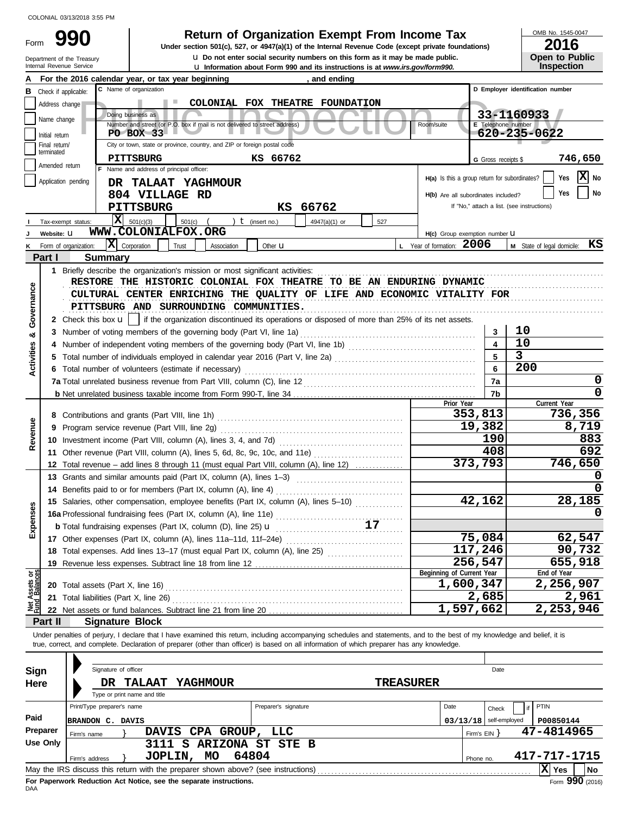Form

# **990 Beturn of Organization Exempt From Income Tax**  $\frac{\text{OMB No. 1545-00}}{2016}$

**u** Information about Form 990 and its instructions is at *www.irs.gov/formation* about Form990. **u** Do not enter social security numbers on this form as it may be made public. **Under section 501(c), 527, or 4947(a)(1) of the Internal Revenue Code (except private foundations)** OMB No. 1545-0047

| LV I V                |  |
|-----------------------|--|
| <b>Open to Public</b> |  |
| <b>Inspection</b>     |  |

|                                | Internal Revenue Service        | Department of the Treasury          |                                                                                                                                                                                                                                                                                                                          | <b>u</b> Do not enter social security numbers on this form as it may be made public.<br><b>u</b> Information about Form 990 and its instructions is at www.irs.gov/form990. |                  |                                               |                          | <b>Open to Public</b><br><b>Inspection</b> |
|--------------------------------|---------------------------------|-------------------------------------|--------------------------------------------------------------------------------------------------------------------------------------------------------------------------------------------------------------------------------------------------------------------------------------------------------------------------|-----------------------------------------------------------------------------------------------------------------------------------------------------------------------------|------------------|-----------------------------------------------|--------------------------|--------------------------------------------|
|                                |                                 |                                     | For the 2016 calendar year, or tax year beginning                                                                                                                                                                                                                                                                        | , and ending                                                                                                                                                                |                  |                                               |                          |                                            |
| В                              | Check if applicable:            |                                     | C Name of organization                                                                                                                                                                                                                                                                                                   |                                                                                                                                                                             |                  |                                               |                          | D Employer identification number           |
|                                | Address change                  |                                     |                                                                                                                                                                                                                                                                                                                          | COLONIAL FOX THEATRE FOUNDATION                                                                                                                                             |                  |                                               |                          |                                            |
|                                |                                 |                                     | Doing business as                                                                                                                                                                                                                                                                                                        |                                                                                                                                                                             |                  |                                               |                          | 33-1160933                                 |
|                                | Name change                     |                                     | Number and street (or P.O. box if mail is not delivered to street address)                                                                                                                                                                                                                                               |                                                                                                                                                                             |                  | Room/suite                                    | E Telephone number       |                                            |
|                                | Initial return                  |                                     | <b>PO BOX 33</b>                                                                                                                                                                                                                                                                                                         |                                                                                                                                                                             |                  |                                               |                          | 620-235-0622                               |
|                                | Final return/<br>terminated     |                                     | City or town, state or province, country, and ZIP or foreign postal code                                                                                                                                                                                                                                                 |                                                                                                                                                                             |                  |                                               |                          |                                            |
|                                | Amended return                  |                                     | <b>PITTSBURG</b>                                                                                                                                                                                                                                                                                                         | KS 66762                                                                                                                                                                    |                  |                                               | G Gross receipts \$      | 746,650                                    |
|                                |                                 |                                     | F Name and address of principal officer:                                                                                                                                                                                                                                                                                 |                                                                                                                                                                             |                  | H(a) Is this a group return for subordinates? |                          | $\mathbf{X}$ No<br>Yes                     |
|                                | Application pending             |                                     | DR TALAAT YAGHMOUR                                                                                                                                                                                                                                                                                                       |                                                                                                                                                                             |                  |                                               |                          | Yes                                        |
|                                |                                 |                                     | 804 VILLAGE RD                                                                                                                                                                                                                                                                                                           |                                                                                                                                                                             |                  | H(b) Are all subordinates included?           |                          | No                                         |
|                                |                                 |                                     | <b>PITTSBURG</b>                                                                                                                                                                                                                                                                                                         | KS 66762                                                                                                                                                                    |                  |                                               |                          | If "No," attach a list. (see instructions) |
|                                | Tax-exempt status:              |                                     | $\mathbf{X}$ 501(c)(3)<br>$501(c)$ (                                                                                                                                                                                                                                                                                     | ) $t$ (insert no.)<br>4947(a)(1) or                                                                                                                                         | 527              |                                               |                          |                                            |
|                                | Website: U                      |                                     | WWW.COLONIALFOX.ORG                                                                                                                                                                                                                                                                                                      |                                                                                                                                                                             |                  | H(c) Group exemption number U                 |                          |                                            |
| κ                              | Form of organization:<br>Part I |                                     | $ \mathbf{\overline{X}} $ Corporation<br>Trust<br>Association                                                                                                                                                                                                                                                            | Other $\mathbf u$                                                                                                                                                           |                  | L Year of formation: 2006                     |                          | M State of legal domicile: KS              |
|                                |                                 | <b>Summary</b>                      |                                                                                                                                                                                                                                                                                                                          |                                                                                                                                                                             |                  |                                               |                          |                                            |
|                                |                                 |                                     | 1 Briefly describe the organization's mission or most significant activities:                                                                                                                                                                                                                                            |                                                                                                                                                                             |                  |                                               |                          |                                            |
| Governance                     |                                 |                                     | RESTORE THE HISTORIC COLONIAL FOX THEATRE TO BE AN ENDURING DYNAMIC                                                                                                                                                                                                                                                      |                                                                                                                                                                             |                  |                                               |                          |                                            |
|                                |                                 |                                     | CULTURAL CENTER ENRICHING THE QUALITY OF LIFE AND ECONOMIC VITALITY FOR<br>PITTSBURG AND SURROUNDING COMMUNITIES.                                                                                                                                                                                                        |                                                                                                                                                                             |                  |                                               |                          |                                            |
|                                |                                 |                                     |                                                                                                                                                                                                                                                                                                                          |                                                                                                                                                                             |                  |                                               |                          |                                            |
|                                |                                 |                                     | 2 Check this box $\mathbf{u}$   if the organization discontinued its operations or disposed of more than 25% of its net assets.                                                                                                                                                                                          |                                                                                                                                                                             |                  |                                               |                          | 10                                         |
| න්                             | 3                               |                                     | Number of voting members of the governing body (Part VI, line 1a)                                                                                                                                                                                                                                                        |                                                                                                                                                                             |                  |                                               | 3<br>$\blacktriangle$    | 10                                         |
| Activities                     |                                 |                                     |                                                                                                                                                                                                                                                                                                                          |                                                                                                                                                                             |                  |                                               | 5                        | $\overline{3}$                             |
|                                |                                 |                                     |                                                                                                                                                                                                                                                                                                                          |                                                                                                                                                                             |                  |                                               | 6                        | 200                                        |
|                                |                                 |                                     | 6 Total number of volunteers (estimate if necessary)                                                                                                                                                                                                                                                                     |                                                                                                                                                                             |                  |                                               | 7a                       | 0                                          |
|                                |                                 |                                     |                                                                                                                                                                                                                                                                                                                          |                                                                                                                                                                             |                  |                                               | 7b                       | 0                                          |
|                                |                                 |                                     |                                                                                                                                                                                                                                                                                                                          |                                                                                                                                                                             |                  | Prior Year                                    |                          | Current Year                               |
|                                |                                 |                                     |                                                                                                                                                                                                                                                                                                                          |                                                                                                                                                                             |                  |                                               | 353,813                  | 736,356                                    |
| Revenue                        | 9                               |                                     |                                                                                                                                                                                                                                                                                                                          |                                                                                                                                                                             |                  |                                               | 19,382                   | 8,719                                      |
|                                |                                 |                                     |                                                                                                                                                                                                                                                                                                                          |                                                                                                                                                                             |                  |                                               | 190                      | 883                                        |
|                                |                                 |                                     | 11 Other revenue (Part VIII, column (A), lines 5, 6d, 8c, 9c, 10c, and 11e)                                                                                                                                                                                                                                              |                                                                                                                                                                             |                  |                                               | 408                      | 692                                        |
|                                |                                 |                                     | 12 Total revenue – add lines 8 through 11 (must equal Part VIII, column (A), line 12)                                                                                                                                                                                                                                    |                                                                                                                                                                             |                  |                                               | 373,793                  | 746,650                                    |
|                                |                                 |                                     | 13 Grants and similar amounts paid (Part IX, column (A), lines 1-3)                                                                                                                                                                                                                                                      |                                                                                                                                                                             |                  |                                               |                          |                                            |
|                                |                                 |                                     | 14 Benefits paid to or for members (Part IX, column (A), line 4)                                                                                                                                                                                                                                                         |                                                                                                                                                                             |                  |                                               |                          |                                            |
| s                              |                                 |                                     | 15 Salaries, other compensation, employee benefits (Part IX, column (A), lines 5-10)                                                                                                                                                                                                                                     |                                                                                                                                                                             |                  |                                               | 42,162                   | 28,185                                     |
| ပ္တ                            |                                 |                                     | 15 January, July 2004.<br>16a Professional fundraising fees (Part IX, column (A), line 11e)                                                                                                                                                                                                                              |                                                                                                                                                                             |                  |                                               |                          |                                            |
| Expen                          |                                 |                                     | <b>b</b> Total fundraising expenses (Part IX, column (D), line 25) <b>u</b>                                                                                                                                                                                                                                              |                                                                                                                                                                             |                  |                                               |                          |                                            |
|                                |                                 |                                     |                                                                                                                                                                                                                                                                                                                          |                                                                                                                                                                             |                  |                                               | 75,084                   | 62,547                                     |
|                                |                                 |                                     | 18 Total expenses. Add lines 13-17 (must equal Part IX, column (A), line 25)                                                                                                                                                                                                                                             |                                                                                                                                                                             |                  |                                               | 117,246                  | 90,732                                     |
|                                |                                 |                                     | 19 Revenue less expenses. Subtract line 18 from line 12                                                                                                                                                                                                                                                                  |                                                                                                                                                                             |                  |                                               | 256,547                  | 655,918                                    |
|                                |                                 |                                     |                                                                                                                                                                                                                                                                                                                          |                                                                                                                                                                             |                  | Beginning of Current Year                     |                          | End of Year                                |
| Net Assets or<br>Fund Balances |                                 |                                     |                                                                                                                                                                                                                                                                                                                          |                                                                                                                                                                             |                  | 1,600,347                                     |                          | 2,256,907                                  |
|                                | 21                              | Total liabilities (Part X, line 26) |                                                                                                                                                                                                                                                                                                                          |                                                                                                                                                                             |                  |                                               | 2,685                    | 2,961                                      |
|                                |                                 |                                     |                                                                                                                                                                                                                                                                                                                          |                                                                                                                                                                             |                  | 1,597,662                                     |                          | $\overline{2,253,946}$                     |
|                                | Part II                         | <b>Signature Block</b>              |                                                                                                                                                                                                                                                                                                                          |                                                                                                                                                                             |                  |                                               |                          |                                            |
|                                |                                 |                                     | Under penalties of perjury, I declare that I have examined this return, including accompanying schedules and statements, and to the best of my knowledge and belief, it is<br>true, correct, and complete. Declaration of preparer (other than officer) is based on all information of which preparer has any knowledge. |                                                                                                                                                                             |                  |                                               |                          |                                            |
|                                |                                 |                                     |                                                                                                                                                                                                                                                                                                                          |                                                                                                                                                                             |                  |                                               |                          |                                            |
| Sign                           |                                 | Signature of officer                |                                                                                                                                                                                                                                                                                                                          |                                                                                                                                                                             |                  |                                               | Date                     |                                            |
| Here                           |                                 |                                     | YAGHMOUR<br>DR TALAAT                                                                                                                                                                                                                                                                                                    |                                                                                                                                                                             | <b>TREASURER</b> |                                               |                          |                                            |
|                                |                                 |                                     | Type or print name and title                                                                                                                                                                                                                                                                                             |                                                                                                                                                                             |                  |                                               |                          |                                            |
|                                |                                 | Print/Type preparer's name          |                                                                                                                                                                                                                                                                                                                          | Preparer's signature                                                                                                                                                        |                  | Date                                          | Check                    | PTIN                                       |
| Paid                           |                                 | BRANDON C. DAVIS                    |                                                                                                                                                                                                                                                                                                                          |                                                                                                                                                                             |                  |                                               | $03/13/18$ self-employed | P00850144                                  |
|                                | Preparer                        | Firm's name                         | DAVIS CPA GROUP, LLC                                                                                                                                                                                                                                                                                                     |                                                                                                                                                                             |                  |                                               | Firm's $EIN$ }           | 47-4814965                                 |
|                                | <b>Use Only</b>                 |                                     | 3111 S ARIZONA ST STE B                                                                                                                                                                                                                                                                                                  |                                                                                                                                                                             |                  |                                               |                          |                                            |
|                                |                                 | Firm's address                      | JOPLIN, MO                                                                                                                                                                                                                                                                                                               | 64804                                                                                                                                                                       |                  |                                               | Phone no.                | 417-717-1715                               |
|                                |                                 |                                     |                                                                                                                                                                                                                                                                                                                          |                                                                                                                                                                             |                  |                                               |                          | $\mathbf{\overline{X}}$ Yes<br>No          |

| Sign<br><b>Here</b> |                            | Signature of officer<br>DR. | <b>TALAAT</b><br>Type or print name and title |   | <b>YAGHMOUR</b>                                                    |                                                                                   | <b>TREASURER</b> |      |              | Date          |              |                 |
|---------------------|----------------------------|-----------------------------|-----------------------------------------------|---|--------------------------------------------------------------------|-----------------------------------------------------------------------------------|------------------|------|--------------|---------------|--------------|-----------------|
|                     | Print/Type preparer's name |                             |                                               |   |                                                                    | Preparer's signature                                                              |                  | Date |              | Check         | PTIN         |                 |
| Paid                | BRANDON C. DAVIS           |                             |                                               |   |                                                                    |                                                                                   |                  |      | 03/13/18     | self-employed | P00850144    |                 |
| Preparer            | Firm's name                |                             |                                               |   | DAVIS CPA GROUP, LLC                                               |                                                                                   |                  |      | Firm's $EIN$ |               | 47-4814965   |                 |
| Use Only            |                            |                             | 3111                                          | S | <b>ARIZONA</b>                                                     | STE B<br>ST                                                                       |                  |      |              |               |              |                 |
|                     | Firm's address             |                             | JOPLIN,                                       |   | <b>MO</b>                                                          | 64804                                                                             |                  |      | Phone no.    |               | 417-717-1715 |                 |
|                     |                            |                             |                                               |   |                                                                    | May the IRS discuss this return with the preparer shown above? (see instructions) |                  |      |              |               | X <br>Yes    | No              |
| <b>DAA</b>          |                            |                             |                                               |   | For Paperwork Reduction Act Notice, see the separate instructions. |                                                                                   |                  |      |              |               |              | Form 990 (2016) |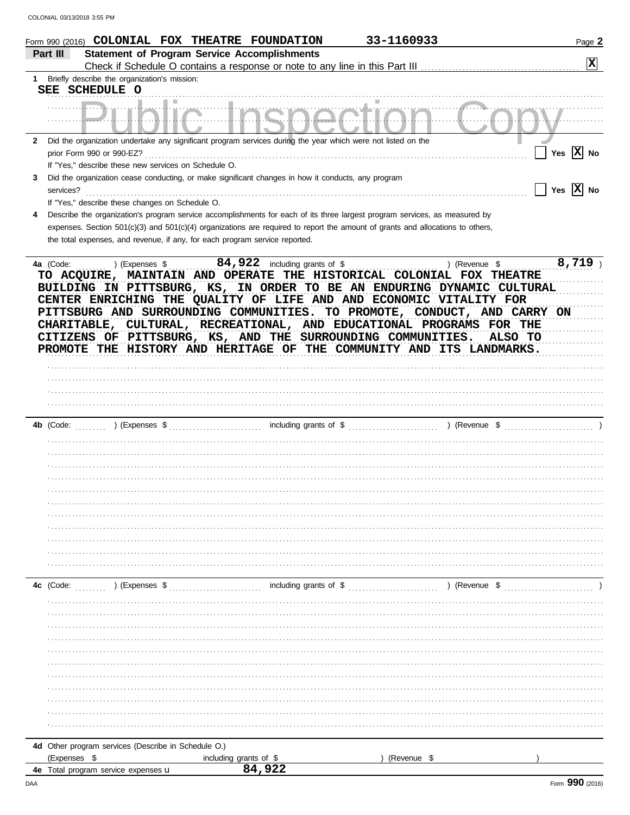|              | Form 990 (2016) COLONIAL FOX THEATRE FOUNDATION                                                                                                                                                                                                                                                                                                               |                                                     | 33-1160933                                                                                                                                                                                                                                                                | Page 2                |
|--------------|---------------------------------------------------------------------------------------------------------------------------------------------------------------------------------------------------------------------------------------------------------------------------------------------------------------------------------------------------------------|-----------------------------------------------------|---------------------------------------------------------------------------------------------------------------------------------------------------------------------------------------------------------------------------------------------------------------------------|-----------------------|
|              | Part III                                                                                                                                                                                                                                                                                                                                                      | <b>Statement of Program Service Accomplishments</b> |                                                                                                                                                                                                                                                                           |                       |
|              |                                                                                                                                                                                                                                                                                                                                                               |                                                     |                                                                                                                                                                                                                                                                           | X                     |
| 1            | Briefly describe the organization's mission:                                                                                                                                                                                                                                                                                                                  |                                                     |                                                                                                                                                                                                                                                                           |                       |
|              | SEE SCHEDULE O                                                                                                                                                                                                                                                                                                                                                |                                                     |                                                                                                                                                                                                                                                                           |                       |
|              | . <del>.</del>                                                                                                                                                                                                                                                                                                                                                |                                                     |                                                                                                                                                                                                                                                                           |                       |
|              |                                                                                                                                                                                                                                                                                                                                                               |                                                     |                                                                                                                                                                                                                                                                           |                       |
|              |                                                                                                                                                                                                                                                                                                                                                               |                                                     |                                                                                                                                                                                                                                                                           |                       |
| $\mathbf{2}$ | Did the organization undertake any significant program services during the year which were not listed on the                                                                                                                                                                                                                                                  |                                                     |                                                                                                                                                                                                                                                                           | Yes $\overline{X}$ No |
|              | prior Form 990 or 990-EZ?<br>If "Yes," describe these new services on Schedule O.                                                                                                                                                                                                                                                                             |                                                     |                                                                                                                                                                                                                                                                           |                       |
| 3            | Did the organization cease conducting, or make significant changes in how it conducts, any program                                                                                                                                                                                                                                                            |                                                     |                                                                                                                                                                                                                                                                           |                       |
|              | services?                                                                                                                                                                                                                                                                                                                                                     |                                                     |                                                                                                                                                                                                                                                                           | Yes $X$ No            |
|              | If "Yes," describe these changes on Schedule O.                                                                                                                                                                                                                                                                                                               |                                                     |                                                                                                                                                                                                                                                                           |                       |
| 4            | Describe the organization's program service accomplishments for each of its three largest program services, as measured by                                                                                                                                                                                                                                    |                                                     |                                                                                                                                                                                                                                                                           |                       |
|              | expenses. Section 501(c)(3) and 501(c)(4) organizations are required to report the amount of grants and allocations to others,                                                                                                                                                                                                                                |                                                     |                                                                                                                                                                                                                                                                           |                       |
|              | the total expenses, and revenue, if any, for each program service reported.                                                                                                                                                                                                                                                                                   |                                                     |                                                                                                                                                                                                                                                                           |                       |
|              |                                                                                                                                                                                                                                                                                                                                                               |                                                     |                                                                                                                                                                                                                                                                           |                       |
|              | 4a (Code:<br>) (Expenses \$                                                                                                                                                                                                                                                                                                                                   |                                                     | ) (Revenue \$                                                                                                                                                                                                                                                             | 8,719                 |
|              | CENTER ENRICHING THE QUALITY OF LIFE AND AND ECONOMIC VITALITY FOR<br>PITTSBURG AND SURROUNDING COMMUNITIES. TO PROMOTE, CONDUCT, AND CARRY ON<br>CHARITABLE, CULTURAL, RECREATIONAL, AND EDUCATIONAL PROGRAMS FOR THE<br>CITIZENS OF PITTSBURG, KS, AND THE SURROUNDING COMMUNITIES.<br>PROMOTE THE HISTORY AND HERITAGE OF THE COMMUNITY AND ITS LANDMARKS. |                                                     |                                                                                                                                                                                                                                                                           | ALSO TO               |
|              |                                                                                                                                                                                                                                                                                                                                                               |                                                     |                                                                                                                                                                                                                                                                           |                       |
|              |                                                                                                                                                                                                                                                                                                                                                               |                                                     |                                                                                                                                                                                                                                                                           |                       |
|              |                                                                                                                                                                                                                                                                                                                                                               |                                                     |                                                                                                                                                                                                                                                                           |                       |
|              |                                                                                                                                                                                                                                                                                                                                                               |                                                     |                                                                                                                                                                                                                                                                           |                       |
|              |                                                                                                                                                                                                                                                                                                                                                               |                                                     |                                                                                                                                                                                                                                                                           |                       |
|              | 4b (Code:                                                                                                                                                                                                                                                                                                                                                     |                                                     | ) (Expenses $\frac{1}{2}$ (Expenses $\frac{1}{2}$ molume of $\frac{1}{2}$ molume of $\frac{1}{2}$ molume of $\frac{1}{2}$ molecule $\frac{1}{2}$ molecule $\frac{1}{2}$ molecule $\frac{1}{2}$ molecule $\frac{1}{2}$ molecule $\frac{1}{2}$ molecule $\frac{1}{2}$ molec |                       |
|              |                                                                                                                                                                                                                                                                                                                                                               |                                                     |                                                                                                                                                                                                                                                                           |                       |
|              |                                                                                                                                                                                                                                                                                                                                                               |                                                     |                                                                                                                                                                                                                                                                           |                       |
|              |                                                                                                                                                                                                                                                                                                                                                               |                                                     |                                                                                                                                                                                                                                                                           |                       |
|              |                                                                                                                                                                                                                                                                                                                                                               |                                                     |                                                                                                                                                                                                                                                                           |                       |
|              |                                                                                                                                                                                                                                                                                                                                                               |                                                     |                                                                                                                                                                                                                                                                           |                       |
|              |                                                                                                                                                                                                                                                                                                                                                               |                                                     |                                                                                                                                                                                                                                                                           |                       |
|              |                                                                                                                                                                                                                                                                                                                                                               |                                                     |                                                                                                                                                                                                                                                                           |                       |
|              |                                                                                                                                                                                                                                                                                                                                                               |                                                     |                                                                                                                                                                                                                                                                           |                       |
|              |                                                                                                                                                                                                                                                                                                                                                               |                                                     |                                                                                                                                                                                                                                                                           |                       |
|              |                                                                                                                                                                                                                                                                                                                                                               |                                                     |                                                                                                                                                                                                                                                                           |                       |
|              |                                                                                                                                                                                                                                                                                                                                                               |                                                     |                                                                                                                                                                                                                                                                           |                       |
|              |                                                                                                                                                                                                                                                                                                                                                               |                                                     |                                                                                                                                                                                                                                                                           |                       |
|              |                                                                                                                                                                                                                                                                                                                                                               |                                                     |                                                                                                                                                                                                                                                                           |                       |
|              | ) (Expenses \$<br>4c (Code:                                                                                                                                                                                                                                                                                                                                   | including grants of \$                              | ) (Revenue \$                                                                                                                                                                                                                                                             |                       |
|              |                                                                                                                                                                                                                                                                                                                                                               |                                                     |                                                                                                                                                                                                                                                                           |                       |
|              |                                                                                                                                                                                                                                                                                                                                                               |                                                     |                                                                                                                                                                                                                                                                           |                       |
|              |                                                                                                                                                                                                                                                                                                                                                               |                                                     |                                                                                                                                                                                                                                                                           |                       |
|              |                                                                                                                                                                                                                                                                                                                                                               |                                                     |                                                                                                                                                                                                                                                                           |                       |
|              |                                                                                                                                                                                                                                                                                                                                                               |                                                     |                                                                                                                                                                                                                                                                           |                       |
|              |                                                                                                                                                                                                                                                                                                                                                               |                                                     |                                                                                                                                                                                                                                                                           |                       |
|              |                                                                                                                                                                                                                                                                                                                                                               |                                                     |                                                                                                                                                                                                                                                                           |                       |
|              |                                                                                                                                                                                                                                                                                                                                                               |                                                     |                                                                                                                                                                                                                                                                           |                       |
|              |                                                                                                                                                                                                                                                                                                                                                               |                                                     |                                                                                                                                                                                                                                                                           |                       |
|              |                                                                                                                                                                                                                                                                                                                                                               |                                                     |                                                                                                                                                                                                                                                                           |                       |
|              |                                                                                                                                                                                                                                                                                                                                                               |                                                     |                                                                                                                                                                                                                                                                           |                       |
|              | 4d Other program services (Describe in Schedule O.)<br>(Expenses \$                                                                                                                                                                                                                                                                                           | including grants of \$                              | (Revenue \$                                                                                                                                                                                                                                                               |                       |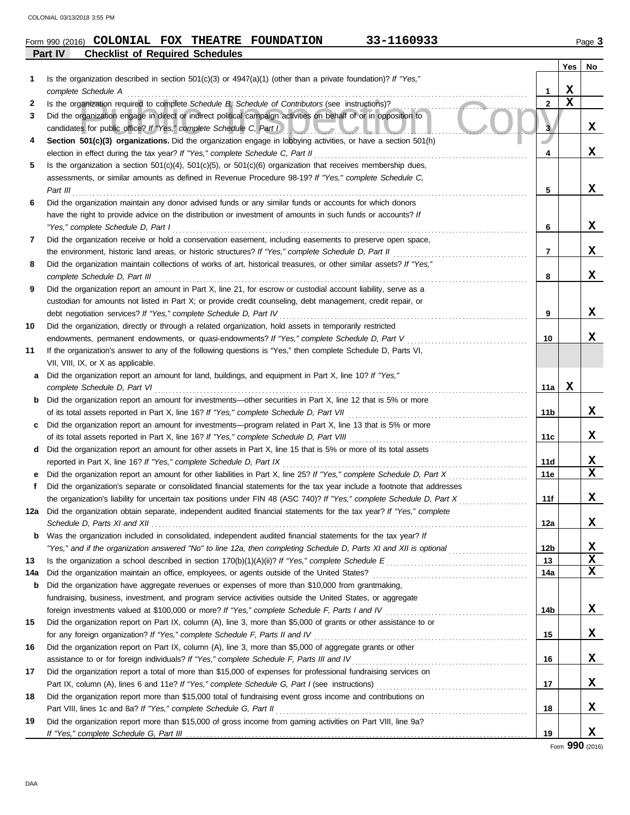| Form 990 (2016) | <b>COLONIAL FOX THEATRE</b>            |  | <b>FOUNDATION</b> | 33-1160933 | Page |
|-----------------|----------------------------------------|--|-------------------|------------|------|
| Part IV         | <b>Checklist of Required Schedules</b> |  |                   |            |      |

|     |                                                                                                                         |              | <b>Yes</b>  | No |
|-----|-------------------------------------------------------------------------------------------------------------------------|--------------|-------------|----|
| 1   | Is the organization described in section $501(c)(3)$ or $4947(a)(1)$ (other than a private foundation)? If "Yes,"       |              |             |    |
|     | complete Schedule A                                                                                                     | 1            | X           |    |
| 2   | Is the organization required to complete Schedule B, Schedule of Contributors (see instructions)?                       | $\mathbf{2}$ | $\mathbf X$ |    |
| 3   | Did the organization engage in direct or indirect political campaign activities on behalf of or in opposition to        |              |             |    |
|     | candidates for public office? If "Yes," complete Schedule C, Part I<br>AUZAU AUTAU A                                    | 3            |             | x  |
| 4   | Section 501(c)(3) organizations. Did the organization engage in lobbying activities, or have a section 501(h)           |              |             |    |
|     | election in effect during the tax year? If "Yes," complete Schedule C, Part II                                          | 4            |             | x  |
| 5   | Is the organization a section $501(c)(4)$ , $501(c)(5)$ , or $501(c)(6)$ organization that receives membership dues,    |              |             |    |
|     | assessments, or similar amounts as defined in Revenue Procedure 98-19? If "Yes," complete Schedule C,                   |              |             |    |
|     | Part III                                                                                                                | 5            |             | x  |
| 6   | Did the organization maintain any donor advised funds or any similar funds or accounts for which donors                 |              |             |    |
|     | have the right to provide advice on the distribution or investment of amounts in such funds or accounts? If             |              |             |    |
|     | "Yes," complete Schedule D, Part I                                                                                      | 6            |             | x  |
| 7   | Did the organization receive or hold a conservation easement, including easements to preserve open space,               |              |             |    |
|     | the environment, historic land areas, or historic structures? If "Yes," complete Schedule D, Part II                    | 7            |             | x  |
| 8   | Did the organization maintain collections of works of art, historical treasures, or other similar assets? If "Yes,"     |              |             |    |
|     | complete Schedule D, Part III                                                                                           | 8            |             | x  |
| 9   | Did the organization report an amount in Part X, line 21, for escrow or custodial account liability, serve as a         |              |             |    |
|     | custodian for amounts not listed in Part X; or provide credit counseling, debt management, credit repair, or            |              |             |    |
|     | debt negotiation services? If "Yes," complete Schedule D, Part IV                                                       | 9            |             | x  |
| 10  | Did the organization, directly or through a related organization, hold assets in temporarily restricted                 |              |             |    |
|     | endowments, permanent endowments, or quasi-endowments? If "Yes," complete Schedule D, Part V                            | 10           |             | x  |
| 11  | If the organization's answer to any of the following questions is "Yes," then complete Schedule D, Parts VI,            |              |             |    |
|     | VII, VIII, IX, or X as applicable.                                                                                      |              |             |    |
| a   | Did the organization report an amount for land, buildings, and equipment in Part X, line 10? If "Yes,"                  |              |             |    |
|     | complete Schedule D, Part VI                                                                                            | 11a          | x           |    |
| b   | Did the organization report an amount for investments—other securities in Part X, line 12 that is 5% or more            |              |             |    |
|     | of its total assets reported in Part X, line 16? If "Yes," complete Schedule D, Part VII                                | 11b          |             | X  |
| c   | Did the organization report an amount for investments—program related in Part X, line 13 that is 5% or more             |              |             |    |
|     | of its total assets reported in Part X, line 16? If "Yes," complete Schedule D, Part VIII                               | 11c          |             | x  |
| d   | Did the organization report an amount for other assets in Part X, line 15 that is 5% or more of its total assets        |              |             |    |
|     | reported in Part X, line 16? If "Yes," complete Schedule D, Part IX                                                     | 11d          |             | X  |
|     | Did the organization report an amount for other liabilities in Part X, line 25? If "Yes," complete Schedule D, Part X   | 11e          |             | X  |
| f   | Did the organization's separate or consolidated financial statements for the tax year include a footnote that addresses |              |             |    |
|     | the organization's liability for uncertain tax positions under FIN 48 (ASC 740)? If "Yes," complete Schedule D, Part X  | 11f          |             | X  |
|     | 12a Did the organization obtain separate, independent audited financial statements for the tax year? If "Yes," complete |              |             |    |
|     |                                                                                                                         | 12a          |             | X  |
| b   | Was the organization included in consolidated, independent audited financial statements for the tax year? If            |              |             |    |
|     | "Yes," and if the organization answered "No" to line 12a, then completing Schedule D, Parts XI and XII is optional      | 12b          |             | X  |
| 13  |                                                                                                                         | 13           |             | X  |
| 14a | Did the organization maintain an office, employees, or agents outside of the United States?                             | 14a          |             | X  |
| b   | Did the organization have aggregate revenues or expenses of more than \$10,000 from grantmaking,                        |              |             |    |
|     | fundraising, business, investment, and program service activities outside the United States, or aggregate               |              |             |    |
|     | foreign investments valued at \$100,000 or more? If "Yes," complete Schedule F, Parts I and IV [[[[[[[[[[[[[[[          | 14b          |             | X. |
| 15  | Did the organization report on Part IX, column (A), line 3, more than \$5,000 of grants or other assistance to or       |              |             |    |
|     | for any foreign organization? If "Yes," complete Schedule F, Parts II and IV                                            | 15           |             | X  |
| 16  | Did the organization report on Part IX, column (A), line 3, more than \$5,000 of aggregate grants or other              |              |             |    |
|     | assistance to or for foreign individuals? If "Yes," complete Schedule F, Parts III and IV                               | 16           |             | X  |
| 17  | Did the organization report a total of more than \$15,000 of expenses for professional fundraising services on          |              |             |    |
|     |                                                                                                                         | 17           |             | X. |
| 18  | Did the organization report more than \$15,000 total of fundraising event gross income and contributions on             |              |             |    |
|     | Part VIII, lines 1c and 8a? If "Yes," complete Schedule G, Part II                                                      | 18           |             | X  |
| 19  | Did the organization report more than \$15,000 of gross income from gaming activities on Part VIII, line 9a?            |              |             |    |
|     |                                                                                                                         | 19           |             | X  |

**19 X**

## Form **990** (2016)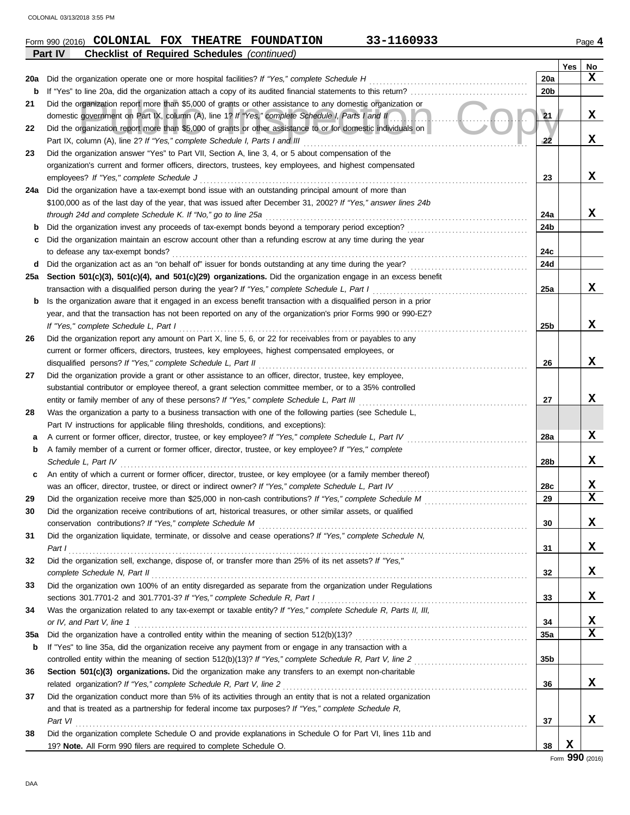DAA

|     | Part IV<br><b>Checklist of Required Schedules (continued)</b>                                                    |     |     |                  |
|-----|------------------------------------------------------------------------------------------------------------------|-----|-----|------------------|
|     |                                                                                                                  |     | Yes | No               |
| 20a | Did the organization operate one or more hospital facilities? If "Yes," complete Schedule H                      | 20a |     | X                |
| b   |                                                                                                                  | 20b |     |                  |
| 21  | Did the organization report more than \$5,000 of grants or other assistance to any domestic organization or      |     |     |                  |
|     | domestic government on Part IX, column (A), line 1? If "Yes," complete Schedule I, Parts I and II                | 21  |     | x                |
| 22  | Did the organization report more than \$5,000 of grants or other assistance to or for domestic individuals on    |     |     |                  |
|     | Part IX, column (A), line 2? If "Yes," complete Schedule I, Parts I and III                                      | 22  |     | X                |
| 23  | Did the organization answer "Yes" to Part VII, Section A, line 3, 4, or 5 about compensation of the              |     |     |                  |
|     | organization's current and former officers, directors, trustees, key employees, and highest compensated          |     |     |                  |
|     | employees? If "Yes," complete Schedule J                                                                         | 23  |     | x                |
| 24a | Did the organization have a tax-exempt bond issue with an outstanding principal amount of more than              |     |     |                  |
|     | \$100,000 as of the last day of the year, that was issued after December 31, 2002? If "Yes," answer lines 24b    |     |     |                  |
|     | through 24d and complete Schedule K. If "No," go to line 25a                                                     | 24a |     | x                |
| b   |                                                                                                                  | 24b |     |                  |
| с   | Did the organization maintain an escrow account other than a refunding escrow at any time during the year        |     |     |                  |
|     | to defease any tax-exempt bonds?                                                                                 | 24c |     |                  |
| d   |                                                                                                                  | 24d |     |                  |
| 25a | Section 501(c)(3), 501(c)(4), and 501(c)(29) organizations. Did the organization engage in an excess benefit     |     |     |                  |
|     | transaction with a disqualified person during the year? If "Yes," complete Schedule L, Part I                    | 25a |     | X                |
| b   | Is the organization aware that it engaged in an excess benefit transaction with a disqualified person in a prior |     |     |                  |
|     | year, and that the transaction has not been reported on any of the organization's prior Forms 990 or 990-EZ?     |     |     |                  |
|     | If "Yes," complete Schedule L, Part I                                                                            | 25b |     | X                |
| 26  | Did the organization report any amount on Part X, line 5, 6, or 22 for receivables from or payables to any       |     |     |                  |
|     | current or former officers, directors, trustees, key employees, highest compensated employees, or                |     |     |                  |
|     | disqualified persons? If "Yes," complete Schedule L, Part II                                                     | 26  |     | X                |
| 27  | Did the organization provide a grant or other assistance to an officer, director, trustee, key employee,         |     |     |                  |
|     | substantial contributor or employee thereof, a grant selection committee member, or to a 35% controlled          |     |     |                  |
|     | entity or family member of any of these persons? If "Yes," complete Schedule L, Part III                         | 27  |     | x                |
| 28  | Was the organization a party to a business transaction with one of the following parties (see Schedule L,        |     |     |                  |
|     | Part IV instructions for applicable filing thresholds, conditions, and exceptions):                              |     |     |                  |
| а   | A current or former officer, director, trustee, or key employee? If "Yes," complete Schedule L, Part IV          | 28a |     | X                |
| b   | A family member of a current or former officer, director, trustee, or key employee? If "Yes," complete           |     |     |                  |
|     | Schedule L. Part IV                                                                                              | 28b |     | X.               |
| c   | An entity of which a current or former officer, director, trustee, or key employee (or a family member thereof)  |     |     |                  |
|     | was an officer, director, trustee, or direct or indirect owner? If "Yes," complete Schedule L, Part IV           | 28c |     | X<br>$\mathbf x$ |
| 29  |                                                                                                                  | 29  |     |                  |
|     | Did the organization receive contributions of art, historical treasures, or other similar assets, or qualified   |     |     |                  |
|     |                                                                                                                  | 30  |     | X                |
| 31  | Did the organization liquidate, terminate, or dissolve and cease operations? If "Yes," complete Schedule N,      |     |     |                  |
|     | Part $I$                                                                                                         | 31  |     | X                |
| 32  | Did the organization sell, exchange, dispose of, or transfer more than 25% of its net assets? If "Yes,"          |     |     |                  |
|     | complete Schedule N, Part II                                                                                     | 32  |     | X.               |
| 33  | Did the organization own 100% of an entity disregarded as separate from the organization under Regulations       |     |     | x                |
|     | sections 301.7701-2 and 301.7701-3? If "Yes," complete Schedule R, Part I                                        | 33  |     |                  |
| 34  | Was the organization related to any tax-exempt or taxable entity? If "Yes," complete Schedule R, Parts II, III,  |     |     |                  |
|     | or IV, and Part V, line 1                                                                                        | 34  |     | X<br>$\mathbf x$ |
| 35a |                                                                                                                  | 35a |     |                  |
| b   | If "Yes" to line 35a, did the organization receive any payment from or engage in any transaction with a          |     |     |                  |
|     |                                                                                                                  | 35b |     |                  |
| 36  | Section 501(c)(3) organizations. Did the organization make any transfers to an exempt non-charitable             |     |     |                  |
|     | related organization? If "Yes," complete Schedule R, Part V, line 2                                              | 36  |     | x                |
| 37  | Did the organization conduct more than 5% of its activities through an entity that is not a related organization |     |     |                  |
|     | and that is treated as a partnership for federal income tax purposes? If "Yes," complete Schedule R,             |     |     | x                |
|     | Part VI                                                                                                          | 37  |     |                  |
| 38  | Did the organization complete Schedule O and provide explanations in Schedule O for Part VI, lines 11b and       |     |     |                  |
|     | 19? Note. All Form 990 filers are required to complete Schedule O.                                               | 38  | X   |                  |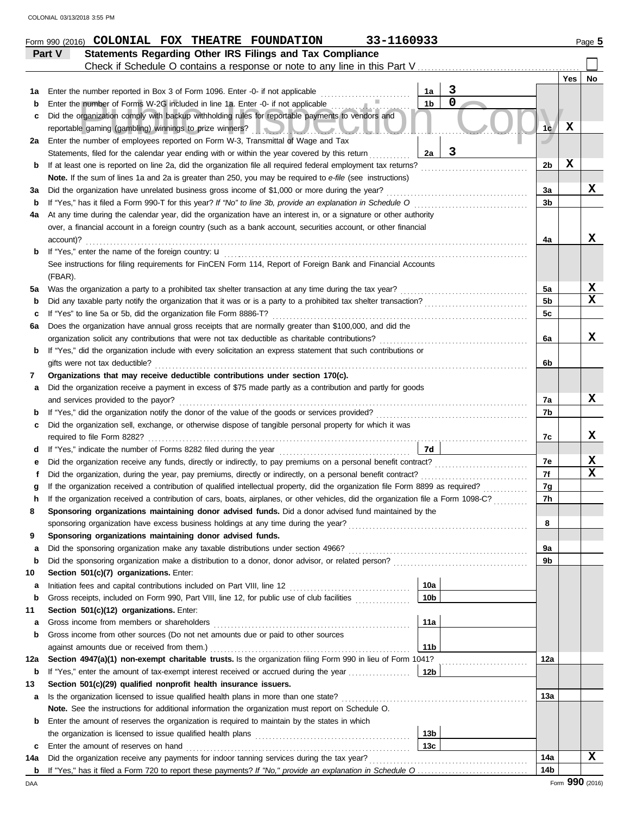|         | 33-1160933<br>Form 990 (2016) COLONIAL FOX THEATRE FOUNDATION                                                                                                                                       |                |             | Page 5 |
|---------|-----------------------------------------------------------------------------------------------------------------------------------------------------------------------------------------------------|----------------|-------------|--------|
|         | Statements Regarding Other IRS Filings and Tax Compliance<br>Part V                                                                                                                                 |                |             |        |
|         |                                                                                                                                                                                                     |                |             |        |
|         |                                                                                                                                                                                                     |                | Yes         | No     |
| 1а      | 3<br>Enter the number reported in Box 3 of Form 1096. Enter -0- if not applicable<br>1a<br>$\overline{0}$                                                                                           |                |             |        |
| b       | 1 <sub>b</sub><br>Enter the number of Forms W-2G included in line 1a. Enter -0- if not applicable                                                                                                   |                |             |        |
| c       | Did the organization comply with backup withholding rules for reportable payments to vendors and                                                                                                    |                | $\mathbf x$ |        |
|         | reportable gaming (gambling) winnings to prize winners? [11] The contract of the contract of the contract of the<br>Enter the number of employees reported on Form W-3, Transmittal of Wage and Tax | 1 <sub>c</sub> |             |        |
| 2a      | 3<br>Statements, filed for the calendar year ending with or within the year covered by this return<br>2a                                                                                            |                |             |        |
| b       | If at least one is reported on line 2a, did the organization file all required federal employment tax returns?                                                                                      | 2b             | X           |        |
|         | Note. If the sum of lines 1a and 2a is greater than 250, you may be required to e-file (see instructions)                                                                                           |                |             |        |
| За      | Did the organization have unrelated business gross income of \$1,000 or more during the year?                                                                                                       | За             |             | X      |
| b       | If "Yes," has it filed a Form 990-T for this year? If "No" to line 3b, provide an explanation in Schedule O                                                                                         | 3 <sub>b</sub> |             |        |
| 4а      | At any time during the calendar year, did the organization have an interest in, or a signature or other authority                                                                                   |                |             |        |
|         | over, a financial account in a foreign country (such as a bank account, securities account, or other financial                                                                                      |                |             |        |
|         | account)?                                                                                                                                                                                           | 4a             |             | x      |
| b       | If "Yes," enter the name of the foreign country: u                                                                                                                                                  |                |             |        |
|         | See instructions for filing requirements for FinCEN Form 114, Report of Foreign Bank and Financial Accounts                                                                                         |                |             |        |
|         | (FBAR).                                                                                                                                                                                             |                |             |        |
| 5a      | Was the organization a party to a prohibited tax shelter transaction at any time during the tax year?                                                                                               | 5a             |             | X      |
| b       | Did any taxable party notify the organization that it was or is a party to a prohibited tax shelter transaction?                                                                                    | 5 <sub>b</sub> |             | x      |
| c       | If "Yes" to line 5a or 5b, did the organization file Form 8886-T?                                                                                                                                   | 5c             |             |        |
| 6а      | Does the organization have annual gross receipts that are normally greater than \$100,000, and did the                                                                                              |                |             |        |
|         | organization solicit any contributions that were not tax deductible as charitable contributions?                                                                                                    | 6а             |             | x      |
| b       | If "Yes," did the organization include with every solicitation an express statement that such contributions or                                                                                      |                |             |        |
| 7       | gifts were not tax deductible?<br>Organizations that may receive deductible contributions under section 170(c).                                                                                     | 6b             |             |        |
| a       | Did the organization receive a payment in excess of \$75 made partly as a contribution and partly for goods                                                                                         |                |             |        |
|         | and services provided to the payor?                                                                                                                                                                 | 7а             |             | x      |
| b       | If "Yes," did the organization notify the donor of the value of the goods or services provided?                                                                                                     | 7b             |             |        |
| c       | Did the organization sell, exchange, or otherwise dispose of tangible personal property for which it was                                                                                            |                |             |        |
|         | required to file Form 8282? $\ldots$ , $\ldots$ , $\ldots$ , $\ldots$ , $\ldots$ , $\ldots$                                                                                                         | 7c             |             | x      |
| d       | <b>7d</b>                                                                                                                                                                                           |                |             |        |
|         | Did the organization receive any funds, directly or indirectly, to pay premiums on a personal benefit contract?                                                                                     | 7e             |             | X      |
|         | Did the organization, during the year, pay premiums, directly or indirectly, on a personal benefit contract?                                                                                        | 7f             |             | X      |
|         | If the organization received a contribution of qualified intellectual property, did the organization file Form 8899 as required?                                                                    | 7g             |             |        |
|         | If the organization received a contribution of cars, boats, airplanes, or other vehicles, did the organization file a Form 1098-C?                                                                  | 7 <sub>h</sub> |             |        |
| 8       | Sponsoring organizations maintaining donor advised funds. Did a donor advised fund maintained by the                                                                                                |                |             |        |
|         | sponsoring organization have excess business holdings at any time during the year?                                                                                                                  | 8              |             |        |
| 9       | Sponsoring organizations maintaining donor advised funds.                                                                                                                                           |                |             |        |
| a       | Did the sponsoring organization make any taxable distributions under section 4966?                                                                                                                  | 9а             |             |        |
| b       | Did the sponsoring organization make a distribution to a donor, donor advisor, or related person?                                                                                                   | 9b             |             |        |
| 10      | Section 501(c)(7) organizations. Enter:                                                                                                                                                             |                |             |        |
| а       | 10a<br>10 <sub>b</sub>                                                                                                                                                                              |                |             |        |
| b       | Gross receipts, included on Form 990, Part VIII, line 12, for public use of club facilities<br>Section 501(c)(12) organizations. Enter:                                                             |                |             |        |
| 11<br>а | 11a<br>Gross income from members or shareholders                                                                                                                                                    |                |             |        |
| b       | Gross income from other sources (Do not net amounts due or paid to other sources                                                                                                                    |                |             |        |
|         | 11 <sub>b</sub><br>against amounts due or received from them.)                                                                                                                                      |                |             |        |
| 12a     | Section 4947(a)(1) non-exempt charitable trusts. Is the organization filing Form 990 in lieu of Form 1041?                                                                                          | 12a            |             |        |
| b       | 12 <sub>b</sub><br>If "Yes," enter the amount of tax-exempt interest received or accrued during the year                                                                                            |                |             |        |
| 13      | Section 501(c)(29) qualified nonprofit health insurance issuers.                                                                                                                                    |                |             |        |
| а       | Is the organization licensed to issue qualified health plans in more than one state?                                                                                                                | 13a            |             |        |
|         | Note. See the instructions for additional information the organization must report on Schedule O.                                                                                                   |                |             |        |
| b       | Enter the amount of reserves the organization is required to maintain by the states in which                                                                                                        |                |             |        |
|         | 13 <sub>b</sub>                                                                                                                                                                                     |                |             |        |
| c       | 13 <sub>c</sub><br>Enter the amount of reserves on hand                                                                                                                                             |                |             |        |
| 14a     | Did the organization receive any payments for indoor tanning services during the tax year?                                                                                                          | 14a            |             | X      |
|         |                                                                                                                                                                                                     | 14b            |             |        |

DAA Form **990** (2016)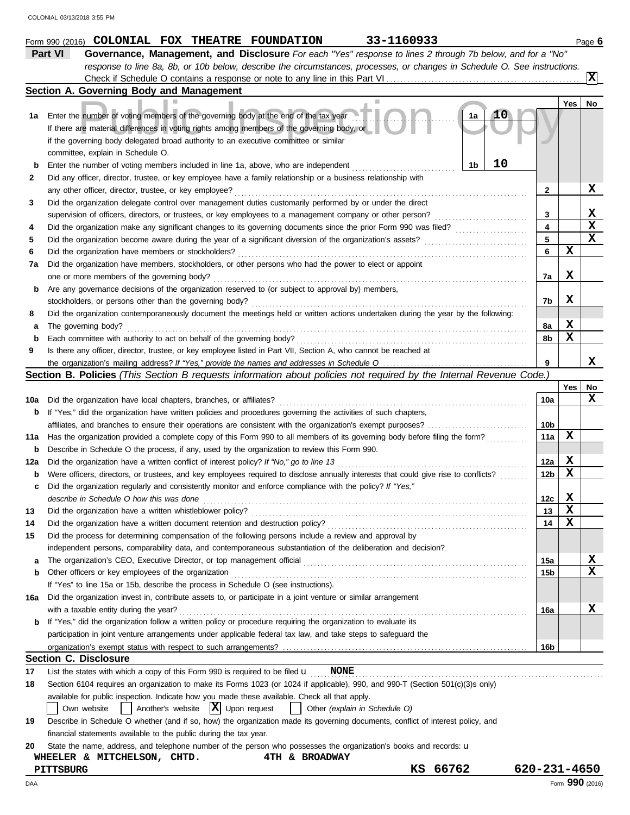|     | 33-1160933<br>Form 990 (2016) COLONIAL FOX THEATRE FOUNDATION                                                                       |                         |                 | Page 6      |
|-----|-------------------------------------------------------------------------------------------------------------------------------------|-------------------------|-----------------|-------------|
|     | Part VI<br>Governance, Management, and Disclosure For each "Yes" response to lines 2 through 7b below, and for a "No"               |                         |                 |             |
|     | response to line 8a, 8b, or 10b below, describe the circumstances, processes, or changes in Schedule O. See instructions.           |                         |                 |             |
|     |                                                                                                                                     |                         |                 | <b>IX</b>   |
|     | Section A. Governing Body and Management                                                                                            |                         |                 |             |
|     |                                                                                                                                     |                         | Yes             | No          |
| 1a  | 10<br>1a<br>Enter the number of voting members of the governing body at the end of the tax year                                     |                         |                 |             |
|     | If there are material differences in voting rights among members of the governing body, or                                          |                         |                 |             |
|     | if the governing body delegated broad authority to an executive committee or similar                                                |                         |                 |             |
|     | committee, explain in Schedule O.                                                                                                   |                         |                 |             |
| b   | 10<br>1b<br>Enter the number of voting members included in line 1a, above, who are independent                                      |                         |                 |             |
| 2   | Did any officer, director, trustee, or key employee have a family relationship or a business relationship with                      |                         |                 |             |
|     | any other officer, director, trustee, or key employee?                                                                              | $\mathbf{2}$            |                 | X           |
| 3   | Did the organization delegate control over management duties customarily performed by or under the direct                           |                         |                 |             |
|     | supervision of officers, directors, or trustees, or key employees to a management company or other person?                          | 3                       |                 | X           |
| 4   | Did the organization make any significant changes to its governing documents since the prior Form 990 was filed?                    | $\overline{\mathbf{4}}$ |                 | $\mathbf x$ |
| 5   | Did the organization become aware during the year of a significant diversion of the organization's assets?                          | 5                       |                 | $\mathbf x$ |
| 6   | Did the organization have members or stockholders?                                                                                  | 6                       | X               |             |
| 7a  | Did the organization have members, stockholders, or other persons who had the power to elect or appoint                             |                         |                 |             |
|     | one or more members of the governing body?                                                                                          | 7a                      | X               |             |
| b   | Are any governance decisions of the organization reserved to (or subject to approval by) members,                                   |                         |                 |             |
|     | stockholders, or persons other than the governing body?                                                                             | 7b                      | X               |             |
| 8   | Did the organization contemporaneously document the meetings held or written actions undertaken during the year by the following:   |                         |                 |             |
| а   | The governing body?                                                                                                                 | 8a                      | X               |             |
| b   | Each committee with authority to act on behalf of the governing body?                                                               | 8b                      | X               |             |
| 9   | Is there any officer, director, trustee, or key employee listed in Part VII, Section A, who cannot be reached at                    |                         |                 |             |
|     |                                                                                                                                     | 9                       |                 | x           |
|     | <b>Section B. Policies</b> (This Section B requests information about policies not required by the Internal Revenue Code.)          |                         |                 |             |
|     |                                                                                                                                     |                         | Yes             | No          |
| 10a | Did the organization have local chapters, branches, or affiliates?                                                                  | 10a                     |                 | x           |
| b   | If "Yes," did the organization have written policies and procedures governing the activities of such chapters,                      |                         |                 |             |
|     |                                                                                                                                     | 10b                     |                 |             |
| 11a | Has the organization provided a complete copy of this Form 990 to all members of its governing body before filing the form?         | 11a                     | X               |             |
| b   | Describe in Schedule O the process, if any, used by the organization to review this Form 990.                                       |                         |                 |             |
| 12a | Did the organization have a written conflict of interest policy? If "No," go to line 13                                             | 12a                     | X               |             |
| b   | Were officers, directors, or trustees, and key employees required to disclose annually interests that could give rise to conflicts? | 12 <sub>b</sub>         | $\mathbf x$     |             |
| c   | Did the organization regularly and consistently monitor and enforce compliance with the policy? If "Yes,"                           |                         |                 |             |
|     | describe in Schedule O how this was done                                                                                            | 12c                     | X               |             |
| 13  | Did the organization have a written whistleblower policy?                                                                           | 13                      | $\mathbf x$     |             |
| 14  | Did the organization have a written document retention and destruction policy?                                                      | 14                      | X               |             |
| 15  | Did the process for determining compensation of the following persons include a review and approval by                              |                         |                 |             |
|     | independent persons, comparability data, and contemporaneous substantiation of the deliberation and decision?                       |                         |                 |             |
| а   | The organization's CEO, Executive Director, or top management official                                                              | 15a                     |                 | x           |
| b   | Other officers or key employees of the organization                                                                                 | 15b                     |                 | x           |
|     | If "Yes" to line 15a or 15b, describe the process in Schedule O (see instructions).                                                 |                         |                 |             |
| 16a | Did the organization invest in, contribute assets to, or participate in a joint venture or similar arrangement                      |                         |                 |             |
|     | with a taxable entity during the year?                                                                                              | 16a                     |                 | x           |
| b   | If "Yes," did the organization follow a written policy or procedure requiring the organization to evaluate its                      |                         |                 |             |
|     | participation in joint venture arrangements under applicable federal tax law, and take steps to safeguard the                       |                         |                 |             |
|     |                                                                                                                                     | 16b                     |                 |             |
|     | <b>Section C. Disclosure</b>                                                                                                        |                         |                 |             |
| 17  | List the states with which a copy of this Form 990 is required to be filed $\mathbf u$<br><b>NONE</b>                               |                         |                 |             |
| 18  | Section 6104 requires an organization to make its Forms 1023 (or 1024 if applicable), 990, and 990-T (Section 501(c)(3)s only)      |                         |                 |             |
|     | available for public inspection. Indicate how you made these available. Check all that apply.                                       |                         |                 |             |
|     | $ \mathbf{X} $ Upon request<br>Another's website<br>Own website<br>Other (explain in Schedule O)                                    |                         |                 |             |
| 19  | Describe in Schedule O whether (and if so, how) the organization made its governing documents, conflict of interest policy, and     |                         |                 |             |
|     | financial statements available to the public during the tax year.                                                                   |                         |                 |             |
| 20  | State the name, address, and telephone number of the person who possesses the organization's books and records: <b>u</b>            |                         |                 |             |
|     | WHEELER & MITCHELSON, CHTD.<br><b>4TH &amp; BROADWAY</b>                                                                            |                         |                 |             |
|     | 66762<br>кs<br><b>PITTSBURG</b>                                                                                                     | 620-231-4650            |                 |             |
| DAA |                                                                                                                                     |                         | Form 990 (2016) |             |
|     |                                                                                                                                     |                         |                 |             |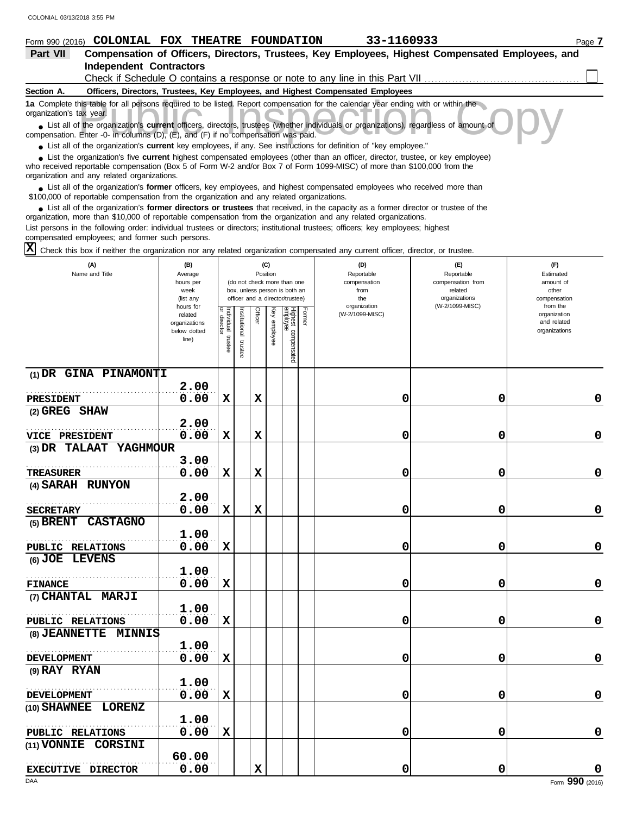#### his table for all persons required to be listed. Report compensation for the calendar year ending with or within the<br>ax year.<br>Fithe organization's **current** officers, directors, trustees (whether individuals or organizatio **Section A. Independent Contractors Part VII Compensation of Officers, Directors, Trustees, Key Employees, Highest Compensated Employees, and Form 990 (2016) COLONIAL FOX THEATRE FOUNDATION** 33-1160933 Page 7 **Officers, Directors, Trustees, Key Employees, and Highest Compensated Employees 1a** Complete this table for all persons required to be listed. Report compensation for the calendar year ending with or within the ■ List all of the organization's **current** officers, directors, trustees (whether individuals or organizations), regardless of amount of compensation. Enter -0- in columns (D), (E), and (F) if no compensation was paid. organization's tax year. Check if Schedule O contains a response or note to any line in this Part VII

● List all of the organization's **current** key employees, if any. See instructions for definition of "key employee."

■ List the organization's five **current** highest compensated employees (other than an officer, director, trustee, or key employee)<br> **•** Pregiund reportable compensation (Box 5 of Ferm W 2 and/or Box 7 of Ferm 1000 MISC) o

who received reportable compensation (Box 5 of Form W-2 and/or Box 7 of Form 1099-MISC) of more than \$100,000 from the organization and any related organizations.

■ List all of the organization's **former** officers, key employees, and highest compensated employees who received more than<br> **•** 00.000 of reportable compensation from the examization and any related erganizations \$100,000 of reportable compensation from the organization and any related organizations.

■ List all of the organization's **former directors or trustees** that received, in the capacity as a former director or trustee of the practization more than \$10,000 of reportable compensation from the organization and any organization, more than \$10,000 of reportable compensation from the organization and any related organizations. List persons in the following order: individual trustees or directors; institutional trustees; officers; key employees; highest

compensated employees; and former such persons.

Check this box if neither the organization nor any related organization compensated any current officer, director, or trustee. **X**

| (A)<br>Name and Title           | (B)<br>Average<br>hours per<br>week<br>(list any               |                                      |                         |             | (C)<br>Position | (do not check more than one<br>box, unless person is both an<br>officer and a director/trustee) |        | (D)<br>Reportable<br>compensation<br>from<br>the<br>organization | (E)<br>Reportable<br>compensation from<br>related<br>organizations<br>(W-2/1099-MISC) | (F)<br>Estimated<br>amount of<br>other<br>compensation<br>from the |
|---------------------------------|----------------------------------------------------------------|--------------------------------------|-------------------------|-------------|-----------------|-------------------------------------------------------------------------------------------------|--------|------------------------------------------------------------------|---------------------------------------------------------------------------------------|--------------------------------------------------------------------|
|                                 | hours for<br>related<br>organizations<br>below dotted<br>line) | Individual<br>or director<br>trustee | nstitutional<br>trustee | Officer     | Key employee    | Highest compensated<br>employee                                                                 | Former | (W-2/1099-MISC)                                                  |                                                                                       | organization<br>and related<br>organizations                       |
| $(1)$ DR GINA PINAMONTI         | 2.00                                                           |                                      |                         |             |                 |                                                                                                 |        |                                                                  |                                                                                       |                                                                    |
| <b>PRESIDENT</b>                | 0.00                                                           | $\mathbf x$                          |                         | $\mathbf x$ |                 |                                                                                                 |        | 0                                                                | 0                                                                                     | 0                                                                  |
| (2) GREG SHAW                   |                                                                |                                      |                         |             |                 |                                                                                                 |        |                                                                  |                                                                                       |                                                                    |
|                                 | 2.00                                                           |                                      |                         |             |                 |                                                                                                 |        |                                                                  |                                                                                       |                                                                    |
| <b>VICE PRESIDENT</b>           | 0.00                                                           | $\mathbf x$                          |                         | $\mathbf x$ |                 |                                                                                                 |        | 0                                                                | 0                                                                                     | 0                                                                  |
| (3) DR TALAAT YAGHMOUR          |                                                                |                                      |                         |             |                 |                                                                                                 |        |                                                                  |                                                                                       |                                                                    |
|                                 | 3.00                                                           |                                      |                         |             |                 |                                                                                                 |        |                                                                  |                                                                                       |                                                                    |
| <b>TREASURER</b>                | 0.00                                                           | $\mathbf x$                          |                         | $\mathbf x$ |                 |                                                                                                 |        | 0                                                                | 0                                                                                     | 0                                                                  |
| (4) SARAH RUNYON                |                                                                |                                      |                         |             |                 |                                                                                                 |        |                                                                  |                                                                                       |                                                                    |
|                                 | 2.00                                                           |                                      |                         |             |                 |                                                                                                 |        |                                                                  |                                                                                       |                                                                    |
| <b>SECRETARY</b>                | 0.00                                                           | $\mathbf x$                          |                         | $\mathbf x$ |                 |                                                                                                 |        | 0                                                                | 0                                                                                     | $\pmb{0}$                                                          |
| (5) BRENT CASTAGNO              |                                                                |                                      |                         |             |                 |                                                                                                 |        |                                                                  |                                                                                       |                                                                    |
|                                 | 1.00                                                           |                                      |                         |             |                 |                                                                                                 |        |                                                                  |                                                                                       |                                                                    |
| PUBLIC RELATIONS                | 0.00                                                           | X                                    |                         |             |                 |                                                                                                 |        | 0                                                                | 0                                                                                     | 0                                                                  |
| (6) JOE LEVENS                  |                                                                |                                      |                         |             |                 |                                                                                                 |        |                                                                  |                                                                                       |                                                                    |
|                                 | 1.00                                                           |                                      |                         |             |                 |                                                                                                 |        |                                                                  |                                                                                       |                                                                    |
| <b>FINANCE</b>                  | 0.00                                                           | $\mathbf x$                          |                         |             |                 |                                                                                                 |        | 0                                                                | 0                                                                                     | 0                                                                  |
| (7) CHANTAL MARJI               |                                                                |                                      |                         |             |                 |                                                                                                 |        |                                                                  |                                                                                       |                                                                    |
|                                 | 1.00                                                           |                                      |                         |             |                 |                                                                                                 |        |                                                                  |                                                                                       |                                                                    |
| PUBLIC RELATIONS                | 0.00                                                           | X                                    |                         |             |                 |                                                                                                 |        | 0                                                                | 0                                                                                     | 0                                                                  |
| (8) JEANNETTE<br>MINNIS         |                                                                |                                      |                         |             |                 |                                                                                                 |        |                                                                  |                                                                                       |                                                                    |
|                                 | 1.00                                                           |                                      |                         |             |                 |                                                                                                 |        |                                                                  |                                                                                       |                                                                    |
| <b>DEVELOPMENT</b>              | 0.00                                                           | $\mathbf x$                          |                         |             |                 |                                                                                                 |        | 0                                                                | 0                                                                                     | 0                                                                  |
| (9) RAY RYAN                    |                                                                |                                      |                         |             |                 |                                                                                                 |        |                                                                  |                                                                                       |                                                                    |
|                                 | 1.00                                                           |                                      |                         |             |                 |                                                                                                 |        |                                                                  |                                                                                       |                                                                    |
| <b>DEVELOPMENT</b>              | 0.00                                                           | X                                    |                         |             |                 |                                                                                                 |        | 0                                                                | 0                                                                                     | 0                                                                  |
| (10) SHAWNEE LORENZ             |                                                                |                                      |                         |             |                 |                                                                                                 |        |                                                                  |                                                                                       |                                                                    |
|                                 | 1.00                                                           |                                      |                         |             |                 |                                                                                                 |        |                                                                  |                                                                                       |                                                                    |
| PUBLIC RELATIONS                | 0.00                                                           | $\mathbf x$                          |                         |             |                 |                                                                                                 |        | 0                                                                | 0                                                                                     | 0                                                                  |
| <b>CORSINI</b><br>$(11)$ VONNIE |                                                                |                                      |                         |             |                 |                                                                                                 |        |                                                                  |                                                                                       |                                                                    |
|                                 | 60.00                                                          |                                      |                         |             |                 |                                                                                                 |        |                                                                  |                                                                                       |                                                                    |
| EXECUTIVE DIRECTOR              | 0.00                                                           |                                      |                         | $\mathbf x$ |                 |                                                                                                 |        | 0                                                                | 0                                                                                     | $\pmb{0}$                                                          |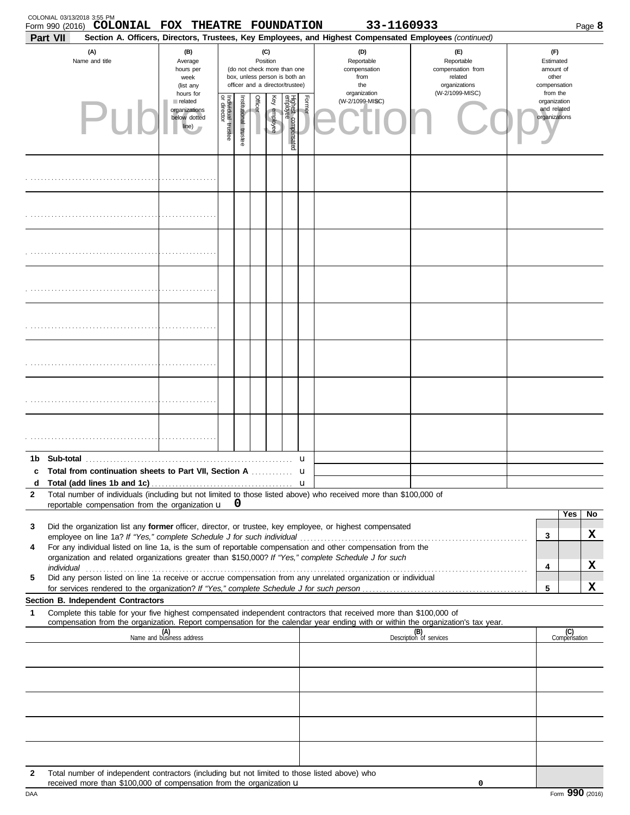|              | COLONIAL 03/13/2018 3:55 PM<br>Form 990 (2016) COLONIAL FOX THEATRE FOUNDATION                                                                                                                                                                                                                                                   |                                                                                                                                                                        |                                   |                      |                |                 |                                 |                       | 33-1160933                                                                                                                                                 |                                                                    |                                                          |                     | Page 8       |
|--------------|----------------------------------------------------------------------------------------------------------------------------------------------------------------------------------------------------------------------------------------------------------------------------------------------------------------------------------|------------------------------------------------------------------------------------------------------------------------------------------------------------------------|-----------------------------------|----------------------|----------------|-----------------|---------------------------------|-----------------------|------------------------------------------------------------------------------------------------------------------------------------------------------------|--------------------------------------------------------------------|----------------------------------------------------------|---------------------|--------------|
|              | Part VII<br>(A)<br>Name and title                                                                                                                                                                                                                                                                                                | (B)<br>(C)<br>Position<br>Average<br>(do not check more than one<br>hours per<br>box, unless person is both an<br>week<br>officer and a director/trustee)<br>(list any |                                   |                      |                |                 |                                 |                       | Section A. Officers, Directors, Trustees, Key Employees, and Highest Compensated Employees (continued)<br>(D)<br>Reportable<br>compensation<br>from<br>the | (E)<br>Reportable<br>compensation from<br>related<br>organizations | (F)<br>Estimated<br>amount of<br>other<br>compensation   |                     |              |
|              |                                                                                                                                                                                                                                                                                                                                  | hours for<br>related<br>organizations<br>below dotted<br>line)                                                                                                         | Individual trustee<br>or director | nstitutional trustee | <b>Officer</b> | Ķey<br>employee | Highest compensated<br>employee | Former                | organization<br>(W-2/1099-MISC)                                                                                                                            | (W-2/1099-MISC)                                                    | from the<br>organization<br>and related<br>organizations |                     |              |
|              |                                                                                                                                                                                                                                                                                                                                  |                                                                                                                                                                        |                                   |                      |                |                 |                                 |                       |                                                                                                                                                            |                                                                    |                                                          |                     |              |
|              |                                                                                                                                                                                                                                                                                                                                  |                                                                                                                                                                        |                                   |                      |                |                 |                                 |                       |                                                                                                                                                            |                                                                    |                                                          |                     |              |
|              |                                                                                                                                                                                                                                                                                                                                  |                                                                                                                                                                        |                                   |                      |                |                 |                                 |                       |                                                                                                                                                            |                                                                    |                                                          |                     |              |
|              |                                                                                                                                                                                                                                                                                                                                  |                                                                                                                                                                        |                                   |                      |                |                 |                                 |                       |                                                                                                                                                            |                                                                    |                                                          |                     |              |
|              |                                                                                                                                                                                                                                                                                                                                  |                                                                                                                                                                        |                                   |                      |                |                 |                                 |                       |                                                                                                                                                            |                                                                    |                                                          |                     |              |
|              |                                                                                                                                                                                                                                                                                                                                  |                                                                                                                                                                        |                                   |                      |                |                 |                                 |                       |                                                                                                                                                            |                                                                    |                                                          |                     |              |
|              |                                                                                                                                                                                                                                                                                                                                  |                                                                                                                                                                        |                                   |                      |                |                 |                                 |                       |                                                                                                                                                            |                                                                    |                                                          |                     |              |
|              |                                                                                                                                                                                                                                                                                                                                  |                                                                                                                                                                        |                                   |                      |                |                 |                                 |                       |                                                                                                                                                            |                                                                    |                                                          |                     |              |
| c<br>d       | Total from continuation sheets to Part VII, Section A                                                                                                                                                                                                                                                                            |                                                                                                                                                                        |                                   |                      |                |                 |                                 | u<br>u<br>$\mathbf u$ |                                                                                                                                                            |                                                                    |                                                          |                     |              |
| $\mathbf{2}$ | Total number of individuals (including but not limited to those listed above) who received more than \$100,000 of<br>reportable compensation from the organization $\mathbf{u}$ 0                                                                                                                                                |                                                                                                                                                                        |                                   |                      |                |                 |                                 |                       |                                                                                                                                                            |                                                                    |                                                          |                     |              |
| 3<br>4       | Did the organization list any former officer, director, or trustee, key employee, or highest compensated<br>For any individual listed on line 1a, is the sum of reportable compensation and other compensation from the<br>organization and related organizations greater than \$150,000? If "Yes," complete Schedule J for such |                                                                                                                                                                        |                                   |                      |                |                 |                                 |                       |                                                                                                                                                            |                                                                    | 3<br>4                                                   | Yes                 | No<br>x<br>x |
| 5            | Did any person listed on line 1a receive or accrue compensation from any unrelated organization or individual<br>for services rendered to the organization? If "Yes," complete Schedule J for such person                                                                                                                        |                                                                                                                                                                        |                                   |                      |                |                 |                                 |                       |                                                                                                                                                            |                                                                    | 5                                                        |                     | X            |
| 1            | Section B. Independent Contractors<br>Complete this table for your five highest compensated independent contractors that received more than \$100,000 of                                                                                                                                                                         |                                                                                                                                                                        |                                   |                      |                |                 |                                 |                       |                                                                                                                                                            |                                                                    |                                                          |                     |              |
|              | compensation from the organization. Report compensation for the calendar year ending with or within the organization's tax year.                                                                                                                                                                                                 | (A)<br>Name and business address                                                                                                                                       |                                   |                      |                |                 |                                 |                       |                                                                                                                                                            | (B)<br>Description of services                                     |                                                          | (C)<br>Compensation |              |
|              |                                                                                                                                                                                                                                                                                                                                  |                                                                                                                                                                        |                                   |                      |                |                 |                                 |                       |                                                                                                                                                            |                                                                    |                                                          |                     |              |
|              |                                                                                                                                                                                                                                                                                                                                  |                                                                                                                                                                        |                                   |                      |                |                 |                                 |                       |                                                                                                                                                            |                                                                    |                                                          |                     |              |
|              |                                                                                                                                                                                                                                                                                                                                  |                                                                                                                                                                        |                                   |                      |                |                 |                                 |                       |                                                                                                                                                            |                                                                    |                                                          |                     |              |
|              |                                                                                                                                                                                                                                                                                                                                  |                                                                                                                                                                        |                                   |                      |                |                 |                                 |                       |                                                                                                                                                            |                                                                    |                                                          |                     |              |
| 2            | Total number of independent contractors (including but not limited to those listed above) who<br>received more than \$100,000 of compensation from the organization u                                                                                                                                                            |                                                                                                                                                                        |                                   |                      |                |                 |                                 |                       |                                                                                                                                                            | 0                                                                  |                                                          |                     |              |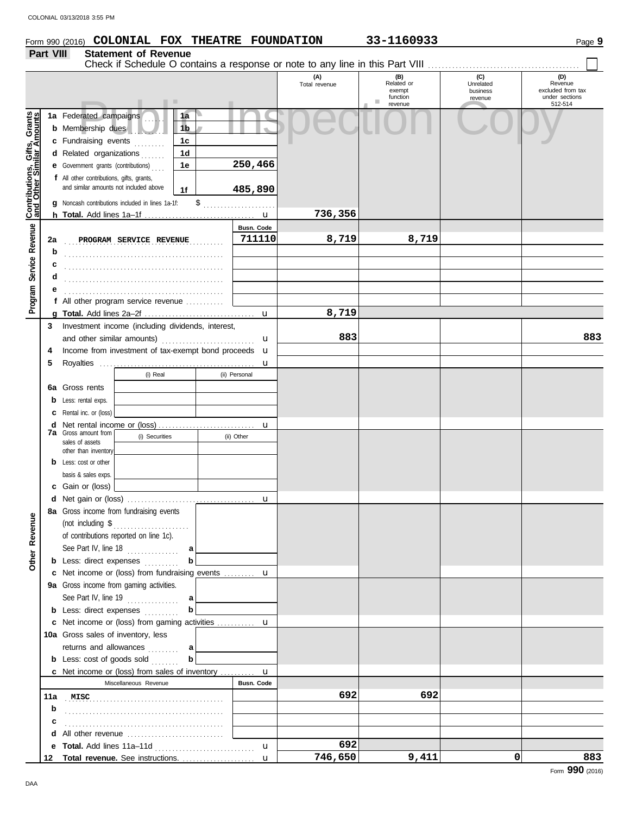# **Form 990 (2016) COLONIAL FOX THEATRE FOUNDATION** 33-1160933 Page 9

|                                                           |     |                                                                                                                                   | . .                                                              |                                  |  |                         | (A)<br>Total revenue | (B)<br>Related or<br>exempt<br>function<br>ш<br>revenue | (C)<br>Unrelated<br>business<br>revenue | (D)<br>Revenue<br>excluded from tax<br>under sections<br>512-514 |
|-----------------------------------------------------------|-----|-----------------------------------------------------------------------------------------------------------------------------------|------------------------------------------------------------------|----------------------------------|--|-------------------------|----------------------|---------------------------------------------------------|-----------------------------------------|------------------------------------------------------------------|
| Contributions, Gifts, Grants<br>and Other Similar Amounts |     | 1a Federated campaigns<br><b>b</b> Membership dues<br>c Fundraising events<br>d Related organizations                             | .                                                                | 1a<br>1 <sub>b</sub><br>1c<br>1d |  |                         |                      |                                                         |                                         |                                                                  |
|                                                           |     | <b>e</b> Government grants (contributions)<br>f All other contributions, gifts, grants,<br>and similar amounts not included above | <b>g</b> Noncash contributions included in lines 1a-1f:          | 1e<br>1f<br>\$                   |  | 250,466<br>485,890<br>. |                      |                                                         |                                         |                                                                  |
|                                                           |     |                                                                                                                                   |                                                                  |                                  |  |                         | 736,356              |                                                         |                                         |                                                                  |
| Service Revenue                                           | 2a  |                                                                                                                                   | PROGRAM SERVICE REVENUE                                          |                                  |  | Busn. Code<br>711110    | 8,719                | 8,719                                                   |                                         |                                                                  |
|                                                           | b   |                                                                                                                                   |                                                                  |                                  |  |                         |                      |                                                         |                                         |                                                                  |
|                                                           | c   |                                                                                                                                   |                                                                  |                                  |  |                         |                      |                                                         |                                         |                                                                  |
|                                                           | d   |                                                                                                                                   |                                                                  |                                  |  |                         |                      |                                                         |                                         |                                                                  |
|                                                           | е   |                                                                                                                                   |                                                                  |                                  |  |                         |                      |                                                         |                                         |                                                                  |
| Program                                                   | Ť.  |                                                                                                                                   | All other program service revenue                                |                                  |  |                         |                      |                                                         |                                         |                                                                  |
|                                                           | a   |                                                                                                                                   |                                                                  |                                  |  | u                       | 8,719                |                                                         |                                         |                                                                  |
|                                                           | 3   |                                                                                                                                   | Investment income (including dividends, interest,                |                                  |  |                         |                      |                                                         |                                         |                                                                  |
|                                                           |     |                                                                                                                                   |                                                                  |                                  |  | u                       | 883                  |                                                         |                                         | 883                                                              |
|                                                           | 4   |                                                                                                                                   | Income from investment of tax-exempt bond proceeds <b>u</b>      |                                  |  |                         |                      |                                                         |                                         |                                                                  |
|                                                           | 5   |                                                                                                                                   |                                                                  |                                  |  | u                       |                      |                                                         |                                         |                                                                  |
|                                                           |     |                                                                                                                                   | (i) Real                                                         |                                  |  | (ii) Personal           |                      |                                                         |                                         |                                                                  |
|                                                           | 6a  | Gross rents                                                                                                                       |                                                                  |                                  |  |                         |                      |                                                         |                                         |                                                                  |
|                                                           | b   | Less: rental exps.                                                                                                                |                                                                  |                                  |  |                         |                      |                                                         |                                         |                                                                  |
|                                                           | c   | Rental inc. or (loss)                                                                                                             |                                                                  |                                  |  |                         |                      |                                                         |                                         |                                                                  |
|                                                           | d   |                                                                                                                                   |                                                                  |                                  |  | u                       |                      |                                                         |                                         |                                                                  |
|                                                           | 7a  | Gross amount from                                                                                                                 | (i) Securities                                                   |                                  |  | (ii) Other              |                      |                                                         |                                         |                                                                  |
|                                                           |     | sales of assets<br>other than inventory                                                                                           |                                                                  |                                  |  |                         |                      |                                                         |                                         |                                                                  |
|                                                           |     | <b>b</b> Less: cost or other                                                                                                      |                                                                  |                                  |  |                         |                      |                                                         |                                         |                                                                  |
|                                                           |     | basis & sales exps.                                                                                                               |                                                                  |                                  |  |                         |                      |                                                         |                                         |                                                                  |
|                                                           | c   | Gain or (loss)                                                                                                                    |                                                                  |                                  |  |                         |                      |                                                         |                                         |                                                                  |
|                                                           | d   |                                                                                                                                   |                                                                  |                                  |  | u                       |                      |                                                         |                                         |                                                                  |
|                                                           |     |                                                                                                                                   | 8a Gross income from fundraising events                          |                                  |  |                         |                      |                                                         |                                         |                                                                  |
| ≌<br>Other Revenu                                         |     |                                                                                                                                   | of contributions reported on line 1c).<br>See Part IV, line $18$ | a                                |  |                         |                      |                                                         |                                         |                                                                  |
|                                                           |     |                                                                                                                                   | <b>b</b> Less: direct expenses $\ldots$                          | b                                |  |                         |                      |                                                         |                                         |                                                                  |
|                                                           | c   |                                                                                                                                   | Net income or (loss) from fundraising events <b>u</b>            |                                  |  |                         |                      |                                                         |                                         |                                                                  |
|                                                           |     |                                                                                                                                   | 9a Gross income from gaming activities.                          |                                  |  |                         |                      |                                                         |                                         |                                                                  |
|                                                           |     |                                                                                                                                   | See Part IV, line $19$                                           | a l                              |  |                         |                      |                                                         |                                         |                                                                  |
|                                                           |     |                                                                                                                                   | <b>b</b> Less: direct expenses $\ldots$                          | $\mathbf b$                      |  |                         |                      |                                                         |                                         |                                                                  |
|                                                           |     |                                                                                                                                   | c Net income or (loss) from gaming activities  u                 |                                  |  |                         |                      |                                                         |                                         |                                                                  |
|                                                           |     | 10a Gross sales of inventory, less                                                                                                |                                                                  |                                  |  |                         |                      |                                                         |                                         |                                                                  |
|                                                           |     |                                                                                                                                   | returns and allowances                                           | a                                |  |                         |                      |                                                         |                                         |                                                                  |
|                                                           |     |                                                                                                                                   | <b>b</b> Less: cost of goods sold                                | $\mathbf b$                      |  |                         |                      |                                                         |                                         |                                                                  |
|                                                           |     |                                                                                                                                   | <b>c</b> Net income or (loss) from sales of inventory <b>u</b>   |                                  |  |                         |                      |                                                         |                                         |                                                                  |
|                                                           |     |                                                                                                                                   | Miscellaneous Revenue                                            |                                  |  | <b>Busn. Code</b>       |                      |                                                         |                                         |                                                                  |
|                                                           | 11a |                                                                                                                                   | $\begin{array}{c}\n\textbf{MISC}\n\end{array}$                   |                                  |  |                         | 692                  | 692                                                     |                                         |                                                                  |
|                                                           | b   |                                                                                                                                   |                                                                  |                                  |  |                         |                      |                                                         |                                         |                                                                  |
|                                                           | c   |                                                                                                                                   |                                                                  |                                  |  |                         |                      |                                                         |                                         |                                                                  |
|                                                           | d   |                                                                                                                                   |                                                                  |                                  |  |                         |                      |                                                         |                                         |                                                                  |
|                                                           | е   |                                                                                                                                   |                                                                  |                                  |  | $\mathbf{u}$            | 692                  |                                                         |                                         |                                                                  |
|                                                           | 12  |                                                                                                                                   |                                                                  |                                  |  | $\mathbf{u}$            | 746,650              | 9,411                                                   | 0                                       | 883                                                              |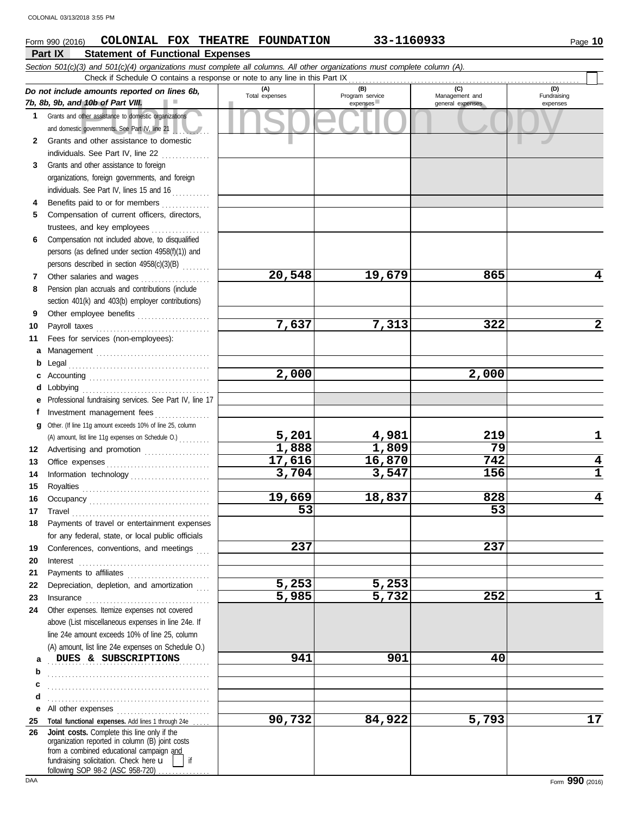#### of the assistance to domestic organizations<br>
Convernments. See Part IV, line 21<br>
The copyright of the assistance to domestic<br>
Copyright of the assistance to domestic<br>
Copyright of the assistance to domestic<br>
Copyright of t **Part IX Statement of Functional Expenses Form 990 (2016) COLONIAL FOX THEATRE FOUNDATION 33-1160933** Page 10 *Section 501(c)(3) and 501(c)(4) organizations must complete all columns. All other organizations must complete column (A). Do not include amounts reported on lines 6b, 7b, 8b, 9b, and 10b of Part VIII.* **1 2 3 4 5 6 7 8 9 10 11 a** Management . . . . . . . . . . . . . . . . . . . . . . . . . . . . . . . . . **b** Legal . . . . . . . . . . . . . . . . . . . . . . . . . . . . . . . . . . . . . . . . . **c** Accounting . . . . . . . . . . . . . . . . . . . . . . . . . . . . . . . . . . . **d** Lobbying . . . . . . . . . . . . . . . . . . . . . . . . . . . . . . . . . . . . . **e** Professional fundraising services. See Part IV, line 17 **f g** Other. (If line 11g amount exceeds 10% of line 25, column **12** Advertising and promotion . . . . . . . . . . . . . . . . . . . Grants and other assistance to domestic organizations and domestic governments. See Part IV, line 21 Grants and other assistance to domestic individuals. See Part IV, line 22 Grants and other assistance to foreign organizations, foreign governments, and foreign individuals. See Part IV, lines 15 and 16 Benefits paid to or for members . . . . . . . . . . . . . . . . Compensation of current officers, directors, trustees, and key employees . . . . . . . . . . . . . . . . . Compensation not included above, to disqualified persons (as defined under section 4958(f)(1)) and persons described in section 4958(c)(3)(B) . . . . . . . . Other salaries and wages . . . . . . . . . . . . . . . . . . . . Pension plan accruals and contributions (include section 401(k) and 403(b) employer contributions) Other employee benefits ..................... Payroll taxes . . . . . . . . . . . . . . . . . . . . . . . . . . . . . . . . . Fees for services (non-employees): Investment management fees ................ **(A) (B) (C) (D)** Management and expenses expenses (D)<br>Fundraising expenses Check if Schedule O contains a response or note to any line in this Part IX (A) amount, list line 11g expenses on Schedule O.) . . . . . . . . . **20,548 19,679 865 4 7,637 7,313 322 2 2,000 2,000 5,201 4,981 219 1 1,888 1,809 79** COLONIAL 03/13/2018 3:55 PM

| 13 |                                                                                            | 17,616 | 16,870 | 742   | 4  |
|----|--------------------------------------------------------------------------------------------|--------|--------|-------|----|
| 14 |                                                                                            | 3,704  | 3,547  | 156   | 1  |
| 15 |                                                                                            |        |        |       |    |
| 16 |                                                                                            | 19,669 | 18,837 | 828   | 4  |
| 17 | Travel <b>Executive Community</b> Travel                                                   | 53     |        | 53    |    |
| 18 | Payments of travel or entertainment expenses                                               |        |        |       |    |
|    | for any federal, state, or local public officials                                          |        |        |       |    |
| 19 | Conferences, conventions, and meetings                                                     | 237    |        | 237   |    |
| 20 | Interest                                                                                   |        |        |       |    |
| 21 |                                                                                            |        |        |       |    |
| 22 | Depreciation, depletion, and amortization                                                  | 5,253  | 5,253  |       |    |
| 23 | Insurance                                                                                  | 5,985  | 5,732  | 252   | 1  |
| 24 | Other expenses. Itemize expenses not covered                                               |        |        |       |    |
|    | above (List miscellaneous expenses in line 24e. If                                         |        |        |       |    |
|    | line 24e amount exceeds 10% of line 25, column                                             |        |        |       |    |
|    | (A) amount, list line 24e expenses on Schedule O.)                                         |        |        |       |    |
| a  | DUES & SUBSCRIPTIONS                                                                       | 941    | 901    | 40    |    |
| b  |                                                                                            |        |        |       |    |
| c  |                                                                                            |        |        |       |    |
| d  |                                                                                            |        |        |       |    |
| е  |                                                                                            |        |        |       |    |
| 25 | Total functional expenses. Add lines 1 through 24e                                         | 90,732 | 84,922 | 5,793 | 17 |
| 26 | Joint costs. Complete this line only if the                                                |        |        |       |    |
|    | organization reported in column (B) joint costs                                            |        |        |       |    |
|    | from a combined educational campaign and<br>fundraising solicitation. Check here u<br>l if |        |        |       |    |
|    |                                                                                            |        |        |       |    |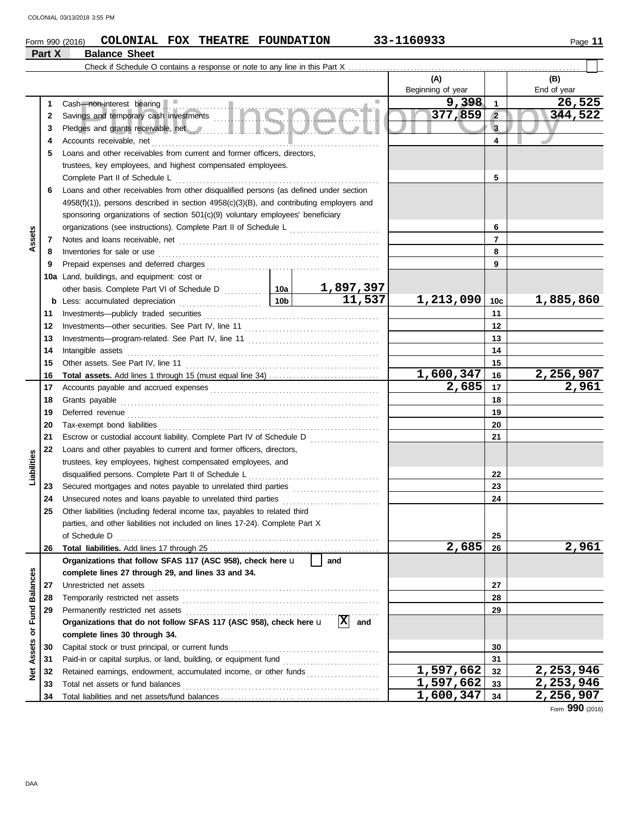### Form 990 (2016) **COLONIAL FOX THEATRE FOUNDATION** 33-1160933

### **Part X Balance Sheet**

|                     |          | Check if Schedule O contains a response or note to any line in this Part X                                                                                                                                                          |                 |                            |                          |                 |                    |
|---------------------|----------|-------------------------------------------------------------------------------------------------------------------------------------------------------------------------------------------------------------------------------------|-----------------|----------------------------|--------------------------|-----------------|--------------------|
|                     |          |                                                                                                                                                                                                                                     |                 |                            | (A)<br>Beginning of year |                 | (B)<br>End of year |
|                     | 1        | Cash-non-interest bearing                                                                                                                                                                                                           |                 | <b>Includes</b>            | 9,398                    | $\overline{1}$  | 26,525             |
|                     | 2        | Savings and temporary cash investments                                                                                                                                                                                              |                 |                            | 377,859                  | $\overline{2}$  | 344,522            |
|                     | 3        | Pledges and grants receivable, net <b>All Accepts and School and School and School and School and School and School</b>                                                                                                             |                 |                            | $\overline{3}$           |                 |                    |
|                     | 4        | Accounts receivable, net                                                                                                                                                                                                            |                 |                            |                          | 4               |                    |
|                     | 5        | Loans and other receivables from current and former officers, directors,                                                                                                                                                            |                 |                            |                          |                 |                    |
|                     |          | trustees, key employees, and highest compensated employees.                                                                                                                                                                         |                 |                            |                          |                 |                    |
|                     |          | Complete Part II of Schedule L                                                                                                                                                                                                      |                 |                            |                          | 5               |                    |
|                     | 6        | Loans and other receivables from other disqualified persons (as defined under section                                                                                                                                               |                 |                            |                          |                 |                    |
|                     |          | $4958(f)(1)$ , persons described in section $4958(c)(3)(B)$ , and contributing employers and                                                                                                                                        |                 |                            |                          |                 |                    |
|                     |          | sponsoring organizations of section 501(c)(9) voluntary employees' beneficiary                                                                                                                                                      |                 |                            |                          |                 |                    |
|                     |          | organizations (see instructions). Complete Part II of Schedule L                                                                                                                                                                    |                 |                            |                          | 6               |                    |
| Assets              | 7        |                                                                                                                                                                                                                                     |                 |                            |                          | $\overline{7}$  |                    |
|                     | 8        |                                                                                                                                                                                                                                     |                 |                            |                          | 8               |                    |
|                     | 9        | Prepaid expenses and deferred charges                                                                                                                                                                                               |                 |                            |                          | 9               |                    |
|                     |          | 10a Land, buildings, and equipment: cost or                                                                                                                                                                                         |                 |                            |                          |                 |                    |
|                     |          |                                                                                                                                                                                                                                     |                 | $\frac{1,897,397}{11,537}$ |                          |                 |                    |
|                     |          | <b>b</b> Less: accumulated depreciation                                                                                                                                                                                             | 10 <sub>b</sub> |                            | 1,213,090                | 10 <sub>c</sub> | 1,885,860          |
|                     | 11       |                                                                                                                                                                                                                                     |                 |                            |                          | 11              |                    |
|                     | 12       |                                                                                                                                                                                                                                     |                 |                            |                          | 12              |                    |
|                     | 13       |                                                                                                                                                                                                                                     |                 |                            |                          | 13              |                    |
|                     | 14       | Intangible assets                                                                                                                                                                                                                   |                 |                            |                          | 14              |                    |
|                     | 15       |                                                                                                                                                                                                                                     |                 |                            |                          | 15              |                    |
|                     | 16       | <b>Total assets.</b> Add lines 1 through 15 (must equal line 34)                                                                                                                                                                    |                 |                            | 1,600,347                | 16              | 2,256,907          |
|                     | 17       |                                                                                                                                                                                                                                     |                 |                            | $\overline{2,685}$       | 17              | 2,961              |
|                     | 18       | Grants payable <i>communication</i> and all the contract of the contract of the contract of the contract of the contract of the contract of the contract of the contract of the contract of the contract of the contract of the con |                 |                            |                          | 18              |                    |
|                     | 19       | Deferred revenue                                                                                                                                                                                                                    |                 |                            |                          | 19              |                    |
|                     | 20       |                                                                                                                                                                                                                                     |                 |                            |                          | 20              |                    |
|                     | 21       | Escrow or custodial account liability. Complete Part IV of Schedule D                                                                                                                                                               |                 |                            |                          | 21              |                    |
|                     | 22       | Loans and other payables to current and former officers, directors,                                                                                                                                                                 |                 |                            |                          |                 |                    |
| Liabilities         |          | trustees, key employees, highest compensated employees, and                                                                                                                                                                         |                 |                            |                          |                 |                    |
|                     |          | disqualified persons. Complete Part II of Schedule L                                                                                                                                                                                |                 |                            |                          | 22<br>23        |                    |
|                     | 23<br>24 | Unsecured notes and loans payable to unrelated third parties                                                                                                                                                                        |                 |                            |                          | 24              |                    |
|                     | 25       | Other liabilities (including federal income tax, payables to related third                                                                                                                                                          |                 |                            |                          |                 |                    |
|                     |          | parties, and other liabilities not included on lines 17-24). Complete Part X                                                                                                                                                        |                 |                            |                          |                 |                    |
|                     |          | of Schedule D                                                                                                                                                                                                                       |                 |                            |                          | 25              |                    |
|                     | 26       |                                                                                                                                                                                                                                     |                 |                            | 2,685                    | 26              | 2,961              |
|                     |          | Organizations that follow SFAS 117 (ASC 958), check here u                                                                                                                                                                          |                 | and                        |                          |                 |                    |
|                     |          | complete lines 27 through 29, and lines 33 and 34.                                                                                                                                                                                  |                 |                            |                          |                 |                    |
|                     | 27       | Unrestricted net assets                                                                                                                                                                                                             |                 |                            |                          | 27              |                    |
| <b>Balances</b>     | 28       |                                                                                                                                                                                                                                     |                 |                            |                          | 28              |                    |
| Fund                | 29       | Permanently restricted net assets                                                                                                                                                                                                   |                 |                            |                          | 29              |                    |
|                     |          | Organizations that do not follow SFAS 117 (ASC 958), check here u                                                                                                                                                                   |                 | 図<br>and                   |                          |                 |                    |
| $\overline{\sigma}$ |          | complete lines 30 through 34.                                                                                                                                                                                                       |                 |                            |                          |                 |                    |
| Assets              | 30       | Capital stock or trust principal, or current funds                                                                                                                                                                                  |                 | 30                         |                          |                 |                    |
|                     | 31       |                                                                                                                                                                                                                                     |                 |                            |                          | 31              |                    |
| ğ                   | 32       | Retained earnings, endowment, accumulated income, or other funds                                                                                                                                                                    |                 |                            | 1,597,662                | 32              | 2,253,946          |
|                     | 33       | Total net assets or fund balances                                                                                                                                                                                                   |                 |                            | 1,597,662                | 33              | 2,253,946          |
|                     | 34       |                                                                                                                                                                                                                                     | 1,600,347       | 34                         | 2,256,907                |                 |                    |

Form **990** (2016)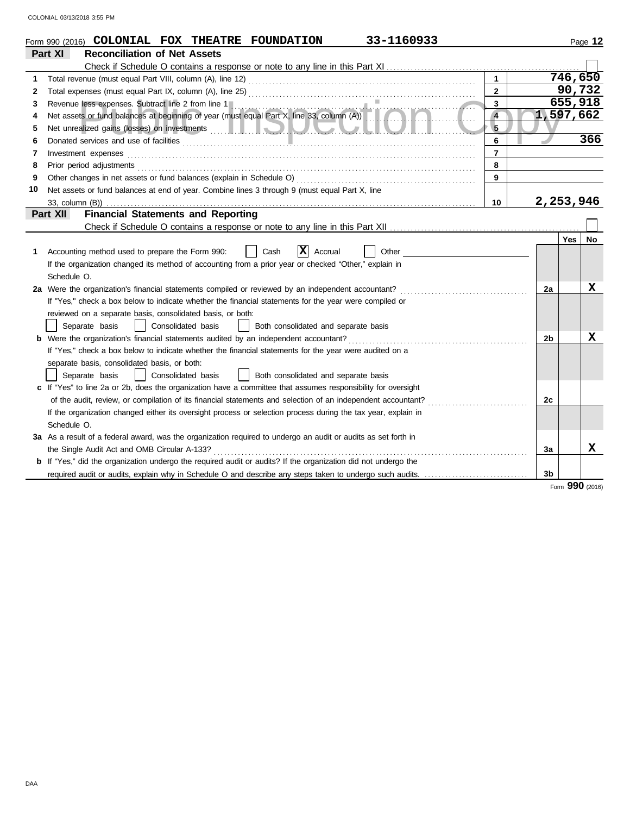|    | 33-1160933<br>Form 990 (2016) COLONIAL FOX THEATRE FOUNDATION                                                                                                           |                |                |           | Page 12 |
|----|-------------------------------------------------------------------------------------------------------------------------------------------------------------------------|----------------|----------------|-----------|---------|
|    | <b>Reconciliation of Net Assets</b><br>Part XI                                                                                                                          |                |                |           |         |
|    |                                                                                                                                                                         |                |                |           |         |
| 1  |                                                                                                                                                                         | $\mathbf{1}$   |                | 746, 650  |         |
| 2  |                                                                                                                                                                         | $\overline{2}$ |                | 90,732    |         |
| 3  |                                                                                                                                                                         | 3              |                | 655,918   |         |
| 4  | Revenue less expenses. Subtract line 2 from line 1<br>Net assets or fund balances at beginning of year (must equal Part X, line 33, column (A))<br><b>Martin Martin</b> | $\overline{4}$ |                | 1,597,662 |         |
| 5  |                                                                                                                                                                         | 5              |                |           |         |
| 6  | Donated services and use of facilities <b>constructs</b> and the service of facilities <b>constructs</b> and use of facilities                                          | 6              |                |           | 366     |
| 7  | Investment expenses                                                                                                                                                     | $\overline{7}$ |                |           |         |
| 8  | Prior period adjustments                                                                                                                                                | 8              |                |           |         |
| 9  |                                                                                                                                                                         | 9              |                |           |         |
| 10 | Net assets or fund balances at end of year. Combine lines 3 through 9 (must equal Part X, line                                                                          |                |                |           |         |
|    |                                                                                                                                                                         | 10             |                | 2,253,946 |         |
|    | <b>Financial Statements and Reporting</b><br>Part XII                                                                                                                   |                |                |           |         |
|    |                                                                                                                                                                         |                |                |           |         |
|    |                                                                                                                                                                         |                |                | Yes       | No      |
| 1. | x<br>Cash<br>Accrual<br>Other<br>Accounting method used to prepare the Form 990:                                                                                        |                |                |           |         |
|    | If the organization changed its method of accounting from a prior year or checked "Other," explain in                                                                   |                |                |           |         |
|    | Schedule O.                                                                                                                                                             |                |                |           |         |
|    | 2a Were the organization's financial statements compiled or reviewed by an independent accountant?                                                                      |                | 2a             |           | х       |
|    | If "Yes," check a box below to indicate whether the financial statements for the year were compiled or                                                                  |                |                |           |         |
|    | reviewed on a separate basis, consolidated basis, or both:                                                                                                              |                |                |           |         |
|    | Separate basis<br>Consolidated basis<br>Both consolidated and separate basis                                                                                            |                |                |           |         |
|    | <b>b</b> Were the organization's financial statements audited by an independent accountant?                                                                             |                | 2 <sub>b</sub> |           | x       |
|    | If "Yes," check a box below to indicate whether the financial statements for the year were audited on a                                                                 |                |                |           |         |
|    | separate basis, consolidated basis, or both:                                                                                                                            |                |                |           |         |
|    | Both consolidated and separate basis<br>Separate basis<br>Consolidated basis                                                                                            |                |                |           |         |
|    | c If "Yes" to line 2a or 2b, does the organization have a committee that assumes responsibility for oversight                                                           |                |                |           |         |
|    | of the audit, review, or compilation of its financial statements and selection of an independent accountant?                                                            |                | 2c             |           |         |
|    | If the organization changed either its oversight process or selection process during the tax year, explain in                                                           |                |                |           |         |
|    | Schedule O.                                                                                                                                                             |                |                |           |         |
|    | 3a As a result of a federal award, was the organization required to undergo an audit or audits as set forth in                                                          |                |                |           |         |
|    | the Single Audit Act and OMB Circular A-133?                                                                                                                            |                | За             |           | x       |
|    | <b>b</b> If "Yes," did the organization undergo the required audit or audits? If the organization did not undergo the                                                   |                |                |           |         |
|    | required audit or audits, explain why in Schedule O and describe any steps taken to undergo such audits.                                                                |                | 3 <sub>b</sub> |           |         |

Form **990** (2016)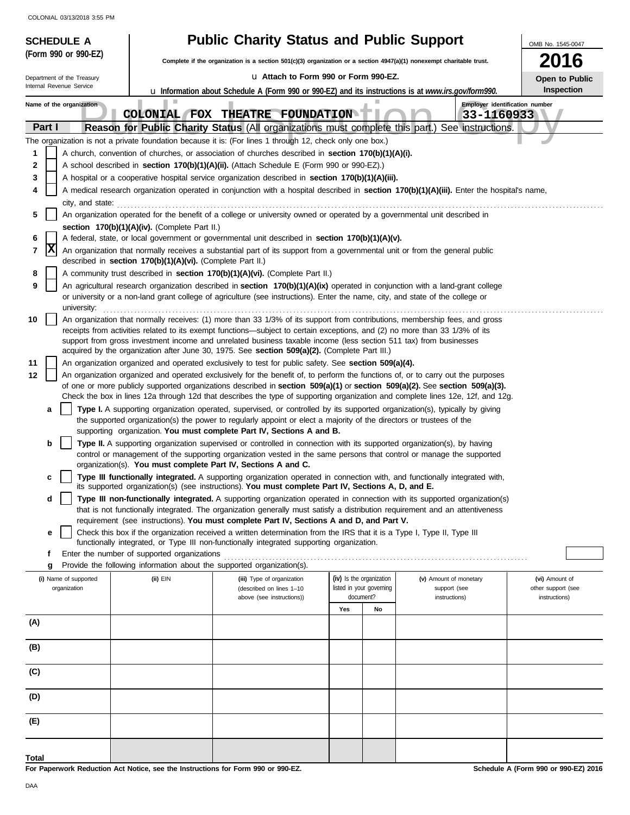| <b>SCHEDULE A</b>          |                                                                                                                       | <b>Public Charity Status and Public Support</b>                                                                                                                                                                                                                         |                          |    |                                              | OMB No. 1545-0047  |
|----------------------------|-----------------------------------------------------------------------------------------------------------------------|-------------------------------------------------------------------------------------------------------------------------------------------------------------------------------------------------------------------------------------------------------------------------|--------------------------|----|----------------------------------------------|--------------------|
| (Form 990 or 990-EZ)       |                                                                                                                       | Complete if the organization is a section 501(c)(3) organization or a section 4947(a)(1) nonexempt charitable trust.                                                                                                                                                    |                          |    |                                              | 2016               |
| Department of the Treasury |                                                                                                                       | La Attach to Form 990 or Form 990-EZ.                                                                                                                                                                                                                                   |                          |    |                                              | Open to Public     |
| Internal Revenue Service   |                                                                                                                       | <b>u</b> Information about Schedule A (Form 990 or 990-EZ) and its instructions is at www.irs.gov/form990.                                                                                                                                                              |                          |    |                                              | Inspection         |
| Name of the organization   |                                                                                                                       | COLONIAL FOX THEATRE FOUNDATION                                                                                                                                                                                                                                         |                          |    | Employer identification number<br>33-1160933 |                    |
| Part I                     |                                                                                                                       | Reason for Public Charity Status (All organizations must complete this part.) See instructions.                                                                                                                                                                         |                          |    |                                              |                    |
|                            |                                                                                                                       | The organization is not a private foundation because it is: (For lines 1 through 12, check only one box.)                                                                                                                                                               |                          |    |                                              |                    |
| 1                          |                                                                                                                       | A church, convention of churches, or association of churches described in section 170(b)(1)(A)(i).                                                                                                                                                                      |                          |    |                                              |                    |
| 2<br>3                     |                                                                                                                       | A school described in section 170(b)(1)(A)(ii). (Attach Schedule E (Form 990 or 990-EZ).)<br>A hospital or a cooperative hospital service organization described in section 170(b)(1)(A)(iii).                                                                          |                          |    |                                              |                    |
| 4                          |                                                                                                                       | A medical research organization operated in conjunction with a hospital described in section 170(b)(1)(A)(iii). Enter the hospital's name,                                                                                                                              |                          |    |                                              |                    |
| city, and state:           |                                                                                                                       |                                                                                                                                                                                                                                                                         |                          |    |                                              |                    |
| 5                          |                                                                                                                       | An organization operated for the benefit of a college or university owned or operated by a governmental unit described in                                                                                                                                               |                          |    |                                              |                    |
|                            | section 170(b)(1)(A)(iv). (Complete Part II.)                                                                         |                                                                                                                                                                                                                                                                         |                          |    |                                              |                    |
| 6<br> x<br>7               |                                                                                                                       | A federal, state, or local government or governmental unit described in section 170(b)(1)(A)(v).<br>An organization that normally receives a substantial part of its support from a governmental unit or from the general public                                        |                          |    |                                              |                    |
| 8                          | described in section 170(b)(1)(A)(vi). (Complete Part II.)                                                            | A community trust described in section 170(b)(1)(A)(vi). (Complete Part II.)                                                                                                                                                                                            |                          |    |                                              |                    |
| 9                          |                                                                                                                       | An agricultural research organization described in section 170(b)(1)(A)(ix) operated in conjunction with a land-grant college                                                                                                                                           |                          |    |                                              |                    |
| university:                |                                                                                                                       | or university or a non-land grant college of agriculture (see instructions). Enter the name, city, and state of the college or                                                                                                                                          |                          |    |                                              |                    |
| 10                         |                                                                                                                       | An organization that normally receives: (1) more than 33 1/3% of its support from contributions, membership fees, and gross                                                                                                                                             |                          |    |                                              |                    |
|                            |                                                                                                                       | receipts from activities related to its exempt functions—subject to certain exceptions, and (2) no more than 33 1/3% of its<br>support from gross investment income and unrelated business taxable income (less section 511 tax) from businesses                        |                          |    |                                              |                    |
|                            |                                                                                                                       | acquired by the organization after June 30, 1975. See section 509(a)(2). (Complete Part III.)                                                                                                                                                                           |                          |    |                                              |                    |
| 11                         |                                                                                                                       | An organization organized and operated exclusively to test for public safety. See section 509(a)(4).                                                                                                                                                                    |                          |    |                                              |                    |
| 12                         |                                                                                                                       | An organization organized and operated exclusively for the benefit of, to perform the functions of, or to carry out the purposes<br>of one or more publicly supported organizations described in section $509(a)(1)$ or section $509(a)(2)$ . See section $509(a)(3)$ . |                          |    |                                              |                    |
|                            |                                                                                                                       | Check the box in lines 12a through 12d that describes the type of supporting organization and complete lines 12e, 12f, and 12g.                                                                                                                                         |                          |    |                                              |                    |
| a                          |                                                                                                                       | Type I. A supporting organization operated, supervised, or controlled by its supported organization(s), typically by giving                                                                                                                                             |                          |    |                                              |                    |
|                            |                                                                                                                       | the supported organization(s) the power to regularly appoint or elect a majority of the directors or trustees of the<br>supporting organization. You must complete Part IV, Sections A and B.                                                                           |                          |    |                                              |                    |
| b                          |                                                                                                                       | Type II. A supporting organization supervised or controlled in connection with its supported organization(s), by having                                                                                                                                                 |                          |    |                                              |                    |
|                            |                                                                                                                       | control or management of the supporting organization vested in the same persons that control or manage the supported                                                                                                                                                    |                          |    |                                              |                    |
|                            | organization(s). You must complete Part IV, Sections A and C.                                                         |                                                                                                                                                                                                                                                                         |                          |    |                                              |                    |
| c                          |                                                                                                                       | Type III functionally integrated. A supporting organization operated in connection with, and functionally integrated with,<br>its supported organization(s) (see instructions). You must complete Part IV, Sections A, D, and E.                                        |                          |    |                                              |                    |
| d                          |                                                                                                                       | Type III non-functionally integrated. A supporting organization operated in connection with its supported organization(s)                                                                                                                                               |                          |    |                                              |                    |
|                            |                                                                                                                       | that is not functionally integrated. The organization generally must satisfy a distribution requirement and an attentiveness                                                                                                                                            |                          |    |                                              |                    |
| е                          |                                                                                                                       | requirement (see instructions). You must complete Part IV, Sections A and D, and Part V.<br>Check this box if the organization received a written determination from the IRS that it is a Type I, Type II, Type III                                                     |                          |    |                                              |                    |
|                            |                                                                                                                       | functionally integrated, or Type III non-functionally integrated supporting organization.                                                                                                                                                                               |                          |    |                                              |                    |
| f                          | Enter the number of supported organizations<br>Provide the following information about the supported organization(s). |                                                                                                                                                                                                                                                                         |                          |    |                                              |                    |
| g<br>(i) Name of supported | (ii) EIN                                                                                                              | (iii) Type of organization                                                                                                                                                                                                                                              | (iv) Is the organization |    | (v) Amount of monetary                       | (vi) Amount of     |
| organization               |                                                                                                                       | (described on lines 1-10                                                                                                                                                                                                                                                | listed in your governing |    | support (see                                 | other support (see |
|                            |                                                                                                                       | above (see instructions))                                                                                                                                                                                                                                               | document?<br>Yes         | No | instructions)                                | instructions)      |
| (A)                        |                                                                                                                       |                                                                                                                                                                                                                                                                         |                          |    |                                              |                    |
|                            |                                                                                                                       |                                                                                                                                                                                                                                                                         |                          |    |                                              |                    |
| (B)                        |                                                                                                                       |                                                                                                                                                                                                                                                                         |                          |    |                                              |                    |
| (C)                        |                                                                                                                       |                                                                                                                                                                                                                                                                         |                          |    |                                              |                    |
| (D)                        |                                                                                                                       |                                                                                                                                                                                                                                                                         |                          |    |                                              |                    |
| (E)                        |                                                                                                                       |                                                                                                                                                                                                                                                                         |                          |    |                                              |                    |
|                            |                                                                                                                       |                                                                                                                                                                                                                                                                         |                          |    |                                              |                    |
| Total                      |                                                                                                                       |                                                                                                                                                                                                                                                                         |                          |    |                                              |                    |

**For Paperwork Reduction Act Notice, see the Instructions for Form 990 or 990-EZ.**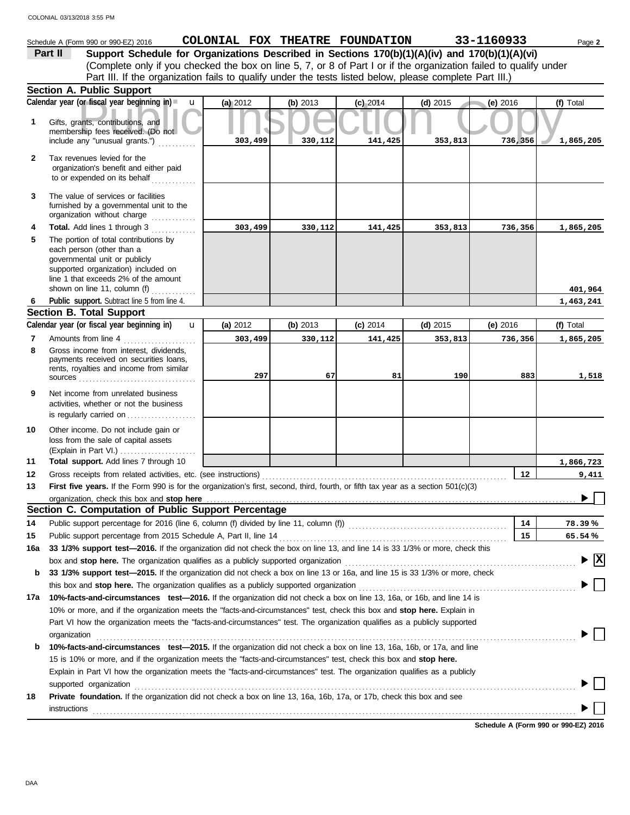| (Complete only if you checked the box on line 5, 7, or 8 of Part I or if the organization failed to qualify under<br>Part III. If the organization fails to qualify under the tests listed below, please complete Part III.)<br><b>Section A. Public Support</b><br>Calendar year (or fiscal year beginning in)<br>(a) 2012<br>$\mathbf u$<br>(b) 2013<br>$(c)$ 2014<br>$(e)$ 2016<br>(f) Total<br>(d) $2015$<br>Gifts, grants, contributions, and<br>1<br>membership fees received. (Do not<br>include any "unusual grants.")<br>303,499<br>330,112<br>141,425<br>736,356<br>1,865,205<br>353,813<br>Tax revenues levied for the<br>$\mathbf{2}$<br>organization's benefit and either paid<br>to or expended on its behalf<br>The value of services or facilities<br>3<br>furnished by a governmental unit to the<br>organization without charge<br>Total. Add lines 1 through 3<br>303,499<br>4<br>330,112<br>141,425<br>353,813<br>736,356<br>1,865,205<br>The portion of total contributions by<br>5<br>each person (other than a<br>governmental unit or publicly<br>supported organization) included on<br>line 1 that exceeds 2% of the amount<br>shown on line 11, column (f)<br>401,964<br>Public support. Subtract line 5 from line 4.<br>1,463,241<br>6<br><b>Section B. Total Support</b><br>Calendar year (or fiscal year beginning in)<br>$\mathbf{u}$<br>(a) 2012<br>(b) $2013$<br>$(c)$ 2014<br>$(d)$ 2015<br>(f) Total<br>(e) $2016$<br>Amounts from line 4<br>7<br>303,499<br>330,112<br>141,425<br>353,813<br>736,356<br>1,865,205<br>Gross income from interest, dividends,<br>8<br>payments received on securities loans,<br>rents, royalties and income from similar<br>297<br>67<br>81<br>190<br>883<br>1,518<br>$sources$<br>9<br>Net income from unrelated business<br>activities, whether or not the business<br>is regularly carried on<br>10<br>Other income. Do not include gain or<br>loss from the sale of capital assets<br>(Explain in Part VI.)<br>Total support. Add lines 7 through 10<br>11<br>1,866,723<br>12 <sub>2</sub><br>12<br>9,411<br>First five years. If the Form 990 is for the organization's first, second, third, fourth, or fifth tax year as a section $501(c)(3)$<br>13<br>$\overline{ }$<br>organization, check this box and stop here<br>Section C. Computation of Public Support Percentage<br>Public support percentage for 2016 (line 6, column (f) divided by line 11, column (f)) [[[[[[[[[[[[[[[[[[[[[[<br>14<br>14<br>78.39%<br>Public support percentage from 2015 Schedule A, Part II, line 14<br>15<br>65.54%<br>15<br>33 1/3% support test-2016. If the organization did not check the box on line 13, and line 14 is 33 1/3% or more, check this<br>16a<br>$\blacktriangleright$ $\boxed{\text{X}}$<br>box and stop here. The organization qualifies as a publicly supported organization<br>33 1/3% support test—2015. If the organization did not check a box on line 13 or 16a, and line 15 is 33 1/3% or more, check<br>b<br>this box and stop here. The organization qualifies as a publicly supported organization<br>10%-facts-and-circumstances test-2016. If the organization did not check a box on line 13, 16a, or 16b, and line 14 is<br>17а<br>10% or more, and if the organization meets the "facts-and-circumstances" test, check this box and stop here. Explain in<br>Part VI how the organization meets the "facts-and-circumstances" test. The organization qualifies as a publicly supported<br>organization<br>10%-facts-and-circumstances test-2015. If the organization did not check a box on line 13, 16a, 16b, or 17a, and line<br>b<br>15 is 10% or more, and if the organization meets the "facts-and-circumstances" test, check this box and stop here.<br>Explain in Part VI how the organization meets the "facts-and-circumstances" test. The organization qualifies as a publicly<br>supported organization<br>Private foundation. If the organization did not check a box on line 13, 16a, 16b, 17a, or 17b, check this box and see<br>18 | Schedule A (Form 990 or 990-EZ) 2016<br>Support Schedule for Organizations Described in Sections 170(b)(1)(A)(iv) and 170(b)(1)(A)(vi)<br>Part II | COLONIAL FOX THEATRE FOUNDATION |  | 33-1160933 | Page 2 |
|--------------------------------------------------------------------------------------------------------------------------------------------------------------------------------------------------------------------------------------------------------------------------------------------------------------------------------------------------------------------------------------------------------------------------------------------------------------------------------------------------------------------------------------------------------------------------------------------------------------------------------------------------------------------------------------------------------------------------------------------------------------------------------------------------------------------------------------------------------------------------------------------------------------------------------------------------------------------------------------------------------------------------------------------------------------------------------------------------------------------------------------------------------------------------------------------------------------------------------------------------------------------------------------------------------------------------------------------------------------------------------------------------------------------------------------------------------------------------------------------------------------------------------------------------------------------------------------------------------------------------------------------------------------------------------------------------------------------------------------------------------------------------------------------------------------------------------------------------------------------------------------------------------------------------------------------------------------------------------------------------------------------------------------------------------------------------------------------------------------------------------------------------------------------------------------------------------------------------------------------------------------------------------------------------------------------------------------------------------------------------------------------------------------------------------------------------------------------------------------------------------------------------------------------------------------------------------------------------------------------------------------------------------------------------------------------------------------------------------------------------------------------------------------------------------------------------------------------------------------------------------------------------------------------------------------------------------------------------------------------------------------------------------------------------------------------------------------------------------------------------------------------------------------------------------------------------------------------------------------------------------------------------------------------------------------------------------------------------------------------------------------------------------------------------------------------------------------------------------------------------------------------------------------------------------------------------------------------------------------------------------------------------------------------------------------------------------------------------------------------------------------------------------------------------------------------------------------------------------------------------------------------------------------------------------------------------------------------------------------------------------------------------------------------------|---------------------------------------------------------------------------------------------------------------------------------------------------|---------------------------------|--|------------|--------|
|                                                                                                                                                                                                                                                                                                                                                                                                                                                                                                                                                                                                                                                                                                                                                                                                                                                                                                                                                                                                                                                                                                                                                                                                                                                                                                                                                                                                                                                                                                                                                                                                                                                                                                                                                                                                                                                                                                                                                                                                                                                                                                                                                                                                                                                                                                                                                                                                                                                                                                                                                                                                                                                                                                                                                                                                                                                                                                                                                                                                                                                                                                                                                                                                                                                                                                                                                                                                                                                                                                                                                                                                                                                                                                                                                                                                                                                                                                                                                                                                                                                  |                                                                                                                                                   |                                 |  |            |        |
|                                                                                                                                                                                                                                                                                                                                                                                                                                                                                                                                                                                                                                                                                                                                                                                                                                                                                                                                                                                                                                                                                                                                                                                                                                                                                                                                                                                                                                                                                                                                                                                                                                                                                                                                                                                                                                                                                                                                                                                                                                                                                                                                                                                                                                                                                                                                                                                                                                                                                                                                                                                                                                                                                                                                                                                                                                                                                                                                                                                                                                                                                                                                                                                                                                                                                                                                                                                                                                                                                                                                                                                                                                                                                                                                                                                                                                                                                                                                                                                                                                                  |                                                                                                                                                   |                                 |  |            |        |
|                                                                                                                                                                                                                                                                                                                                                                                                                                                                                                                                                                                                                                                                                                                                                                                                                                                                                                                                                                                                                                                                                                                                                                                                                                                                                                                                                                                                                                                                                                                                                                                                                                                                                                                                                                                                                                                                                                                                                                                                                                                                                                                                                                                                                                                                                                                                                                                                                                                                                                                                                                                                                                                                                                                                                                                                                                                                                                                                                                                                                                                                                                                                                                                                                                                                                                                                                                                                                                                                                                                                                                                                                                                                                                                                                                                                                                                                                                                                                                                                                                                  |                                                                                                                                                   |                                 |  |            |        |
|                                                                                                                                                                                                                                                                                                                                                                                                                                                                                                                                                                                                                                                                                                                                                                                                                                                                                                                                                                                                                                                                                                                                                                                                                                                                                                                                                                                                                                                                                                                                                                                                                                                                                                                                                                                                                                                                                                                                                                                                                                                                                                                                                                                                                                                                                                                                                                                                                                                                                                                                                                                                                                                                                                                                                                                                                                                                                                                                                                                                                                                                                                                                                                                                                                                                                                                                                                                                                                                                                                                                                                                                                                                                                                                                                                                                                                                                                                                                                                                                                                                  |                                                                                                                                                   |                                 |  |            |        |
|                                                                                                                                                                                                                                                                                                                                                                                                                                                                                                                                                                                                                                                                                                                                                                                                                                                                                                                                                                                                                                                                                                                                                                                                                                                                                                                                                                                                                                                                                                                                                                                                                                                                                                                                                                                                                                                                                                                                                                                                                                                                                                                                                                                                                                                                                                                                                                                                                                                                                                                                                                                                                                                                                                                                                                                                                                                                                                                                                                                                                                                                                                                                                                                                                                                                                                                                                                                                                                                                                                                                                                                                                                                                                                                                                                                                                                                                                                                                                                                                                                                  |                                                                                                                                                   |                                 |  |            |        |
|                                                                                                                                                                                                                                                                                                                                                                                                                                                                                                                                                                                                                                                                                                                                                                                                                                                                                                                                                                                                                                                                                                                                                                                                                                                                                                                                                                                                                                                                                                                                                                                                                                                                                                                                                                                                                                                                                                                                                                                                                                                                                                                                                                                                                                                                                                                                                                                                                                                                                                                                                                                                                                                                                                                                                                                                                                                                                                                                                                                                                                                                                                                                                                                                                                                                                                                                                                                                                                                                                                                                                                                                                                                                                                                                                                                                                                                                                                                                                                                                                                                  |                                                                                                                                                   |                                 |  |            |        |
|                                                                                                                                                                                                                                                                                                                                                                                                                                                                                                                                                                                                                                                                                                                                                                                                                                                                                                                                                                                                                                                                                                                                                                                                                                                                                                                                                                                                                                                                                                                                                                                                                                                                                                                                                                                                                                                                                                                                                                                                                                                                                                                                                                                                                                                                                                                                                                                                                                                                                                                                                                                                                                                                                                                                                                                                                                                                                                                                                                                                                                                                                                                                                                                                                                                                                                                                                                                                                                                                                                                                                                                                                                                                                                                                                                                                                                                                                                                                                                                                                                                  |                                                                                                                                                   |                                 |  |            |        |
|                                                                                                                                                                                                                                                                                                                                                                                                                                                                                                                                                                                                                                                                                                                                                                                                                                                                                                                                                                                                                                                                                                                                                                                                                                                                                                                                                                                                                                                                                                                                                                                                                                                                                                                                                                                                                                                                                                                                                                                                                                                                                                                                                                                                                                                                                                                                                                                                                                                                                                                                                                                                                                                                                                                                                                                                                                                                                                                                                                                                                                                                                                                                                                                                                                                                                                                                                                                                                                                                                                                                                                                                                                                                                                                                                                                                                                                                                                                                                                                                                                                  |                                                                                                                                                   |                                 |  |            |        |
|                                                                                                                                                                                                                                                                                                                                                                                                                                                                                                                                                                                                                                                                                                                                                                                                                                                                                                                                                                                                                                                                                                                                                                                                                                                                                                                                                                                                                                                                                                                                                                                                                                                                                                                                                                                                                                                                                                                                                                                                                                                                                                                                                                                                                                                                                                                                                                                                                                                                                                                                                                                                                                                                                                                                                                                                                                                                                                                                                                                                                                                                                                                                                                                                                                                                                                                                                                                                                                                                                                                                                                                                                                                                                                                                                                                                                                                                                                                                                                                                                                                  |                                                                                                                                                   |                                 |  |            |        |
|                                                                                                                                                                                                                                                                                                                                                                                                                                                                                                                                                                                                                                                                                                                                                                                                                                                                                                                                                                                                                                                                                                                                                                                                                                                                                                                                                                                                                                                                                                                                                                                                                                                                                                                                                                                                                                                                                                                                                                                                                                                                                                                                                                                                                                                                                                                                                                                                                                                                                                                                                                                                                                                                                                                                                                                                                                                                                                                                                                                                                                                                                                                                                                                                                                                                                                                                                                                                                                                                                                                                                                                                                                                                                                                                                                                                                                                                                                                                                                                                                                                  |                                                                                                                                                   |                                 |  |            |        |
|                                                                                                                                                                                                                                                                                                                                                                                                                                                                                                                                                                                                                                                                                                                                                                                                                                                                                                                                                                                                                                                                                                                                                                                                                                                                                                                                                                                                                                                                                                                                                                                                                                                                                                                                                                                                                                                                                                                                                                                                                                                                                                                                                                                                                                                                                                                                                                                                                                                                                                                                                                                                                                                                                                                                                                                                                                                                                                                                                                                                                                                                                                                                                                                                                                                                                                                                                                                                                                                                                                                                                                                                                                                                                                                                                                                                                                                                                                                                                                                                                                                  |                                                                                                                                                   |                                 |  |            |        |
|                                                                                                                                                                                                                                                                                                                                                                                                                                                                                                                                                                                                                                                                                                                                                                                                                                                                                                                                                                                                                                                                                                                                                                                                                                                                                                                                                                                                                                                                                                                                                                                                                                                                                                                                                                                                                                                                                                                                                                                                                                                                                                                                                                                                                                                                                                                                                                                                                                                                                                                                                                                                                                                                                                                                                                                                                                                                                                                                                                                                                                                                                                                                                                                                                                                                                                                                                                                                                                                                                                                                                                                                                                                                                                                                                                                                                                                                                                                                                                                                                                                  |                                                                                                                                                   |                                 |  |            |        |
|                                                                                                                                                                                                                                                                                                                                                                                                                                                                                                                                                                                                                                                                                                                                                                                                                                                                                                                                                                                                                                                                                                                                                                                                                                                                                                                                                                                                                                                                                                                                                                                                                                                                                                                                                                                                                                                                                                                                                                                                                                                                                                                                                                                                                                                                                                                                                                                                                                                                                                                                                                                                                                                                                                                                                                                                                                                                                                                                                                                                                                                                                                                                                                                                                                                                                                                                                                                                                                                                                                                                                                                                                                                                                                                                                                                                                                                                                                                                                                                                                                                  |                                                                                                                                                   |                                 |  |            |        |
|                                                                                                                                                                                                                                                                                                                                                                                                                                                                                                                                                                                                                                                                                                                                                                                                                                                                                                                                                                                                                                                                                                                                                                                                                                                                                                                                                                                                                                                                                                                                                                                                                                                                                                                                                                                                                                                                                                                                                                                                                                                                                                                                                                                                                                                                                                                                                                                                                                                                                                                                                                                                                                                                                                                                                                                                                                                                                                                                                                                                                                                                                                                                                                                                                                                                                                                                                                                                                                                                                                                                                                                                                                                                                                                                                                                                                                                                                                                                                                                                                                                  |                                                                                                                                                   |                                 |  |            |        |
|                                                                                                                                                                                                                                                                                                                                                                                                                                                                                                                                                                                                                                                                                                                                                                                                                                                                                                                                                                                                                                                                                                                                                                                                                                                                                                                                                                                                                                                                                                                                                                                                                                                                                                                                                                                                                                                                                                                                                                                                                                                                                                                                                                                                                                                                                                                                                                                                                                                                                                                                                                                                                                                                                                                                                                                                                                                                                                                                                                                                                                                                                                                                                                                                                                                                                                                                                                                                                                                                                                                                                                                                                                                                                                                                                                                                                                                                                                                                                                                                                                                  |                                                                                                                                                   |                                 |  |            |        |
|                                                                                                                                                                                                                                                                                                                                                                                                                                                                                                                                                                                                                                                                                                                                                                                                                                                                                                                                                                                                                                                                                                                                                                                                                                                                                                                                                                                                                                                                                                                                                                                                                                                                                                                                                                                                                                                                                                                                                                                                                                                                                                                                                                                                                                                                                                                                                                                                                                                                                                                                                                                                                                                                                                                                                                                                                                                                                                                                                                                                                                                                                                                                                                                                                                                                                                                                                                                                                                                                                                                                                                                                                                                                                                                                                                                                                                                                                                                                                                                                                                                  |                                                                                                                                                   |                                 |  |            |        |
|                                                                                                                                                                                                                                                                                                                                                                                                                                                                                                                                                                                                                                                                                                                                                                                                                                                                                                                                                                                                                                                                                                                                                                                                                                                                                                                                                                                                                                                                                                                                                                                                                                                                                                                                                                                                                                                                                                                                                                                                                                                                                                                                                                                                                                                                                                                                                                                                                                                                                                                                                                                                                                                                                                                                                                                                                                                                                                                                                                                                                                                                                                                                                                                                                                                                                                                                                                                                                                                                                                                                                                                                                                                                                                                                                                                                                                                                                                                                                                                                                                                  |                                                                                                                                                   |                                 |  |            |        |
|                                                                                                                                                                                                                                                                                                                                                                                                                                                                                                                                                                                                                                                                                                                                                                                                                                                                                                                                                                                                                                                                                                                                                                                                                                                                                                                                                                                                                                                                                                                                                                                                                                                                                                                                                                                                                                                                                                                                                                                                                                                                                                                                                                                                                                                                                                                                                                                                                                                                                                                                                                                                                                                                                                                                                                                                                                                                                                                                                                                                                                                                                                                                                                                                                                                                                                                                                                                                                                                                                                                                                                                                                                                                                                                                                                                                                                                                                                                                                                                                                                                  |                                                                                                                                                   |                                 |  |            |        |
|                                                                                                                                                                                                                                                                                                                                                                                                                                                                                                                                                                                                                                                                                                                                                                                                                                                                                                                                                                                                                                                                                                                                                                                                                                                                                                                                                                                                                                                                                                                                                                                                                                                                                                                                                                                                                                                                                                                                                                                                                                                                                                                                                                                                                                                                                                                                                                                                                                                                                                                                                                                                                                                                                                                                                                                                                                                                                                                                                                                                                                                                                                                                                                                                                                                                                                                                                                                                                                                                                                                                                                                                                                                                                                                                                                                                                                                                                                                                                                                                                                                  |                                                                                                                                                   |                                 |  |            |        |
|                                                                                                                                                                                                                                                                                                                                                                                                                                                                                                                                                                                                                                                                                                                                                                                                                                                                                                                                                                                                                                                                                                                                                                                                                                                                                                                                                                                                                                                                                                                                                                                                                                                                                                                                                                                                                                                                                                                                                                                                                                                                                                                                                                                                                                                                                                                                                                                                                                                                                                                                                                                                                                                                                                                                                                                                                                                                                                                                                                                                                                                                                                                                                                                                                                                                                                                                                                                                                                                                                                                                                                                                                                                                                                                                                                                                                                                                                                                                                                                                                                                  |                                                                                                                                                   |                                 |  |            |        |
|                                                                                                                                                                                                                                                                                                                                                                                                                                                                                                                                                                                                                                                                                                                                                                                                                                                                                                                                                                                                                                                                                                                                                                                                                                                                                                                                                                                                                                                                                                                                                                                                                                                                                                                                                                                                                                                                                                                                                                                                                                                                                                                                                                                                                                                                                                                                                                                                                                                                                                                                                                                                                                                                                                                                                                                                                                                                                                                                                                                                                                                                                                                                                                                                                                                                                                                                                                                                                                                                                                                                                                                                                                                                                                                                                                                                                                                                                                                                                                                                                                                  |                                                                                                                                                   |                                 |  |            |        |
|                                                                                                                                                                                                                                                                                                                                                                                                                                                                                                                                                                                                                                                                                                                                                                                                                                                                                                                                                                                                                                                                                                                                                                                                                                                                                                                                                                                                                                                                                                                                                                                                                                                                                                                                                                                                                                                                                                                                                                                                                                                                                                                                                                                                                                                                                                                                                                                                                                                                                                                                                                                                                                                                                                                                                                                                                                                                                                                                                                                                                                                                                                                                                                                                                                                                                                                                                                                                                                                                                                                                                                                                                                                                                                                                                                                                                                                                                                                                                                                                                                                  |                                                                                                                                                   |                                 |  |            |        |
|                                                                                                                                                                                                                                                                                                                                                                                                                                                                                                                                                                                                                                                                                                                                                                                                                                                                                                                                                                                                                                                                                                                                                                                                                                                                                                                                                                                                                                                                                                                                                                                                                                                                                                                                                                                                                                                                                                                                                                                                                                                                                                                                                                                                                                                                                                                                                                                                                                                                                                                                                                                                                                                                                                                                                                                                                                                                                                                                                                                                                                                                                                                                                                                                                                                                                                                                                                                                                                                                                                                                                                                                                                                                                                                                                                                                                                                                                                                                                                                                                                                  |                                                                                                                                                   |                                 |  |            |        |
|                                                                                                                                                                                                                                                                                                                                                                                                                                                                                                                                                                                                                                                                                                                                                                                                                                                                                                                                                                                                                                                                                                                                                                                                                                                                                                                                                                                                                                                                                                                                                                                                                                                                                                                                                                                                                                                                                                                                                                                                                                                                                                                                                                                                                                                                                                                                                                                                                                                                                                                                                                                                                                                                                                                                                                                                                                                                                                                                                                                                                                                                                                                                                                                                                                                                                                                                                                                                                                                                                                                                                                                                                                                                                                                                                                                                                                                                                                                                                                                                                                                  |                                                                                                                                                   |                                 |  |            |        |
|                                                                                                                                                                                                                                                                                                                                                                                                                                                                                                                                                                                                                                                                                                                                                                                                                                                                                                                                                                                                                                                                                                                                                                                                                                                                                                                                                                                                                                                                                                                                                                                                                                                                                                                                                                                                                                                                                                                                                                                                                                                                                                                                                                                                                                                                                                                                                                                                                                                                                                                                                                                                                                                                                                                                                                                                                                                                                                                                                                                                                                                                                                                                                                                                                                                                                                                                                                                                                                                                                                                                                                                                                                                                                                                                                                                                                                                                                                                                                                                                                                                  |                                                                                                                                                   |                                 |  |            |        |
|                                                                                                                                                                                                                                                                                                                                                                                                                                                                                                                                                                                                                                                                                                                                                                                                                                                                                                                                                                                                                                                                                                                                                                                                                                                                                                                                                                                                                                                                                                                                                                                                                                                                                                                                                                                                                                                                                                                                                                                                                                                                                                                                                                                                                                                                                                                                                                                                                                                                                                                                                                                                                                                                                                                                                                                                                                                                                                                                                                                                                                                                                                                                                                                                                                                                                                                                                                                                                                                                                                                                                                                                                                                                                                                                                                                                                                                                                                                                                                                                                                                  |                                                                                                                                                   |                                 |  |            |        |
|                                                                                                                                                                                                                                                                                                                                                                                                                                                                                                                                                                                                                                                                                                                                                                                                                                                                                                                                                                                                                                                                                                                                                                                                                                                                                                                                                                                                                                                                                                                                                                                                                                                                                                                                                                                                                                                                                                                                                                                                                                                                                                                                                                                                                                                                                                                                                                                                                                                                                                                                                                                                                                                                                                                                                                                                                                                                                                                                                                                                                                                                                                                                                                                                                                                                                                                                                                                                                                                                                                                                                                                                                                                                                                                                                                                                                                                                                                                                                                                                                                                  |                                                                                                                                                   |                                 |  |            |        |
|                                                                                                                                                                                                                                                                                                                                                                                                                                                                                                                                                                                                                                                                                                                                                                                                                                                                                                                                                                                                                                                                                                                                                                                                                                                                                                                                                                                                                                                                                                                                                                                                                                                                                                                                                                                                                                                                                                                                                                                                                                                                                                                                                                                                                                                                                                                                                                                                                                                                                                                                                                                                                                                                                                                                                                                                                                                                                                                                                                                                                                                                                                                                                                                                                                                                                                                                                                                                                                                                                                                                                                                                                                                                                                                                                                                                                                                                                                                                                                                                                                                  |                                                                                                                                                   |                                 |  |            |        |
|                                                                                                                                                                                                                                                                                                                                                                                                                                                                                                                                                                                                                                                                                                                                                                                                                                                                                                                                                                                                                                                                                                                                                                                                                                                                                                                                                                                                                                                                                                                                                                                                                                                                                                                                                                                                                                                                                                                                                                                                                                                                                                                                                                                                                                                                                                                                                                                                                                                                                                                                                                                                                                                                                                                                                                                                                                                                                                                                                                                                                                                                                                                                                                                                                                                                                                                                                                                                                                                                                                                                                                                                                                                                                                                                                                                                                                                                                                                                                                                                                                                  |                                                                                                                                                   |                                 |  |            |        |
|                                                                                                                                                                                                                                                                                                                                                                                                                                                                                                                                                                                                                                                                                                                                                                                                                                                                                                                                                                                                                                                                                                                                                                                                                                                                                                                                                                                                                                                                                                                                                                                                                                                                                                                                                                                                                                                                                                                                                                                                                                                                                                                                                                                                                                                                                                                                                                                                                                                                                                                                                                                                                                                                                                                                                                                                                                                                                                                                                                                                                                                                                                                                                                                                                                                                                                                                                                                                                                                                                                                                                                                                                                                                                                                                                                                                                                                                                                                                                                                                                                                  |                                                                                                                                                   |                                 |  |            |        |
|                                                                                                                                                                                                                                                                                                                                                                                                                                                                                                                                                                                                                                                                                                                                                                                                                                                                                                                                                                                                                                                                                                                                                                                                                                                                                                                                                                                                                                                                                                                                                                                                                                                                                                                                                                                                                                                                                                                                                                                                                                                                                                                                                                                                                                                                                                                                                                                                                                                                                                                                                                                                                                                                                                                                                                                                                                                                                                                                                                                                                                                                                                                                                                                                                                                                                                                                                                                                                                                                                                                                                                                                                                                                                                                                                                                                                                                                                                                                                                                                                                                  |                                                                                                                                                   |                                 |  |            |        |
|                                                                                                                                                                                                                                                                                                                                                                                                                                                                                                                                                                                                                                                                                                                                                                                                                                                                                                                                                                                                                                                                                                                                                                                                                                                                                                                                                                                                                                                                                                                                                                                                                                                                                                                                                                                                                                                                                                                                                                                                                                                                                                                                                                                                                                                                                                                                                                                                                                                                                                                                                                                                                                                                                                                                                                                                                                                                                                                                                                                                                                                                                                                                                                                                                                                                                                                                                                                                                                                                                                                                                                                                                                                                                                                                                                                                                                                                                                                                                                                                                                                  |                                                                                                                                                   |                                 |  |            |        |
| instructions                                                                                                                                                                                                                                                                                                                                                                                                                                                                                                                                                                                                                                                                                                                                                                                                                                                                                                                                                                                                                                                                                                                                                                                                                                                                                                                                                                                                                                                                                                                                                                                                                                                                                                                                                                                                                                                                                                                                                                                                                                                                                                                                                                                                                                                                                                                                                                                                                                                                                                                                                                                                                                                                                                                                                                                                                                                                                                                                                                                                                                                                                                                                                                                                                                                                                                                                                                                                                                                                                                                                                                                                                                                                                                                                                                                                                                                                                                                                                                                                                                     |                                                                                                                                                   |                                 |  |            |        |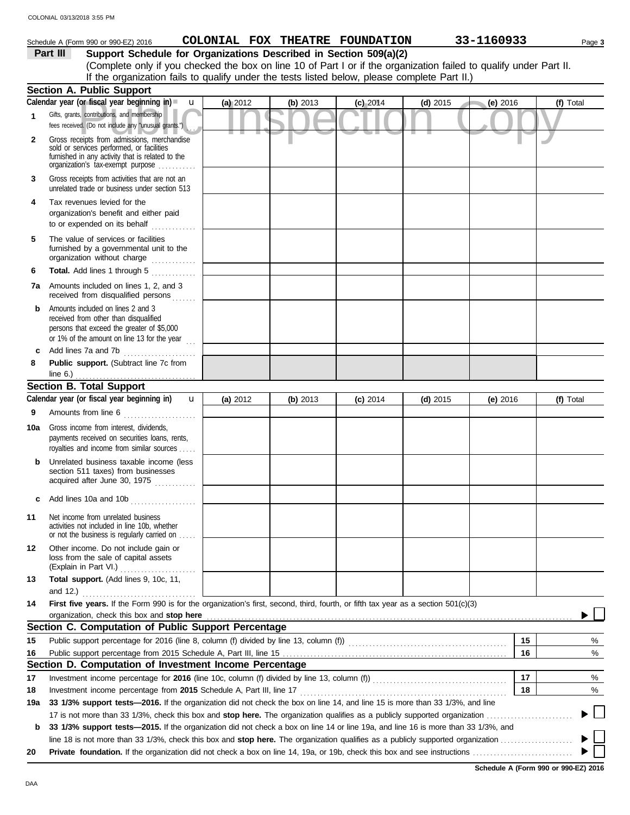|                      | Schedule A (Form 990 or 990-EZ) 2016                                                                                                     |          |          | COLONIAL FOX THEATRE FOUNDATION |            | 33-1160933 | Page 3    |
|----------------------|------------------------------------------------------------------------------------------------------------------------------------------|----------|----------|---------------------------------|------------|------------|-----------|
|                      | Support Schedule for Organizations Described in Section 509(a)(2)<br>Part III                                                            |          |          |                                 |            |            |           |
|                      | (Complete only if you checked the box on line 10 of Part I or if the organization failed to qualify under Part II.                       |          |          |                                 |            |            |           |
|                      | If the organization fails to qualify under the tests listed below, please complete Part II.)                                             |          |          |                                 |            |            |           |
|                      | <b>Section A. Public Support</b>                                                                                                         |          |          |                                 |            |            |           |
|                      | Calendar year (or fiscal year beginning in) $\blacksquare$ $\blacksquare$                                                                | (a) 2012 | (b) 2013 | $(c)$ 2014                      | (d) $2015$ | (e) 2016   | (f) Total |
| $\blacktriangleleft$ | Gifts, grants, contributions, and membership                                                                                             |          |          |                                 |            |            |           |
|                      | fees received. (Do not include any "unusual grants.")                                                                                    |          |          |                                 |            |            |           |
| $\mathbf{2}$         | Gross receipts from admissions, merchandise                                                                                              |          |          |                                 |            |            |           |
|                      | sold or services performed, or facilities                                                                                                |          |          |                                 |            |            |           |
|                      | furnished in any activity that is related to the<br>organization's tax-exempt purpose                                                    |          |          |                                 |            |            |           |
|                      |                                                                                                                                          |          |          |                                 |            |            |           |
| 3                    | Gross receipts from activities that are not an<br>unrelated trade or business under section 513                                          |          |          |                                 |            |            |           |
| 4                    | Tax revenues levied for the                                                                                                              |          |          |                                 |            |            |           |
|                      | organization's benefit and either paid                                                                                                   |          |          |                                 |            |            |           |
|                      | to or expended on its behalf                                                                                                             |          |          |                                 |            |            |           |
| 5                    | The value of services or facilities                                                                                                      |          |          |                                 |            |            |           |
|                      | furnished by a governmental unit to the                                                                                                  |          |          |                                 |            |            |           |
|                      | organization without charge                                                                                                              |          |          |                                 |            |            |           |
| 6                    | Total. Add lines 1 through 5                                                                                                             |          |          |                                 |            |            |           |
|                      | 7a Amounts included on lines 1, 2, and 3                                                                                                 |          |          |                                 |            |            |           |
|                      | received from disqualified persons                                                                                                       |          |          |                                 |            |            |           |
| b                    | Amounts included on lines 2 and 3                                                                                                        |          |          |                                 |            |            |           |
|                      | received from other than disqualified                                                                                                    |          |          |                                 |            |            |           |
|                      | persons that exceed the greater of \$5,000<br>or 1% of the amount on line 13 for the year                                                |          |          |                                 |            |            |           |
| c                    | Add lines 7a and 7b                                                                                                                      |          |          |                                 |            |            |           |
| 8                    | Public support. (Subtract line 7c from                                                                                                   |          |          |                                 |            |            |           |
|                      | line 6.) $\ldots$                                                                                                                        |          |          |                                 |            |            |           |
|                      | <b>Section B. Total Support</b>                                                                                                          |          |          |                                 |            |            |           |
|                      | Calendar year (or fiscal year beginning in)<br>$\mathbf{u}$                                                                              | (a) 2012 | (b) 2013 | $(c)$ 2014                      | (d) $2015$ | $(e)$ 2016 | (f) Total |
| 9                    | Amounts from line 6                                                                                                                      |          |          |                                 |            |            |           |
|                      |                                                                                                                                          |          |          |                                 |            |            |           |
| 10a                  | Gross income from interest, dividends,<br>payments received on securities loans, rents,                                                  |          |          |                                 |            |            |           |
|                      | royalties and income from similar sources                                                                                                |          |          |                                 |            |            |           |
| b                    | Unrelated business taxable income (less                                                                                                  |          |          |                                 |            |            |           |
|                      | section 511 taxes) from businesses                                                                                                       |          |          |                                 |            |            |           |
|                      | acquired after June 30, 1975                                                                                                             |          |          |                                 |            |            |           |
| c                    | Add lines 10a and 10b                                                                                                                    |          |          |                                 |            |            |           |
|                      |                                                                                                                                          |          |          |                                 |            |            |           |
| 11                   | Net income from unrelated business<br>activities not included in line 10b, whether                                                       |          |          |                                 |            |            |           |
|                      | or not the business is regularly carried on                                                                                              |          |          |                                 |            |            |           |
| 12                   | Other income. Do not include gain or                                                                                                     |          |          |                                 |            |            |           |
|                      | loss from the sale of capital assets                                                                                                     |          |          |                                 |            |            |           |
|                      | (Explain in Part VI.)                                                                                                                    |          |          |                                 |            |            |           |
| 13                   | Total support. (Add lines 9, 10c, 11,                                                                                                    |          |          |                                 |            |            |           |
|                      | and $12.$ )                                                                                                                              |          |          |                                 |            |            |           |
| 14                   | First five years. If the Form 990 is for the organization's first, second, third, fourth, or fifth tax year as a section 501(c)(3)       |          |          |                                 |            |            |           |
|                      | organization, check this box and stop here                                                                                               |          |          |                                 |            |            |           |
|                      | Section C. Computation of Public Support Percentage                                                                                      |          |          |                                 |            |            |           |
| 15                   |                                                                                                                                          |          |          |                                 |            | 15         | %         |
| 16                   |                                                                                                                                          |          |          |                                 |            | 16         | %         |
|                      | Section D. Computation of Investment Income Percentage                                                                                   |          |          |                                 |            |            |           |
| 17                   |                                                                                                                                          |          |          |                                 |            | 17         | %         |
| 18                   |                                                                                                                                          |          |          |                                 |            | 18         | %         |
| 19a                  | 33 1/3% support tests—2016. If the organization did not check the box on line 14, and line 15 is more than 33 1/3%, and line             |          |          |                                 |            |            | $\sim$    |
|                      |                                                                                                                                          |          |          |                                 |            |            |           |
| b                    | 33 1/3% support tests—2015. If the organization did not check a box on line 14 or line 19a, and line 16 is more than 33 1/3%, and        |          |          |                                 |            |            |           |
|                      | line 18 is not more than 33 1/3%, check this box and stop here. The organization qualifies as a publicly supported organization $\ldots$ |          |          |                                 |            |            |           |
| 20                   |                                                                                                                                          |          |          |                                 |            |            |           |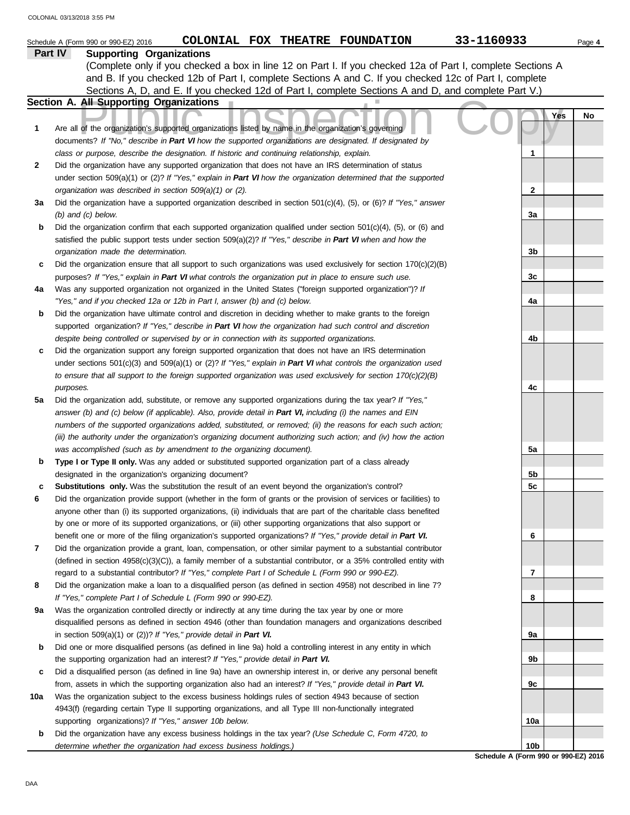|     | COLONIAL FOX THEATRE FOUNDATION<br>Schedule A (Form 990 or 990-EZ) 2016                                                                                                               | 33-1160933     |     | Page 4 |
|-----|---------------------------------------------------------------------------------------------------------------------------------------------------------------------------------------|----------------|-----|--------|
|     | Part IV<br><b>Supporting Organizations</b>                                                                                                                                            |                |     |        |
|     | (Complete only if you checked a box in line 12 on Part I. If you checked 12a of Part I, complete Sections A                                                                           |                |     |        |
|     | and B. If you checked 12b of Part I, complete Sections A and C. If you checked 12c of Part I, complete                                                                                |                |     |        |
|     | Sections A, D, and E. If you checked 12d of Part I, complete Sections A and D, and complete Part V.)                                                                                  |                |     |        |
|     | Section A. All Supporting Organizations                                                                                                                                               |                |     |        |
|     |                                                                                                                                                                                       |                | Yes | No     |
| 1   | Are all of the organization's supported organizations listed by name in the organization's governing                                                                                  |                |     |        |
|     | documents? If "No," describe in Part VI how the supported organizations are designated. If designated by                                                                              |                |     |        |
|     | class or purpose, describe the designation. If historic and continuing relationship, explain.                                                                                         | 1              |     |        |
| 2   | Did the organization have any supported organization that does not have an IRS determination of status                                                                                |                |     |        |
|     | under section $509(a)(1)$ or (2)? If "Yes," explain in Part VI how the organization determined that the supported                                                                     |                |     |        |
|     | organization was described in section 509(a)(1) or (2).                                                                                                                               | 2              |     |        |
| За  | Did the organization have a supported organization described in section $501(c)(4)$ , (5), or (6)? If "Yes," answer                                                                   |                |     |        |
|     | $(b)$ and $(c)$ below.                                                                                                                                                                | За             |     |        |
| b   | Did the organization confirm that each supported organization qualified under section $501(c)(4)$ , (5), or (6) and                                                                   |                |     |        |
|     | satisfied the public support tests under section $509(a)(2)?$ If "Yes," describe in Part VI when and how the                                                                          |                |     |        |
|     | organization made the determination.                                                                                                                                                  | 3b             |     |        |
| c   | Did the organization ensure that all support to such organizations was used exclusively for section $170(c)(2)(B)$                                                                    |                |     |        |
|     | purposes? If "Yes," explain in Part VI what controls the organization put in place to ensure such use.                                                                                | 3c             |     |        |
| 4a  | Was any supported organization not organized in the United States ("foreign supported organization")? If<br>"Yes," and if you checked 12a or 12b in Part I, answer (b) and (c) below. | 4a             |     |        |
| b   | Did the organization have ultimate control and discretion in deciding whether to make grants to the foreign                                                                           |                |     |        |
|     | supported organization? If "Yes," describe in Part VI how the organization had such control and discretion                                                                            |                |     |        |
|     | despite being controlled or supervised by or in connection with its supported organizations.                                                                                          | 4b             |     |        |
| c   | Did the organization support any foreign supported organization that does not have an IRS determination                                                                               |                |     |        |
|     | under sections $501(c)(3)$ and $509(a)(1)$ or $(2)?$ If "Yes," explain in Part VI what controls the organization used                                                                 |                |     |        |
|     | to ensure that all support to the foreign supported organization was used exclusively for section $170(c)(2)(B)$                                                                      |                |     |        |
|     | purposes.                                                                                                                                                                             | 4c             |     |        |
| 5a  | Did the organization add, substitute, or remove any supported organizations during the tax year? If "Yes,"                                                                            |                |     |        |
|     | answer (b) and (c) below (if applicable). Also, provide detail in Part VI, including (i) the names and EIN                                                                            |                |     |        |
|     | numbers of the supported organizations added, substituted, or removed; (ii) the reasons for each such action;                                                                         |                |     |        |
|     | (iii) the authority under the organization's organizing document authorizing such action; and (iv) how the action                                                                     |                |     |        |
|     | was accomplished (such as by amendment to the organizing document).                                                                                                                   | 5a             |     |        |
| b   | Type I or Type II only. Was any added or substituted supported organization part of a class already                                                                                   |                |     |        |
|     | designated in the organization's organizing document?                                                                                                                                 | 5b             |     |        |
| c   | Substitutions only. Was the substitution the result of an event beyond the organization's control?                                                                                    | 5 <sub>c</sub> |     |        |
| 6   | Did the organization provide support (whether in the form of grants or the provision of services or facilities) to                                                                    |                |     |        |
|     | anyone other than (i) its supported organizations, (ii) individuals that are part of the charitable class benefited                                                                   |                |     |        |
|     | by one or more of its supported organizations, or (iii) other supporting organizations that also support or                                                                           |                |     |        |
|     | benefit one or more of the filing organization's supported organizations? If "Yes," provide detail in Part VI.                                                                        | 6              |     |        |
| 7   | Did the organization provide a grant, loan, compensation, or other similar payment to a substantial contributor                                                                       |                |     |        |
|     | (defined in section 4958(c)(3)(C)), a family member of a substantial contributor, or a 35% controlled entity with                                                                     |                |     |        |
|     | regard to a substantial contributor? If "Yes," complete Part I of Schedule L (Form 990 or 990-EZ).                                                                                    | 7              |     |        |
| 8   | Did the organization make a loan to a disqualified person (as defined in section 4958) not described in line 7?                                                                       |                |     |        |
|     | If "Yes," complete Part I of Schedule L (Form 990 or 990-EZ).                                                                                                                         | 8              |     |        |
| 9а  | Was the organization controlled directly or indirectly at any time during the tax year by one or more                                                                                 |                |     |        |
|     | disqualified persons as defined in section 4946 (other than foundation managers and organizations described                                                                           |                |     |        |
|     | in section 509(a)(1) or (2))? If "Yes," provide detail in Part VI.                                                                                                                    | 9а             |     |        |
| b   | Did one or more disqualified persons (as defined in line 9a) hold a controlling interest in any entity in which                                                                       |                |     |        |
|     | the supporting organization had an interest? If "Yes," provide detail in Part VI.                                                                                                     | 9b             |     |        |
| c   | Did a disqualified person (as defined in line 9a) have an ownership interest in, or derive any personal benefit                                                                       |                |     |        |
|     | from, assets in which the supporting organization also had an interest? If "Yes," provide detail in Part VI.                                                                          | 9c             |     |        |
| 10a | Was the organization subject to the excess business holdings rules of section 4943 because of section                                                                                 |                |     |        |
|     | 4943(f) (regarding certain Type II supporting organizations, and all Type III non-functionally integrated<br>supporting organizations)? If "Yes," answer 10b below.                   | 10a            |     |        |
| b   | Did the organization have any excess business holdings in the tax year? (Use Schedule C, Form 4720, to                                                                                |                |     |        |
|     | determine whether the organization had excess business holdings.)                                                                                                                     | 10b            |     |        |
|     |                                                                                                                                                                                       |                |     |        |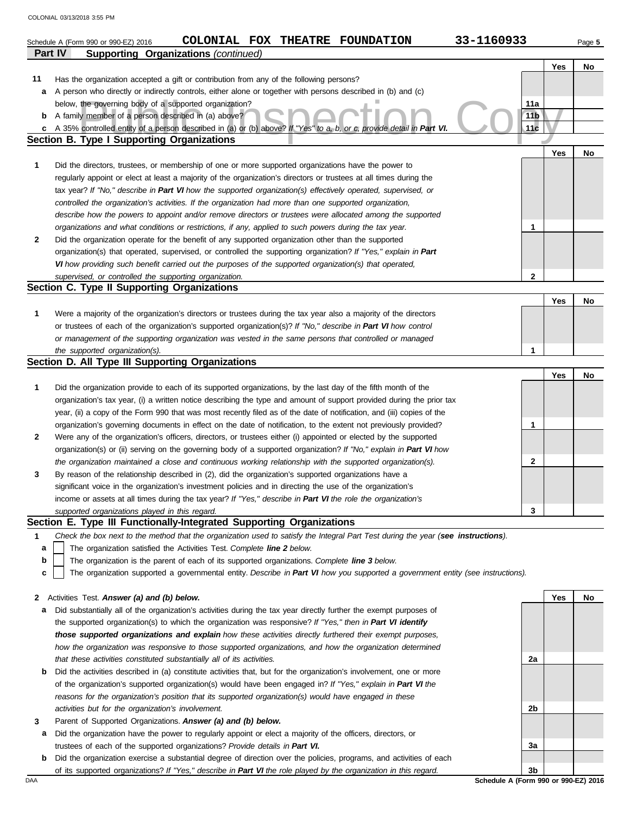|                | 33-1160933<br>COLONIAL FOX THEATRE FOUNDATION<br>Schedule A (Form 990 or 990-EZ) 2016                                                                                  |                 |     | Page 5 |
|----------------|------------------------------------------------------------------------------------------------------------------------------------------------------------------------|-----------------|-----|--------|
| <b>Part IV</b> | <b>Supporting Organizations (continued)</b>                                                                                                                            |                 |     |        |
|                |                                                                                                                                                                        |                 | Yes | No     |
| 11             | Has the organization accepted a gift or contribution from any of the following persons?                                                                                |                 |     |        |
| a              | A person who directly or indirectly controls, either alone or together with persons described in (b) and (c)<br>below, the governing body of a supported organization? | 11a             |     |        |
| b              | A family member of a person described in (a) above?                                                                                                                    | 11 <sub>b</sub> |     |        |
|                | c A 35% controlled entity of a person described in (a) or (b) above? If "Yes" to a, b, or c, provide detail in Part VI.                                                | 11 <sub>c</sub> |     |        |
|                | Section B. Type I Supporting Organizations                                                                                                                             |                 |     |        |
|                |                                                                                                                                                                        |                 | Yes | No     |
| 1              | Did the directors, trustees, or membership of one or more supported organizations have the power to                                                                    |                 |     |        |
|                | regularly appoint or elect at least a majority of the organization's directors or trustees at all times during the                                                     |                 |     |        |
|                | tax year? If "No," describe in Part VI how the supported organization(s) effectively operated, supervised, or                                                          |                 |     |        |
|                | controlled the organization's activities. If the organization had more than one supported organization,                                                                |                 |     |        |
|                | describe how the powers to appoint and/or remove directors or trustees were allocated among the supported                                                              |                 |     |        |
|                | organizations and what conditions or restrictions, if any, applied to such powers during the tax year.                                                                 | 1               |     |        |
| 2              | Did the organization operate for the benefit of any supported organization other than the supported                                                                    |                 |     |        |
|                | organization(s) that operated, supervised, or controlled the supporting organization? If "Yes," explain in Part                                                        |                 |     |        |
|                | VI how providing such benefit carried out the purposes of the supported organization(s) that operated,                                                                 |                 |     |        |
|                | supervised, or controlled the supporting organization.<br>Section C. Type II Supporting Organizations                                                                  | 2               |     |        |
|                |                                                                                                                                                                        |                 | Yes | No     |
| 1              | Were a majority of the organization's directors or trustees during the tax year also a majority of the directors                                                       |                 |     |        |
|                | or trustees of each of the organization's supported organization(s)? If "No," describe in Part VI how control                                                          |                 |     |        |
|                | or management of the supporting organization was vested in the same persons that controlled or managed                                                                 |                 |     |        |
|                | the supported organization(s).                                                                                                                                         | 1               |     |        |
|                | Section D. All Type III Supporting Organizations                                                                                                                       |                 |     |        |
|                |                                                                                                                                                                        |                 | Yes | No     |
| 1              | Did the organization provide to each of its supported organizations, by the last day of the fifth month of the                                                         |                 |     |        |
|                | organization's tax year, (i) a written notice describing the type and amount of support provided during the prior tax                                                  |                 |     |        |
|                | year, (ii) a copy of the Form 990 that was most recently filed as of the date of notification, and (iii) copies of the                                                 |                 |     |        |
|                | organization's governing documents in effect on the date of notification, to the extent not previously provided?                                                       | 1               |     |        |
| 2              | Were any of the organization's officers, directors, or trustees either (i) appointed or elected by the supported                                                       |                 |     |        |
|                | organization(s) or (ii) serving on the governing body of a supported organization? If "No," explain in Part VI how                                                     |                 |     |        |
|                | the organization maintained a close and continuous working relationship with the supported organization(s).                                                            | 2               |     |        |
| 3              | By reason of the relationship described in (2), did the organization's supported organizations have a                                                                  |                 |     |        |
|                | significant voice in the organization's investment policies and in directing the use of the organization's                                                             |                 |     |        |
|                | income or assets at all times during the tax year? If "Yes," describe in Part VI the role the organization's<br>supported organizations played in this regard.         | 3               |     |        |
|                | Section E. Type III Functionally-Integrated Supporting Organizations                                                                                                   |                 |     |        |
| 1              | Check the box next to the method that the organization used to satisfy the Integral Part Test during the year (see instructions).                                      |                 |     |        |
| a              | The organization satisfied the Activities Test. Complete line 2 below.                                                                                                 |                 |     |        |
| b              | The organization is the parent of each of its supported organizations. Complete line 3 below.                                                                          |                 |     |        |
| c              | The organization supported a governmental entity. Describe in Part VI how you supported a government entity (see instructions).                                        |                 |     |        |
|                |                                                                                                                                                                        |                 |     |        |
| 2              | Activities Test. Answer (a) and (b) below.                                                                                                                             |                 | Yes | No     |
| a              | Did substantially all of the organization's activities during the tax year directly further the exempt purposes of                                                     |                 |     |        |
|                | the supported organization(s) to which the organization was responsive? If "Yes," then in Part VI identify                                                             |                 |     |        |
|                | those supported organizations and explain how these activities directly furthered their exempt purposes,                                                               |                 |     |        |
|                | how the organization was responsive to those supported organizations, and how the organization determined                                                              |                 |     |        |
|                | that these activities constituted substantially all of its activities.                                                                                                 | 2a              |     |        |
| b              | Did the activities described in (a) constitute activities that, but for the organization's involvement, one or more                                                    |                 |     |        |
|                | of the organization's supported organization(s) would have been engaged in? If "Yes," explain in Part VI the                                                           |                 |     |        |
|                | reasons for the organization's position that its supported organization(s) would have engaged in these                                                                 |                 |     |        |
|                | activities but for the organization's involvement.<br>Parent of Supported Organizations. Answer (a) and (b) below.                                                     | 2b              |     |        |
| 3<br>а         | Did the organization have the power to regularly appoint or elect a majority of the officers, directors, or                                                            |                 |     |        |
|                | trustees of each of the supported organizations? Provide details in Part VI.                                                                                           | За              |     |        |
| b              | Did the organization exercise a substantial degree of direction over the policies, programs, and activities of each                                                    |                 |     |        |
|                | of its supported organizations? If "Yes," describe in Part VI the role played by the organization in this regard.                                                      | 3 <sub>b</sub>  |     |        |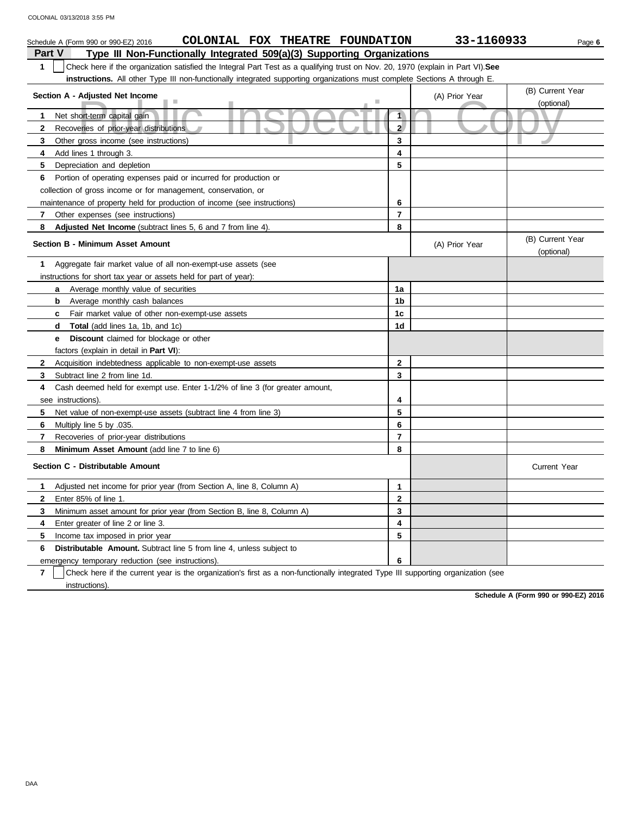| COLONIAL FOX THEATRE FOUNDATION<br>Schedule A (Form 990 or 990-EZ) 2016                                                   |                                                                                                                                  | 33-1160933     | Page 6                         |  |  |  |  |  |
|---------------------------------------------------------------------------------------------------------------------------|----------------------------------------------------------------------------------------------------------------------------------|----------------|--------------------------------|--|--|--|--|--|
| <b>Part V</b><br>Type III Non-Functionally Integrated 509(a)(3) Supporting Organizations                                  |                                                                                                                                  |                |                                |  |  |  |  |  |
| 1                                                                                                                         | Check here if the organization satisfied the Integral Part Test as a qualifying trust on Nov. 20, 1970 (explain in Part VI). See |                |                                |  |  |  |  |  |
| instructions. All other Type III non-functionally integrated supporting organizations must complete Sections A through E. |                                                                                                                                  |                |                                |  |  |  |  |  |
| Section A - Adjusted Net Income                                                                                           |                                                                                                                                  | (A) Prior Year | (B) Current Year               |  |  |  |  |  |
| ш                                                                                                                         |                                                                                                                                  |                | (optional)                     |  |  |  |  |  |
| Net short-term capital gain<br>1                                                                                          | $\overline{\mathbf{1}}$                                                                                                          |                |                                |  |  |  |  |  |
| $\mathbf{2}$<br>Recoveries of prior-year distributions                                                                    | 2 <sup>1</sup>                                                                                                                   |                |                                |  |  |  |  |  |
| 3<br>Other gross income (see instructions)                                                                                | 3                                                                                                                                |                |                                |  |  |  |  |  |
| 4<br>Add lines 1 through 3.                                                                                               | 4                                                                                                                                |                |                                |  |  |  |  |  |
| 5<br>Depreciation and depletion                                                                                           | 5                                                                                                                                |                |                                |  |  |  |  |  |
| 6<br>Portion of operating expenses paid or incurred for production or                                                     |                                                                                                                                  |                |                                |  |  |  |  |  |
| collection of gross income or for management, conservation, or                                                            |                                                                                                                                  |                |                                |  |  |  |  |  |
| maintenance of property held for production of income (see instructions)                                                  | 6                                                                                                                                |                |                                |  |  |  |  |  |
| $\mathbf{7}$<br>Other expenses (see instructions)                                                                         | $\overline{7}$                                                                                                                   |                |                                |  |  |  |  |  |
| 8<br>Adjusted Net Income (subtract lines 5, 6 and 7 from line 4).                                                         | 8                                                                                                                                |                |                                |  |  |  |  |  |
| <b>Section B - Minimum Asset Amount</b>                                                                                   |                                                                                                                                  | (A) Prior Year | (B) Current Year<br>(optional) |  |  |  |  |  |
| 1<br>Aggregate fair market value of all non-exempt-use assets (see                                                        |                                                                                                                                  |                |                                |  |  |  |  |  |
| instructions for short tax year or assets held for part of year):                                                         |                                                                                                                                  |                |                                |  |  |  |  |  |
| <b>a</b> Average monthly value of securities                                                                              | 1a                                                                                                                               |                |                                |  |  |  |  |  |
| <b>b</b> Average monthly cash balances                                                                                    | 1 <sub>b</sub>                                                                                                                   |                |                                |  |  |  |  |  |
| Fair market value of other non-exempt-use assets<br>C                                                                     | 1c                                                                                                                               |                |                                |  |  |  |  |  |
| <b>Total</b> (add lines 1a, 1b, and 1c)<br>d                                                                              | 1d                                                                                                                               |                |                                |  |  |  |  |  |
| <b>Discount</b> claimed for blockage or other<br>е                                                                        |                                                                                                                                  |                |                                |  |  |  |  |  |
| factors (explain in detail in <b>Part VI)</b> :                                                                           |                                                                                                                                  |                |                                |  |  |  |  |  |
| $\mathbf{2}$<br>Acquisition indebtedness applicable to non-exempt-use assets                                              | $\overline{2}$                                                                                                                   |                |                                |  |  |  |  |  |
| 3<br>Subtract line 2 from line 1d.                                                                                        | 3                                                                                                                                |                |                                |  |  |  |  |  |
| Cash deemed held for exempt use. Enter 1-1/2% of line 3 (for greater amount,<br>4                                         |                                                                                                                                  |                |                                |  |  |  |  |  |
| see instructions).                                                                                                        | 4                                                                                                                                |                |                                |  |  |  |  |  |
| Net value of non-exempt-use assets (subtract line 4 from line 3)<br>5                                                     | 5                                                                                                                                |                |                                |  |  |  |  |  |
| 6<br>Multiply line 5 by .035.                                                                                             | 6                                                                                                                                |                |                                |  |  |  |  |  |
| $\overline{7}$<br>Recoveries of prior-year distributions                                                                  | $\overline{7}$                                                                                                                   |                |                                |  |  |  |  |  |
| 8<br><b>Minimum Asset Amount (add line 7 to line 6)</b>                                                                   | 8                                                                                                                                |                |                                |  |  |  |  |  |
| Section C - Distributable Amount                                                                                          |                                                                                                                                  |                | <b>Current Year</b>            |  |  |  |  |  |
| Adjusted net income for prior year (from Section A, line 8, Column A)<br>1                                                | $\mathbf{1}$                                                                                                                     |                |                                |  |  |  |  |  |
| $\mathbf{2}$<br>Enter 85% of line 1.                                                                                      | $\mathbf{2}$                                                                                                                     |                |                                |  |  |  |  |  |
| 3<br>Minimum asset amount for prior year (from Section B, line 8, Column A)                                               | 3                                                                                                                                |                |                                |  |  |  |  |  |
| Enter greater of line 2 or line 3.<br>4                                                                                   | 4                                                                                                                                |                |                                |  |  |  |  |  |
| 5<br>Income tax imposed in prior year                                                                                     | 5                                                                                                                                |                |                                |  |  |  |  |  |
| <b>Distributable Amount.</b> Subtract line 5 from line 4, unless subject to<br>6                                          |                                                                                                                                  |                |                                |  |  |  |  |  |
| emergency temporary reduction (see instructions).                                                                         | 6                                                                                                                                |                |                                |  |  |  |  |  |

**7** | Check here if the current year is the organization's first as a non-functionally integrated Type III supporting organization (see instructions).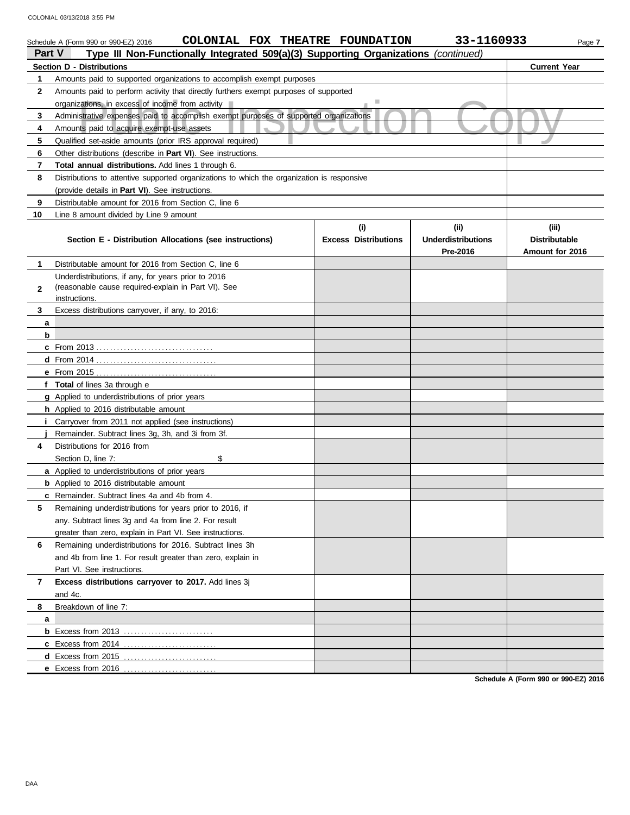|                                  | 33-1160933<br>COLONIAL FOX THEATRE FOUNDATION<br>Schedule A (Form 990 or 990-EZ) 2016<br>Page 7<br>Type III Non-Functionally Integrated 509(a)(3) Supporting Organizations (continued)<br><b>Part V</b> |                             |                           |                      |  |  |  |
|----------------------------------|---------------------------------------------------------------------------------------------------------------------------------------------------------------------------------------------------------|-----------------------------|---------------------------|----------------------|--|--|--|
| <b>Section D - Distributions</b> |                                                                                                                                                                                                         |                             |                           |                      |  |  |  |
| 1                                | Amounts paid to supported organizations to accomplish exempt purposes                                                                                                                                   |                             |                           | <b>Current Year</b>  |  |  |  |
| $\mathbf{2}$                     | Amounts paid to perform activity that directly furthers exempt purposes of supported                                                                                                                    |                             |                           |                      |  |  |  |
|                                  | organizations, in excess of income from activity                                                                                                                                                        |                             |                           |                      |  |  |  |
| 3                                | Administrative expenses paid to accomplish exempt purposes of supported organizations                                                                                                                   |                             |                           |                      |  |  |  |
| 4                                | Amounts paid to acquire exempt-use assets                                                                                                                                                               |                             |                           |                      |  |  |  |
| 5                                | Qualified set-aside amounts (prior IRS approval required)                                                                                                                                               |                             |                           |                      |  |  |  |
| 6                                | Other distributions (describe in Part VI). See instructions.                                                                                                                                            |                             |                           |                      |  |  |  |
| 7                                | <b>Total annual distributions.</b> Add lines 1 through 6.                                                                                                                                               |                             |                           |                      |  |  |  |
| 8                                | Distributions to attentive supported organizations to which the organization is responsive                                                                                                              |                             |                           |                      |  |  |  |
|                                  | (provide details in Part VI). See instructions.                                                                                                                                                         |                             |                           |                      |  |  |  |
| 9                                | Distributable amount for 2016 from Section C, line 6                                                                                                                                                    |                             |                           |                      |  |  |  |
| 10                               | Line 8 amount divided by Line 9 amount                                                                                                                                                                  |                             |                           |                      |  |  |  |
|                                  |                                                                                                                                                                                                         | (i)                         | (ii)                      | (iii)                |  |  |  |
|                                  | Section E - Distribution Allocations (see instructions)                                                                                                                                                 | <b>Excess Distributions</b> | <b>Underdistributions</b> | <b>Distributable</b> |  |  |  |
|                                  |                                                                                                                                                                                                         |                             | Pre-2016                  | Amount for 2016      |  |  |  |
| 1                                | Distributable amount for 2016 from Section C, line 6                                                                                                                                                    |                             |                           |                      |  |  |  |
|                                  | Underdistributions, if any, for years prior to 2016                                                                                                                                                     |                             |                           |                      |  |  |  |
| $\mathbf{2}$                     | (reasonable cause required-explain in Part VI). See                                                                                                                                                     |                             |                           |                      |  |  |  |
|                                  | instructions.                                                                                                                                                                                           |                             |                           |                      |  |  |  |
| 3                                | Excess distributions carryover, if any, to 2016:                                                                                                                                                        |                             |                           |                      |  |  |  |
| а                                |                                                                                                                                                                                                         |                             |                           |                      |  |  |  |
| b                                |                                                                                                                                                                                                         |                             |                           |                      |  |  |  |
|                                  |                                                                                                                                                                                                         |                             |                           |                      |  |  |  |
|                                  |                                                                                                                                                                                                         |                             |                           |                      |  |  |  |
|                                  | <b>e</b> From 2015                                                                                                                                                                                      |                             |                           |                      |  |  |  |
|                                  | f Total of lines 3a through e                                                                                                                                                                           |                             |                           |                      |  |  |  |
|                                  | g Applied to underdistributions of prior years                                                                                                                                                          |                             |                           |                      |  |  |  |
|                                  | <b>h</b> Applied to 2016 distributable amount                                                                                                                                                           |                             |                           |                      |  |  |  |
|                                  | Carryover from 2011 not applied (see instructions)                                                                                                                                                      |                             |                           |                      |  |  |  |
|                                  | Remainder. Subtract lines 3g, 3h, and 3i from 3f.                                                                                                                                                       |                             |                           |                      |  |  |  |
| 4                                | Distributions for 2016 from                                                                                                                                                                             |                             |                           |                      |  |  |  |
|                                  | \$<br>Section D, line 7:                                                                                                                                                                                |                             |                           |                      |  |  |  |
|                                  | <b>a</b> Applied to underdistributions of prior years                                                                                                                                                   |                             |                           |                      |  |  |  |
|                                  | <b>b</b> Applied to 2016 distributable amount                                                                                                                                                           |                             |                           |                      |  |  |  |
|                                  | c Remainder. Subtract lines 4a and 4b from 4.                                                                                                                                                           |                             |                           |                      |  |  |  |
| 5                                | Remaining underdistributions for years prior to 2016, if                                                                                                                                                |                             |                           |                      |  |  |  |
|                                  | any. Subtract lines 3g and 4a from line 2. For result                                                                                                                                                   |                             |                           |                      |  |  |  |
|                                  | greater than zero, explain in Part VI. See instructions.                                                                                                                                                |                             |                           |                      |  |  |  |
| 6                                | Remaining underdistributions for 2016. Subtract lines 3h                                                                                                                                                |                             |                           |                      |  |  |  |
|                                  | and 4b from line 1. For result greater than zero, explain in                                                                                                                                            |                             |                           |                      |  |  |  |
|                                  | Part VI. See instructions.                                                                                                                                                                              |                             |                           |                      |  |  |  |
| 7                                | Excess distributions carryover to 2017. Add lines 3j                                                                                                                                                    |                             |                           |                      |  |  |  |
|                                  | and 4c.<br>Breakdown of line 7:                                                                                                                                                                         |                             |                           |                      |  |  |  |
| 8                                |                                                                                                                                                                                                         |                             |                           |                      |  |  |  |
| а                                |                                                                                                                                                                                                         |                             |                           |                      |  |  |  |
|                                  | c Excess from 2014                                                                                                                                                                                      |                             |                           |                      |  |  |  |
|                                  | d Excess from 2015                                                                                                                                                                                      |                             |                           |                      |  |  |  |
|                                  | e Excess from 2016                                                                                                                                                                                      |                             |                           |                      |  |  |  |
|                                  |                                                                                                                                                                                                         |                             |                           |                      |  |  |  |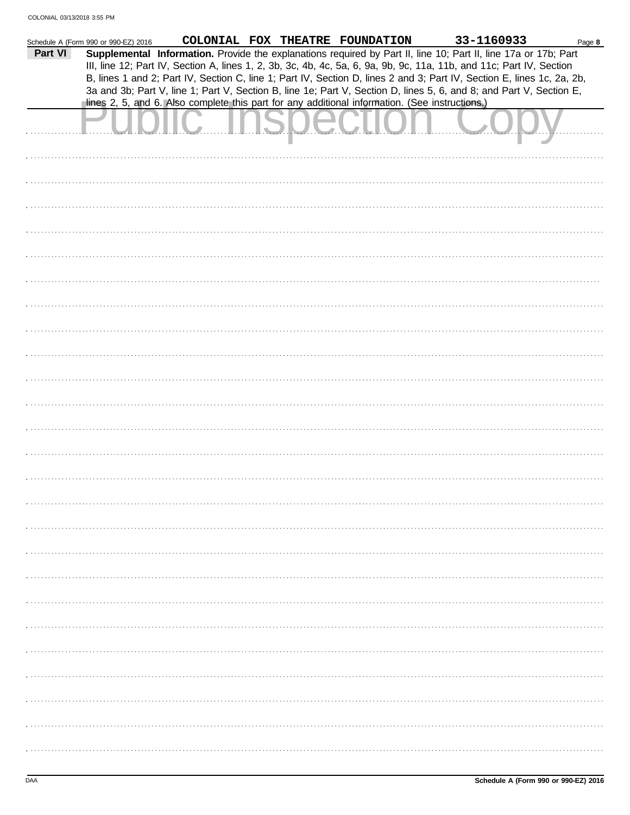|         | Schedule A (Form 990 or 990-EZ) 2016 |                                                                                                                                                                                                                                               |  | COLONIAL FOX THEATRE FOUNDATION | 33-1160933 | Page 8 |
|---------|--------------------------------------|-----------------------------------------------------------------------------------------------------------------------------------------------------------------------------------------------------------------------------------------------|--|---------------------------------|------------|--------|
| Part VI |                                      | Supplemental Information. Provide the explanations required by Part II, line 10; Part II, line 17a or 17b; Part<br>III, line 12; Part IV, Section A, lines 1, 2, 3b, 3c, 4b, 4c, 5a, 6, 9a, 9b, 9c, 11a, 11b, and 11c; Part IV, Section       |  |                                 |            |        |
|         |                                      | B, lines 1 and 2; Part IV, Section C, line 1; Part IV, Section D, lines 2 and 3; Part IV, Section E, lines 1c, 2a, 2b,<br>3a and 3b; Part V, line 1; Part V, Section B, line 1e; Part V, Section D, lines 5, 6, and 8; and Part V, Section E, |  |                                 |            |        |
|         |                                      | lines 2, 5, and 6. Also complete this part for any additional information. (See instructions.)                                                                                                                                                |  |                                 |            |        |
|         |                                      |                                                                                                                                                                                                                                               |  |                                 |            |        |
|         |                                      |                                                                                                                                                                                                                                               |  |                                 |            |        |
|         |                                      |                                                                                                                                                                                                                                               |  |                                 |            |        |
|         |                                      |                                                                                                                                                                                                                                               |  |                                 |            |        |
|         |                                      |                                                                                                                                                                                                                                               |  |                                 |            |        |
|         |                                      |                                                                                                                                                                                                                                               |  |                                 |            |        |
|         |                                      |                                                                                                                                                                                                                                               |  |                                 |            |        |
|         |                                      |                                                                                                                                                                                                                                               |  |                                 |            |        |
|         |                                      |                                                                                                                                                                                                                                               |  |                                 |            |        |
|         |                                      |                                                                                                                                                                                                                                               |  |                                 |            |        |
|         |                                      |                                                                                                                                                                                                                                               |  |                                 |            |        |
|         |                                      |                                                                                                                                                                                                                                               |  |                                 |            |        |
|         |                                      |                                                                                                                                                                                                                                               |  |                                 |            |        |
|         |                                      |                                                                                                                                                                                                                                               |  |                                 |            |        |
|         |                                      |                                                                                                                                                                                                                                               |  |                                 |            |        |
|         |                                      |                                                                                                                                                                                                                                               |  |                                 |            |        |
|         |                                      |                                                                                                                                                                                                                                               |  |                                 |            |        |
|         |                                      |                                                                                                                                                                                                                                               |  |                                 |            |        |
|         |                                      |                                                                                                                                                                                                                                               |  |                                 |            |        |
|         |                                      |                                                                                                                                                                                                                                               |  |                                 |            |        |
|         |                                      |                                                                                                                                                                                                                                               |  |                                 |            |        |
|         |                                      |                                                                                                                                                                                                                                               |  |                                 |            |        |
|         |                                      |                                                                                                                                                                                                                                               |  |                                 |            |        |
|         |                                      |                                                                                                                                                                                                                                               |  |                                 |            |        |
|         |                                      |                                                                                                                                                                                                                                               |  |                                 |            |        |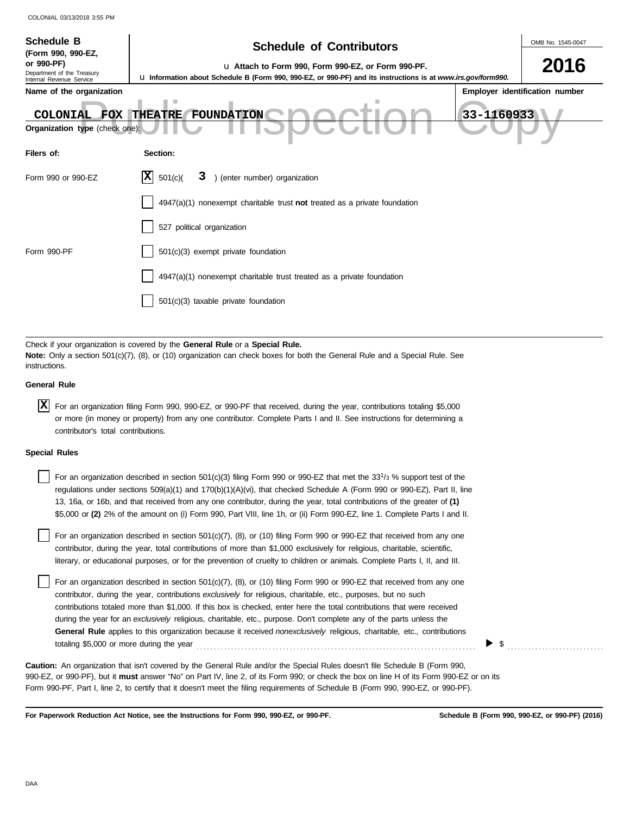| <b>Schedule B</b><br>(Form 990, 990-EZ,<br>or 990-PF)<br>Department of the Treasury<br>Internal Revenue Service<br>Name of the organization<br>COLONIAL FOX<br>Organization type (check one): | <b>Schedule of Contributors</b><br>u Attach to Form 990, Form 990-EZ, or Form 990-PF.<br>Lu Information about Schedule B (Form 990, 990-EZ, or 990-PF) and its instructions is at www.irs.gov/form990.<br>ш<br>33-1160933<br><b>THEATRE</b><br>FOUNDATION                           | OMB No. 1545-0047<br>2016<br>Employer identification number |  |  |  |  |  |
|-----------------------------------------------------------------------------------------------------------------------------------------------------------------------------------------------|-------------------------------------------------------------------------------------------------------------------------------------------------------------------------------------------------------------------------------------------------------------------------------------|-------------------------------------------------------------|--|--|--|--|--|
| Filers of:                                                                                                                                                                                    | Section:                                                                                                                                                                                                                                                                            |                                                             |  |  |  |  |  |
| Form 990 or 990-EZ                                                                                                                                                                            | ΙX<br>) (enter number) organization<br>501(c)<br>3.                                                                                                                                                                                                                                 |                                                             |  |  |  |  |  |
|                                                                                                                                                                                               | $4947(a)(1)$ nonexempt charitable trust not treated as a private foundation                                                                                                                                                                                                         |                                                             |  |  |  |  |  |
|                                                                                                                                                                                               | 527 political organization                                                                                                                                                                                                                                                          |                                                             |  |  |  |  |  |
| Form 990-PF                                                                                                                                                                                   | 501(c)(3) exempt private foundation                                                                                                                                                                                                                                                 |                                                             |  |  |  |  |  |
|                                                                                                                                                                                               | 4947(a)(1) nonexempt charitable trust treated as a private foundation                                                                                                                                                                                                               |                                                             |  |  |  |  |  |
|                                                                                                                                                                                               | 501(c)(3) taxable private foundation                                                                                                                                                                                                                                                |                                                             |  |  |  |  |  |
|                                                                                                                                                                                               |                                                                                                                                                                                                                                                                                     |                                                             |  |  |  |  |  |
| instructions.                                                                                                                                                                                 | Check if your organization is covered by the General Rule or a Special Rule.<br><b>Note:</b> Only a section 501(c)(7), (8), or (10) organization can check boxes for both the General Rule and a Special Rule. See                                                                  |                                                             |  |  |  |  |  |
| <b>General Rule</b>                                                                                                                                                                           |                                                                                                                                                                                                                                                                                     |                                                             |  |  |  |  |  |
| x                                                                                                                                                                                             | For an organization filing Form 990, 990-EZ, or 990-PF that received, during the year, contributions totaling \$5,000<br>or more (in money or property) from any one contributor. Complete Parts I and II. See instructions for determining a<br>contributor's total contributions. |                                                             |  |  |  |  |  |
| <b>Special Rules</b>                                                                                                                                                                          |                                                                                                                                                                                                                                                                                     |                                                             |  |  |  |  |  |
|                                                                                                                                                                                               | For an organization described in section 501(c)(3) filing Form 990 or 990-EZ that met the 33 <sup>1</sup> /3 % support test of the                                                                                                                                                  |                                                             |  |  |  |  |  |

| regulations under sections $509(a)(1)$ and $170(b)(1)(A)(vi)$ , that checked Schedule A (Form 990 or 990-EZ), Part II, line                                                                                                                                                                                                                                                                                                                                                                                                                                                                                                       |
|-----------------------------------------------------------------------------------------------------------------------------------------------------------------------------------------------------------------------------------------------------------------------------------------------------------------------------------------------------------------------------------------------------------------------------------------------------------------------------------------------------------------------------------------------------------------------------------------------------------------------------------|
| 13, 16a, or 16b, and that received from any one contributor, during the year, total contributions of the greater of (1)                                                                                                                                                                                                                                                                                                                                                                                                                                                                                                           |
| \$5,000 or (2) 2% of the amount on (i) Form 990, Part VIII, line 1h, or (ii) Form 990-EZ, line 1. Complete Parts I and II.                                                                                                                                                                                                                                                                                                                                                                                                                                                                                                        |
| For an organization described in section 501(c)(7), (8), or (10) filing Form 990 or 990-EZ that received from any one<br>contributor, during the year, total contributions of more than \$1,000 exclusively for religious, charitable, scientific,<br>literary, or educational purposes, or for the prevention of cruelty to children or animals. Complete Parts I, II, and III.                                                                                                                                                                                                                                                  |
| For an organization described in section 501(c)(7), (8), or (10) filing Form 990 or 990-EZ that received from any one<br>contributor, during the year, contributions exclusively for religious, charitable, etc., purposes, but no such<br>contributions totaled more than \$1,000. If this box is checked, enter here the total contributions that were received<br>during the year for an exclusively religious, charitable, etc., purpose. Don't complete any of the parts unless the<br><b>General Rule</b> applies to this organization because it received <i>nonexclusively</i> religious, charitable, etc., contributions |

990-EZ, or 990-PF), but it **must** answer "No" on Part IV, line 2, of its Form 990; or check the box on line H of its Form 990-EZ or on its Form 990-PF, Part I, line 2, to certify that it doesn't meet the filing requirements of Schedule B (Form 990, 990-EZ, or 990-PF). **Caution:** An organization that isn't covered by the General Rule and/or the Special Rules doesn't file Schedule B (Form 990,

totaling \$5,000 or more during the year . . . . . . . . . . . . . . . . . . . . . . . . . . . . . . . . . . . . . . . . . . . . . . . . . . . . . . . . . . . . . . . . . . . . . . . . . . . . . . . . .

**For Paperwork Reduction Act Notice, see the Instructions for Form 990, 990-EZ, or 990-PF.**

**Schedule B (Form 990, 990-EZ, or 990-PF) (2016)**

\$ . . . . . . . . . . . . . . . . . . . . . . . . . . . .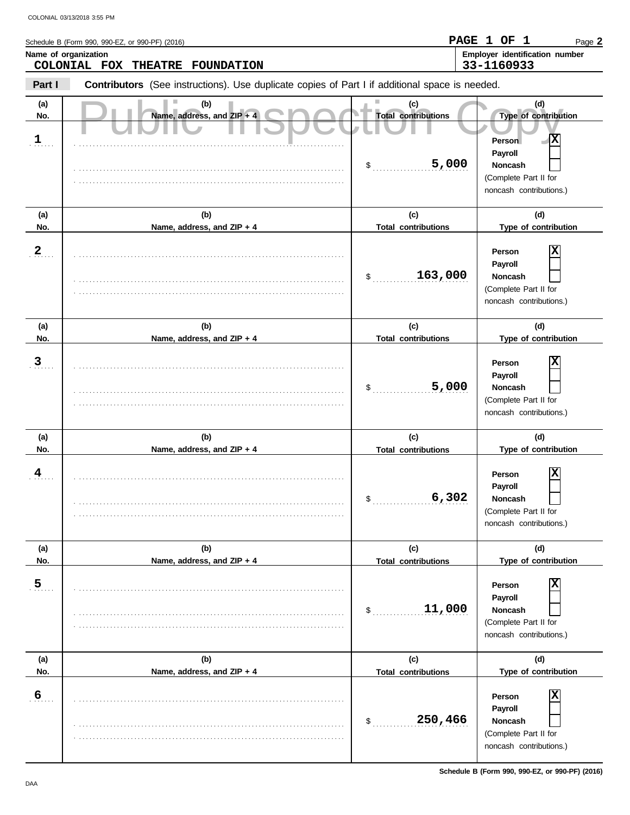|                            | COLONIAL 03/13/2018 3:55 PM                                                                    |                                           |                                                                                                               |
|----------------------------|------------------------------------------------------------------------------------------------|-------------------------------------------|---------------------------------------------------------------------------------------------------------------|
|                            | Schedule B (Form 990, 990-EZ, or 990-PF) (2016)                                                |                                           | PAGE 1 OF 1<br>Page 2                                                                                         |
| Name of organization       | COLONIAL FOX<br><b>THEATRE</b><br><b>FOUNDATION</b>                                            |                                           | Employer identification number<br>33-1160933                                                                  |
| Part I                     | Contributors (See instructions). Use duplicate copies of Part I if additional space is needed. |                                           |                                                                                                               |
| (a)<br>No.<br>$\mathbf{1}$ | (b)<br>Name, address, and ZIP + 4                                                              | (c)<br><b>Total contributions</b>         | (d)<br>Type of contribution<br>Х<br>Person                                                                    |
|                            |                                                                                                | 5,000<br>\$                               | Payroll<br><b>Noncash</b><br>(Complete Part II for<br>noncash contributions.)                                 |
| (a)<br>No.                 | (b)<br>Name, address, and ZIP + 4                                                              | (c)<br><b>Total contributions</b>         | (d)<br>Type of contribution                                                                                   |
| $\mathbf{2}$               |                                                                                                | 163,000<br>\$                             | х<br>Person<br>Payroll<br><b>Noncash</b><br>(Complete Part II for<br>noncash contributions.)                  |
| (a)<br>No.                 | (b)<br>Name, address, and ZIP + 4                                                              | (c)<br><b>Total contributions</b>         | (d)<br>Type of contribution                                                                                   |
| 3                          |                                                                                                | 5,000<br>\$                               | х<br>Person<br>Payroll<br><b>Noncash</b><br>(Complete Part II for<br>noncash contributions.)                  |
| (a)                        | (b)                                                                                            | (c)                                       | (d)                                                                                                           |
| No.<br>4                   | Name, address, and ZIP + 4                                                                     | <b>Total contributions</b><br>6,302<br>\$ | Type of contribution<br>х<br>Person<br>Payroll<br>Noncash<br>(Complete Part II for<br>noncash contributions.) |
| (a)<br>No.                 | (b)<br>Name, address, and ZIP + 4                                                              | (c)<br><b>Total contributions</b>         | (d)<br>Type of contribution                                                                                   |
| 5 <sub>1</sub>             |                                                                                                | 11,000<br>\$                              | х<br>Person<br>Payroll<br><b>Noncash</b><br>(Complete Part II for<br>noncash contributions.)                  |
| (a)<br>No.                 | (b)<br>Name, address, and ZIP + 4                                                              | (c)<br><b>Total contributions</b>         | (d)<br>Type of contribution                                                                                   |
| 6                          |                                                                                                |                                           | $\overline{\mathbf{x}}$<br>Person                                                                             |

. . . . . . . . . . . . . . . . . . . . . . . . . . . . . . . . . . . . . . . . . . . . . . . . . . . . . . . . . . . . . . . . . . . . . . . . . . . . . . . . . . . . . . . . . . . . . . . . . . . . . . . . . . . . . . . . . . . . . . . . . . . . . . . . . . . . . . . . . . . . . . . . . . . . . . . . . . . .

(Complete Part II for noncash contributions.)

**Payroll Noncash**

\$ . . . . . . . . . . . . . . . . . . . . . . . . . . . . **250,466**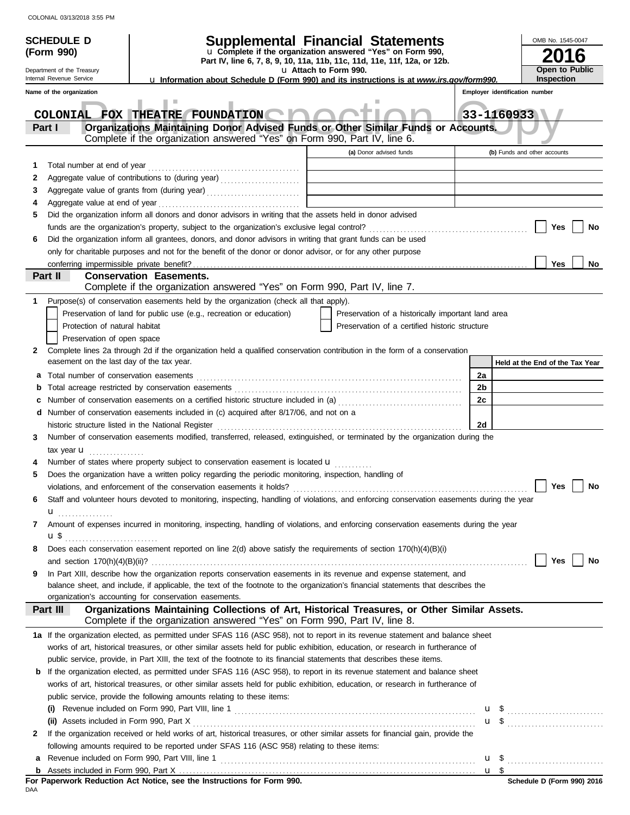| u Complete if the organization answered "Yes" on Form 990,<br>(Form 990)<br>16<br>Part IV, line 6, 7, 8, 9, 10, 11a, 11b, 11c, 11d, 11e, 11f, 12a, or 12b.<br><b>Open to Public</b><br>u Attach to Form 990.<br>Department of the Treasury<br>Internal Revenue Service<br><b>Inspection</b><br>La Information about Schedule D (Form 990) and its instructions is at www.irs.gov/form990.<br>Employer identification number<br>Name of the organization<br>COLONIAL FOX THEATRE FOUNDATION<br>33-1160933<br>Organizations Maintaining Donor Advised Funds or Other Similar Funds or Accounts.<br>Part I<br>Complete if the organization answered "Yes" on Form 990, Part IV, line 6.<br>(a) Donor advised funds<br>(b) Funds and other accounts<br>1<br>2<br>Aggregate value of grants from (during year)<br>3<br>4<br>Did the organization inform all donors and donor advisors in writing that the assets held in donor advised<br>5<br>Yes<br>No<br>Did the organization inform all grantees, donors, and donor advisors in writing that grant funds can be used<br>6<br>only for charitable purposes and not for the benefit of the donor or donor advisor, or for any other purpose<br>Yes<br>No<br>Part II<br><b>Conservation Easements.</b><br>Complete if the organization answered "Yes" on Form 990, Part IV, line 7.<br>1<br>Purpose(s) of conservation easements held by the organization (check all that apply).<br>Preservation of land for public use (e.g., recreation or education)<br>Preservation of a historically important land area<br>Protection of natural habitat<br>Preservation of a certified historic structure<br>Preservation of open space<br>Complete lines 2a through 2d if the organization held a qualified conservation contribution in the form of a conservation<br>2<br>easement on the last day of the tax year.<br>Held at the End of the Tax Year<br>2a<br>2 <sub>b</sub><br>b<br>2c<br>Number of conservation easements on a certified historic structure included in (a) [[[[[[[[[[[[[[[[[[[[[[[[[]]]]]]]<br><b>d</b> Number of conservation easements included in (c) acquired after 8/17/06, and not on a<br>2d<br>Number of conservation easements modified, transferred, released, extinguished, or terminated by the organization during the<br>3<br>tax year $\mathbf u$<br>Number of states where property subject to conservation easement is located <b>u</b><br>Does the organization have a written policy regarding the periodic monitoring, inspection, handling of<br><b>Yes</b><br>No<br>violations, and enforcement of the conservation easements it holds?<br>Staff and volunteer hours devoted to monitoring, inspecting, handling of violations, and enforcing conservation easements during the year<br>6<br>u <sub></sub><br>Amount of expenses incurred in monitoring, inspecting, handling of violations, and enforcing conservation easements during the year<br>7<br>$\mathbf{u}$ \$<br>Does each conservation easement reported on line 2(d) above satisfy the requirements of section 170(h)(4)(B)(i)<br>8<br>Yes    <br>No<br>In Part XIII, describe how the organization reports conservation easements in its revenue and expense statement, and<br>9<br>balance sheet, and include, if applicable, the text of the footnote to the organization's financial statements that describes the<br>organization's accounting for conservation easements.<br>Organizations Maintaining Collections of Art, Historical Treasures, or Other Similar Assets.<br>Part III<br>Complete if the organization answered "Yes" on Form 990, Part IV, line 8.<br>1a If the organization elected, as permitted under SFAS 116 (ASC 958), not to report in its revenue statement and balance sheet<br>works of art, historical treasures, or other similar assets held for public exhibition, education, or research in furtherance of<br>public service, provide, in Part XIII, the text of the footnote to its financial statements that describes these items.<br><b>b</b> If the organization elected, as permitted under SFAS 116 (ASC 958), to report in its revenue statement and balance sheet<br>works of art, historical treasures, or other similar assets held for public exhibition, education, or research in furtherance of<br>public service, provide the following amounts relating to these items:<br>If the organization received or held works of art, historical treasures, or other similar assets for financial gain, provide the<br>2<br>following amounts required to be reported under SFAS 116 (ASC 958) relating to these items:<br>$\frac{11}{5}$ | <b>SCHEDULE D</b> | <b>Supplemental Financial Statements</b> |  |  |  | OMB No. 1545-0047 |  |
|-----------------------------------------------------------------------------------------------------------------------------------------------------------------------------------------------------------------------------------------------------------------------------------------------------------------------------------------------------------------------------------------------------------------------------------------------------------------------------------------------------------------------------------------------------------------------------------------------------------------------------------------------------------------------------------------------------------------------------------------------------------------------------------------------------------------------------------------------------------------------------------------------------------------------------------------------------------------------------------------------------------------------------------------------------------------------------------------------------------------------------------------------------------------------------------------------------------------------------------------------------------------------------------------------------------------------------------------------------------------------------------------------------------------------------------------------------------------------------------------------------------------------------------------------------------------------------------------------------------------------------------------------------------------------------------------------------------------------------------------------------------------------------------------------------------------------------------------------------------------------------------------------------------------------------------------------------------------------------------------------------------------------------------------------------------------------------------------------------------------------------------------------------------------------------------------------------------------------------------------------------------------------------------------------------------------------------------------------------------------------------------------------------------------------------------------------------------------------------------------------------------------------------------------------------------------------------------------------------------------------------------------------------------------------------------------------------------------------------------------------------------------------------------------------------------------------------------------------------------------------------------------------------------------------------------------------------------------------------------------------------------------------------------------------------------------------------------------------------------------------------------------------------------------------------------------------------------------------------------------------------------------------------------------------------------------------------------------------------------------------------------------------------------------------------------------------------------------------------------------------------------------------------------------------------------------------------------------------------------------------------------------------------------------------------------------------------------------------------------------------------------------------------------------------------------------------------------------------------------------------------------------------------------------------------------------------------------------------------------------------------------------------------------------------------------------------------------------------------------------------------------------------------------------------------------------------------------------------------------------------------------------------------------------------------------------------------------------------------------------------------------------------------------------------------------------------------------------------------------------------------------------------------------------------------------------------------------------------------------------------------------------|-------------------|------------------------------------------|--|--|--|-------------------|--|
|                                                                                                                                                                                                                                                                                                                                                                                                                                                                                                                                                                                                                                                                                                                                                                                                                                                                                                                                                                                                                                                                                                                                                                                                                                                                                                                                                                                                                                                                                                                                                                                                                                                                                                                                                                                                                                                                                                                                                                                                                                                                                                                                                                                                                                                                                                                                                                                                                                                                                                                                                                                                                                                                                                                                                                                                                                                                                                                                                                                                                                                                                                                                                                                                                                                                                                                                                                                                                                                                                                                                                                                                                                                                                                                                                                                                                                                                                                                                                                                                                                                                                                                                                                                                                                                                                                                                                                                                                                                                                                                                                                                                                                         |                   |                                          |  |  |  |                   |  |
|                                                                                                                                                                                                                                                                                                                                                                                                                                                                                                                                                                                                                                                                                                                                                                                                                                                                                                                                                                                                                                                                                                                                                                                                                                                                                                                                                                                                                                                                                                                                                                                                                                                                                                                                                                                                                                                                                                                                                                                                                                                                                                                                                                                                                                                                                                                                                                                                                                                                                                                                                                                                                                                                                                                                                                                                                                                                                                                                                                                                                                                                                                                                                                                                                                                                                                                                                                                                                                                                                                                                                                                                                                                                                                                                                                                                                                                                                                                                                                                                                                                                                                                                                                                                                                                                                                                                                                                                                                                                                                                                                                                                                                         |                   |                                          |  |  |  |                   |  |
|                                                                                                                                                                                                                                                                                                                                                                                                                                                                                                                                                                                                                                                                                                                                                                                                                                                                                                                                                                                                                                                                                                                                                                                                                                                                                                                                                                                                                                                                                                                                                                                                                                                                                                                                                                                                                                                                                                                                                                                                                                                                                                                                                                                                                                                                                                                                                                                                                                                                                                                                                                                                                                                                                                                                                                                                                                                                                                                                                                                                                                                                                                                                                                                                                                                                                                                                                                                                                                                                                                                                                                                                                                                                                                                                                                                                                                                                                                                                                                                                                                                                                                                                                                                                                                                                                                                                                                                                                                                                                                                                                                                                                                         |                   |                                          |  |  |  |                   |  |
|                                                                                                                                                                                                                                                                                                                                                                                                                                                                                                                                                                                                                                                                                                                                                                                                                                                                                                                                                                                                                                                                                                                                                                                                                                                                                                                                                                                                                                                                                                                                                                                                                                                                                                                                                                                                                                                                                                                                                                                                                                                                                                                                                                                                                                                                                                                                                                                                                                                                                                                                                                                                                                                                                                                                                                                                                                                                                                                                                                                                                                                                                                                                                                                                                                                                                                                                                                                                                                                                                                                                                                                                                                                                                                                                                                                                                                                                                                                                                                                                                                                                                                                                                                                                                                                                                                                                                                                                                                                                                                                                                                                                                                         |                   |                                          |  |  |  |                   |  |
|                                                                                                                                                                                                                                                                                                                                                                                                                                                                                                                                                                                                                                                                                                                                                                                                                                                                                                                                                                                                                                                                                                                                                                                                                                                                                                                                                                                                                                                                                                                                                                                                                                                                                                                                                                                                                                                                                                                                                                                                                                                                                                                                                                                                                                                                                                                                                                                                                                                                                                                                                                                                                                                                                                                                                                                                                                                                                                                                                                                                                                                                                                                                                                                                                                                                                                                                                                                                                                                                                                                                                                                                                                                                                                                                                                                                                                                                                                                                                                                                                                                                                                                                                                                                                                                                                                                                                                                                                                                                                                                                                                                                                                         |                   |                                          |  |  |  |                   |  |
|                                                                                                                                                                                                                                                                                                                                                                                                                                                                                                                                                                                                                                                                                                                                                                                                                                                                                                                                                                                                                                                                                                                                                                                                                                                                                                                                                                                                                                                                                                                                                                                                                                                                                                                                                                                                                                                                                                                                                                                                                                                                                                                                                                                                                                                                                                                                                                                                                                                                                                                                                                                                                                                                                                                                                                                                                                                                                                                                                                                                                                                                                                                                                                                                                                                                                                                                                                                                                                                                                                                                                                                                                                                                                                                                                                                                                                                                                                                                                                                                                                                                                                                                                                                                                                                                                                                                                                                                                                                                                                                                                                                                                                         |                   |                                          |  |  |  |                   |  |
|                                                                                                                                                                                                                                                                                                                                                                                                                                                                                                                                                                                                                                                                                                                                                                                                                                                                                                                                                                                                                                                                                                                                                                                                                                                                                                                                                                                                                                                                                                                                                                                                                                                                                                                                                                                                                                                                                                                                                                                                                                                                                                                                                                                                                                                                                                                                                                                                                                                                                                                                                                                                                                                                                                                                                                                                                                                                                                                                                                                                                                                                                                                                                                                                                                                                                                                                                                                                                                                                                                                                                                                                                                                                                                                                                                                                                                                                                                                                                                                                                                                                                                                                                                                                                                                                                                                                                                                                                                                                                                                                                                                                                                         |                   |                                          |  |  |  |                   |  |
| $\mathbf{u}$ \$                                                                                                                                                                                                                                                                                                                                                                                                                                                                                                                                                                                                                                                                                                                                                                                                                                                                                                                                                                                                                                                                                                                                                                                                                                                                                                                                                                                                                                                                                                                                                                                                                                                                                                                                                                                                                                                                                                                                                                                                                                                                                                                                                                                                                                                                                                                                                                                                                                                                                                                                                                                                                                                                                                                                                                                                                                                                                                                                                                                                                                                                                                                                                                                                                                                                                                                                                                                                                                                                                                                                                                                                                                                                                                                                                                                                                                                                                                                                                                                                                                                                                                                                                                                                                                                                                                                                                                                                                                                                                                                                                                                                                         |                   |                                          |  |  |  |                   |  |
|                                                                                                                                                                                                                                                                                                                                                                                                                                                                                                                                                                                                                                                                                                                                                                                                                                                                                                                                                                                                                                                                                                                                                                                                                                                                                                                                                                                                                                                                                                                                                                                                                                                                                                                                                                                                                                                                                                                                                                                                                                                                                                                                                                                                                                                                                                                                                                                                                                                                                                                                                                                                                                                                                                                                                                                                                                                                                                                                                                                                                                                                                                                                                                                                                                                                                                                                                                                                                                                                                                                                                                                                                                                                                                                                                                                                                                                                                                                                                                                                                                                                                                                                                                                                                                                                                                                                                                                                                                                                                                                                                                                                                                         |                   |                                          |  |  |  |                   |  |
|                                                                                                                                                                                                                                                                                                                                                                                                                                                                                                                                                                                                                                                                                                                                                                                                                                                                                                                                                                                                                                                                                                                                                                                                                                                                                                                                                                                                                                                                                                                                                                                                                                                                                                                                                                                                                                                                                                                                                                                                                                                                                                                                                                                                                                                                                                                                                                                                                                                                                                                                                                                                                                                                                                                                                                                                                                                                                                                                                                                                                                                                                                                                                                                                                                                                                                                                                                                                                                                                                                                                                                                                                                                                                                                                                                                                                                                                                                                                                                                                                                                                                                                                                                                                                                                                                                                                                                                                                                                                                                                                                                                                                                         |                   |                                          |  |  |  |                   |  |
|                                                                                                                                                                                                                                                                                                                                                                                                                                                                                                                                                                                                                                                                                                                                                                                                                                                                                                                                                                                                                                                                                                                                                                                                                                                                                                                                                                                                                                                                                                                                                                                                                                                                                                                                                                                                                                                                                                                                                                                                                                                                                                                                                                                                                                                                                                                                                                                                                                                                                                                                                                                                                                                                                                                                                                                                                                                                                                                                                                                                                                                                                                                                                                                                                                                                                                                                                                                                                                                                                                                                                                                                                                                                                                                                                                                                                                                                                                                                                                                                                                                                                                                                                                                                                                                                                                                                                                                                                                                                                                                                                                                                                                         |                   |                                          |  |  |  |                   |  |
|                                                                                                                                                                                                                                                                                                                                                                                                                                                                                                                                                                                                                                                                                                                                                                                                                                                                                                                                                                                                                                                                                                                                                                                                                                                                                                                                                                                                                                                                                                                                                                                                                                                                                                                                                                                                                                                                                                                                                                                                                                                                                                                                                                                                                                                                                                                                                                                                                                                                                                                                                                                                                                                                                                                                                                                                                                                                                                                                                                                                                                                                                                                                                                                                                                                                                                                                                                                                                                                                                                                                                                                                                                                                                                                                                                                                                                                                                                                                                                                                                                                                                                                                                                                                                                                                                                                                                                                                                                                                                                                                                                                                                                         |                   |                                          |  |  |  |                   |  |
|                                                                                                                                                                                                                                                                                                                                                                                                                                                                                                                                                                                                                                                                                                                                                                                                                                                                                                                                                                                                                                                                                                                                                                                                                                                                                                                                                                                                                                                                                                                                                                                                                                                                                                                                                                                                                                                                                                                                                                                                                                                                                                                                                                                                                                                                                                                                                                                                                                                                                                                                                                                                                                                                                                                                                                                                                                                                                                                                                                                                                                                                                                                                                                                                                                                                                                                                                                                                                                                                                                                                                                                                                                                                                                                                                                                                                                                                                                                                                                                                                                                                                                                                                                                                                                                                                                                                                                                                                                                                                                                                                                                                                                         |                   |                                          |  |  |  |                   |  |
|                                                                                                                                                                                                                                                                                                                                                                                                                                                                                                                                                                                                                                                                                                                                                                                                                                                                                                                                                                                                                                                                                                                                                                                                                                                                                                                                                                                                                                                                                                                                                                                                                                                                                                                                                                                                                                                                                                                                                                                                                                                                                                                                                                                                                                                                                                                                                                                                                                                                                                                                                                                                                                                                                                                                                                                                                                                                                                                                                                                                                                                                                                                                                                                                                                                                                                                                                                                                                                                                                                                                                                                                                                                                                                                                                                                                                                                                                                                                                                                                                                                                                                                                                                                                                                                                                                                                                                                                                                                                                                                                                                                                                                         |                   |                                          |  |  |  |                   |  |
|                                                                                                                                                                                                                                                                                                                                                                                                                                                                                                                                                                                                                                                                                                                                                                                                                                                                                                                                                                                                                                                                                                                                                                                                                                                                                                                                                                                                                                                                                                                                                                                                                                                                                                                                                                                                                                                                                                                                                                                                                                                                                                                                                                                                                                                                                                                                                                                                                                                                                                                                                                                                                                                                                                                                                                                                                                                                                                                                                                                                                                                                                                                                                                                                                                                                                                                                                                                                                                                                                                                                                                                                                                                                                                                                                                                                                                                                                                                                                                                                                                                                                                                                                                                                                                                                                                                                                                                                                                                                                                                                                                                                                                         |                   |                                          |  |  |  |                   |  |
|                                                                                                                                                                                                                                                                                                                                                                                                                                                                                                                                                                                                                                                                                                                                                                                                                                                                                                                                                                                                                                                                                                                                                                                                                                                                                                                                                                                                                                                                                                                                                                                                                                                                                                                                                                                                                                                                                                                                                                                                                                                                                                                                                                                                                                                                                                                                                                                                                                                                                                                                                                                                                                                                                                                                                                                                                                                                                                                                                                                                                                                                                                                                                                                                                                                                                                                                                                                                                                                                                                                                                                                                                                                                                                                                                                                                                                                                                                                                                                                                                                                                                                                                                                                                                                                                                                                                                                                                                                                                                                                                                                                                                                         |                   |                                          |  |  |  |                   |  |
|                                                                                                                                                                                                                                                                                                                                                                                                                                                                                                                                                                                                                                                                                                                                                                                                                                                                                                                                                                                                                                                                                                                                                                                                                                                                                                                                                                                                                                                                                                                                                                                                                                                                                                                                                                                                                                                                                                                                                                                                                                                                                                                                                                                                                                                                                                                                                                                                                                                                                                                                                                                                                                                                                                                                                                                                                                                                                                                                                                                                                                                                                                                                                                                                                                                                                                                                                                                                                                                                                                                                                                                                                                                                                                                                                                                                                                                                                                                                                                                                                                                                                                                                                                                                                                                                                                                                                                                                                                                                                                                                                                                                                                         |                   |                                          |  |  |  |                   |  |
|                                                                                                                                                                                                                                                                                                                                                                                                                                                                                                                                                                                                                                                                                                                                                                                                                                                                                                                                                                                                                                                                                                                                                                                                                                                                                                                                                                                                                                                                                                                                                                                                                                                                                                                                                                                                                                                                                                                                                                                                                                                                                                                                                                                                                                                                                                                                                                                                                                                                                                                                                                                                                                                                                                                                                                                                                                                                                                                                                                                                                                                                                                                                                                                                                                                                                                                                                                                                                                                                                                                                                                                                                                                                                                                                                                                                                                                                                                                                                                                                                                                                                                                                                                                                                                                                                                                                                                                                                                                                                                                                                                                                                                         |                   |                                          |  |  |  |                   |  |
|                                                                                                                                                                                                                                                                                                                                                                                                                                                                                                                                                                                                                                                                                                                                                                                                                                                                                                                                                                                                                                                                                                                                                                                                                                                                                                                                                                                                                                                                                                                                                                                                                                                                                                                                                                                                                                                                                                                                                                                                                                                                                                                                                                                                                                                                                                                                                                                                                                                                                                                                                                                                                                                                                                                                                                                                                                                                                                                                                                                                                                                                                                                                                                                                                                                                                                                                                                                                                                                                                                                                                                                                                                                                                                                                                                                                                                                                                                                                                                                                                                                                                                                                                                                                                                                                                                                                                                                                                                                                                                                                                                                                                                         |                   |                                          |  |  |  |                   |  |
|                                                                                                                                                                                                                                                                                                                                                                                                                                                                                                                                                                                                                                                                                                                                                                                                                                                                                                                                                                                                                                                                                                                                                                                                                                                                                                                                                                                                                                                                                                                                                                                                                                                                                                                                                                                                                                                                                                                                                                                                                                                                                                                                                                                                                                                                                                                                                                                                                                                                                                                                                                                                                                                                                                                                                                                                                                                                                                                                                                                                                                                                                                                                                                                                                                                                                                                                                                                                                                                                                                                                                                                                                                                                                                                                                                                                                                                                                                                                                                                                                                                                                                                                                                                                                                                                                                                                                                                                                                                                                                                                                                                                                                         |                   |                                          |  |  |  |                   |  |
|                                                                                                                                                                                                                                                                                                                                                                                                                                                                                                                                                                                                                                                                                                                                                                                                                                                                                                                                                                                                                                                                                                                                                                                                                                                                                                                                                                                                                                                                                                                                                                                                                                                                                                                                                                                                                                                                                                                                                                                                                                                                                                                                                                                                                                                                                                                                                                                                                                                                                                                                                                                                                                                                                                                                                                                                                                                                                                                                                                                                                                                                                                                                                                                                                                                                                                                                                                                                                                                                                                                                                                                                                                                                                                                                                                                                                                                                                                                                                                                                                                                                                                                                                                                                                                                                                                                                                                                                                                                                                                                                                                                                                                         |                   |                                          |  |  |  |                   |  |
|                                                                                                                                                                                                                                                                                                                                                                                                                                                                                                                                                                                                                                                                                                                                                                                                                                                                                                                                                                                                                                                                                                                                                                                                                                                                                                                                                                                                                                                                                                                                                                                                                                                                                                                                                                                                                                                                                                                                                                                                                                                                                                                                                                                                                                                                                                                                                                                                                                                                                                                                                                                                                                                                                                                                                                                                                                                                                                                                                                                                                                                                                                                                                                                                                                                                                                                                                                                                                                                                                                                                                                                                                                                                                                                                                                                                                                                                                                                                                                                                                                                                                                                                                                                                                                                                                                                                                                                                                                                                                                                                                                                                                                         |                   |                                          |  |  |  |                   |  |
|                                                                                                                                                                                                                                                                                                                                                                                                                                                                                                                                                                                                                                                                                                                                                                                                                                                                                                                                                                                                                                                                                                                                                                                                                                                                                                                                                                                                                                                                                                                                                                                                                                                                                                                                                                                                                                                                                                                                                                                                                                                                                                                                                                                                                                                                                                                                                                                                                                                                                                                                                                                                                                                                                                                                                                                                                                                                                                                                                                                                                                                                                                                                                                                                                                                                                                                                                                                                                                                                                                                                                                                                                                                                                                                                                                                                                                                                                                                                                                                                                                                                                                                                                                                                                                                                                                                                                                                                                                                                                                                                                                                                                                         |                   |                                          |  |  |  |                   |  |
|                                                                                                                                                                                                                                                                                                                                                                                                                                                                                                                                                                                                                                                                                                                                                                                                                                                                                                                                                                                                                                                                                                                                                                                                                                                                                                                                                                                                                                                                                                                                                                                                                                                                                                                                                                                                                                                                                                                                                                                                                                                                                                                                                                                                                                                                                                                                                                                                                                                                                                                                                                                                                                                                                                                                                                                                                                                                                                                                                                                                                                                                                                                                                                                                                                                                                                                                                                                                                                                                                                                                                                                                                                                                                                                                                                                                                                                                                                                                                                                                                                                                                                                                                                                                                                                                                                                                                                                                                                                                                                                                                                                                                                         |                   |                                          |  |  |  |                   |  |
|                                                                                                                                                                                                                                                                                                                                                                                                                                                                                                                                                                                                                                                                                                                                                                                                                                                                                                                                                                                                                                                                                                                                                                                                                                                                                                                                                                                                                                                                                                                                                                                                                                                                                                                                                                                                                                                                                                                                                                                                                                                                                                                                                                                                                                                                                                                                                                                                                                                                                                                                                                                                                                                                                                                                                                                                                                                                                                                                                                                                                                                                                                                                                                                                                                                                                                                                                                                                                                                                                                                                                                                                                                                                                                                                                                                                                                                                                                                                                                                                                                                                                                                                                                                                                                                                                                                                                                                                                                                                                                                                                                                                                                         |                   |                                          |  |  |  |                   |  |
|                                                                                                                                                                                                                                                                                                                                                                                                                                                                                                                                                                                                                                                                                                                                                                                                                                                                                                                                                                                                                                                                                                                                                                                                                                                                                                                                                                                                                                                                                                                                                                                                                                                                                                                                                                                                                                                                                                                                                                                                                                                                                                                                                                                                                                                                                                                                                                                                                                                                                                                                                                                                                                                                                                                                                                                                                                                                                                                                                                                                                                                                                                                                                                                                                                                                                                                                                                                                                                                                                                                                                                                                                                                                                                                                                                                                                                                                                                                                                                                                                                                                                                                                                                                                                                                                                                                                                                                                                                                                                                                                                                                                                                         |                   |                                          |  |  |  |                   |  |
|                                                                                                                                                                                                                                                                                                                                                                                                                                                                                                                                                                                                                                                                                                                                                                                                                                                                                                                                                                                                                                                                                                                                                                                                                                                                                                                                                                                                                                                                                                                                                                                                                                                                                                                                                                                                                                                                                                                                                                                                                                                                                                                                                                                                                                                                                                                                                                                                                                                                                                                                                                                                                                                                                                                                                                                                                                                                                                                                                                                                                                                                                                                                                                                                                                                                                                                                                                                                                                                                                                                                                                                                                                                                                                                                                                                                                                                                                                                                                                                                                                                                                                                                                                                                                                                                                                                                                                                                                                                                                                                                                                                                                                         |                   |                                          |  |  |  |                   |  |
|                                                                                                                                                                                                                                                                                                                                                                                                                                                                                                                                                                                                                                                                                                                                                                                                                                                                                                                                                                                                                                                                                                                                                                                                                                                                                                                                                                                                                                                                                                                                                                                                                                                                                                                                                                                                                                                                                                                                                                                                                                                                                                                                                                                                                                                                                                                                                                                                                                                                                                                                                                                                                                                                                                                                                                                                                                                                                                                                                                                                                                                                                                                                                                                                                                                                                                                                                                                                                                                                                                                                                                                                                                                                                                                                                                                                                                                                                                                                                                                                                                                                                                                                                                                                                                                                                                                                                                                                                                                                                                                                                                                                                                         |                   |                                          |  |  |  |                   |  |
|                                                                                                                                                                                                                                                                                                                                                                                                                                                                                                                                                                                                                                                                                                                                                                                                                                                                                                                                                                                                                                                                                                                                                                                                                                                                                                                                                                                                                                                                                                                                                                                                                                                                                                                                                                                                                                                                                                                                                                                                                                                                                                                                                                                                                                                                                                                                                                                                                                                                                                                                                                                                                                                                                                                                                                                                                                                                                                                                                                                                                                                                                                                                                                                                                                                                                                                                                                                                                                                                                                                                                                                                                                                                                                                                                                                                                                                                                                                                                                                                                                                                                                                                                                                                                                                                                                                                                                                                                                                                                                                                                                                                                                         |                   |                                          |  |  |  |                   |  |
|                                                                                                                                                                                                                                                                                                                                                                                                                                                                                                                                                                                                                                                                                                                                                                                                                                                                                                                                                                                                                                                                                                                                                                                                                                                                                                                                                                                                                                                                                                                                                                                                                                                                                                                                                                                                                                                                                                                                                                                                                                                                                                                                                                                                                                                                                                                                                                                                                                                                                                                                                                                                                                                                                                                                                                                                                                                                                                                                                                                                                                                                                                                                                                                                                                                                                                                                                                                                                                                                                                                                                                                                                                                                                                                                                                                                                                                                                                                                                                                                                                                                                                                                                                                                                                                                                                                                                                                                                                                                                                                                                                                                                                         |                   |                                          |  |  |  |                   |  |
|                                                                                                                                                                                                                                                                                                                                                                                                                                                                                                                                                                                                                                                                                                                                                                                                                                                                                                                                                                                                                                                                                                                                                                                                                                                                                                                                                                                                                                                                                                                                                                                                                                                                                                                                                                                                                                                                                                                                                                                                                                                                                                                                                                                                                                                                                                                                                                                                                                                                                                                                                                                                                                                                                                                                                                                                                                                                                                                                                                                                                                                                                                                                                                                                                                                                                                                                                                                                                                                                                                                                                                                                                                                                                                                                                                                                                                                                                                                                                                                                                                                                                                                                                                                                                                                                                                                                                                                                                                                                                                                                                                                                                                         |                   |                                          |  |  |  |                   |  |
|                                                                                                                                                                                                                                                                                                                                                                                                                                                                                                                                                                                                                                                                                                                                                                                                                                                                                                                                                                                                                                                                                                                                                                                                                                                                                                                                                                                                                                                                                                                                                                                                                                                                                                                                                                                                                                                                                                                                                                                                                                                                                                                                                                                                                                                                                                                                                                                                                                                                                                                                                                                                                                                                                                                                                                                                                                                                                                                                                                                                                                                                                                                                                                                                                                                                                                                                                                                                                                                                                                                                                                                                                                                                                                                                                                                                                                                                                                                                                                                                                                                                                                                                                                                                                                                                                                                                                                                                                                                                                                                                                                                                                                         |                   |                                          |  |  |  |                   |  |
|                                                                                                                                                                                                                                                                                                                                                                                                                                                                                                                                                                                                                                                                                                                                                                                                                                                                                                                                                                                                                                                                                                                                                                                                                                                                                                                                                                                                                                                                                                                                                                                                                                                                                                                                                                                                                                                                                                                                                                                                                                                                                                                                                                                                                                                                                                                                                                                                                                                                                                                                                                                                                                                                                                                                                                                                                                                                                                                                                                                                                                                                                                                                                                                                                                                                                                                                                                                                                                                                                                                                                                                                                                                                                                                                                                                                                                                                                                                                                                                                                                                                                                                                                                                                                                                                                                                                                                                                                                                                                                                                                                                                                                         |                   |                                          |  |  |  |                   |  |
|                                                                                                                                                                                                                                                                                                                                                                                                                                                                                                                                                                                                                                                                                                                                                                                                                                                                                                                                                                                                                                                                                                                                                                                                                                                                                                                                                                                                                                                                                                                                                                                                                                                                                                                                                                                                                                                                                                                                                                                                                                                                                                                                                                                                                                                                                                                                                                                                                                                                                                                                                                                                                                                                                                                                                                                                                                                                                                                                                                                                                                                                                                                                                                                                                                                                                                                                                                                                                                                                                                                                                                                                                                                                                                                                                                                                                                                                                                                                                                                                                                                                                                                                                                                                                                                                                                                                                                                                                                                                                                                                                                                                                                         |                   |                                          |  |  |  |                   |  |
|                                                                                                                                                                                                                                                                                                                                                                                                                                                                                                                                                                                                                                                                                                                                                                                                                                                                                                                                                                                                                                                                                                                                                                                                                                                                                                                                                                                                                                                                                                                                                                                                                                                                                                                                                                                                                                                                                                                                                                                                                                                                                                                                                                                                                                                                                                                                                                                                                                                                                                                                                                                                                                                                                                                                                                                                                                                                                                                                                                                                                                                                                                                                                                                                                                                                                                                                                                                                                                                                                                                                                                                                                                                                                                                                                                                                                                                                                                                                                                                                                                                                                                                                                                                                                                                                                                                                                                                                                                                                                                                                                                                                                                         |                   |                                          |  |  |  |                   |  |
|                                                                                                                                                                                                                                                                                                                                                                                                                                                                                                                                                                                                                                                                                                                                                                                                                                                                                                                                                                                                                                                                                                                                                                                                                                                                                                                                                                                                                                                                                                                                                                                                                                                                                                                                                                                                                                                                                                                                                                                                                                                                                                                                                                                                                                                                                                                                                                                                                                                                                                                                                                                                                                                                                                                                                                                                                                                                                                                                                                                                                                                                                                                                                                                                                                                                                                                                                                                                                                                                                                                                                                                                                                                                                                                                                                                                                                                                                                                                                                                                                                                                                                                                                                                                                                                                                                                                                                                                                                                                                                                                                                                                                                         |                   |                                          |  |  |  |                   |  |
|                                                                                                                                                                                                                                                                                                                                                                                                                                                                                                                                                                                                                                                                                                                                                                                                                                                                                                                                                                                                                                                                                                                                                                                                                                                                                                                                                                                                                                                                                                                                                                                                                                                                                                                                                                                                                                                                                                                                                                                                                                                                                                                                                                                                                                                                                                                                                                                                                                                                                                                                                                                                                                                                                                                                                                                                                                                                                                                                                                                                                                                                                                                                                                                                                                                                                                                                                                                                                                                                                                                                                                                                                                                                                                                                                                                                                                                                                                                                                                                                                                                                                                                                                                                                                                                                                                                                                                                                                                                                                                                                                                                                                                         |                   |                                          |  |  |  |                   |  |
|                                                                                                                                                                                                                                                                                                                                                                                                                                                                                                                                                                                                                                                                                                                                                                                                                                                                                                                                                                                                                                                                                                                                                                                                                                                                                                                                                                                                                                                                                                                                                                                                                                                                                                                                                                                                                                                                                                                                                                                                                                                                                                                                                                                                                                                                                                                                                                                                                                                                                                                                                                                                                                                                                                                                                                                                                                                                                                                                                                                                                                                                                                                                                                                                                                                                                                                                                                                                                                                                                                                                                                                                                                                                                                                                                                                                                                                                                                                                                                                                                                                                                                                                                                                                                                                                                                                                                                                                                                                                                                                                                                                                                                         |                   |                                          |  |  |  |                   |  |
|                                                                                                                                                                                                                                                                                                                                                                                                                                                                                                                                                                                                                                                                                                                                                                                                                                                                                                                                                                                                                                                                                                                                                                                                                                                                                                                                                                                                                                                                                                                                                                                                                                                                                                                                                                                                                                                                                                                                                                                                                                                                                                                                                                                                                                                                                                                                                                                                                                                                                                                                                                                                                                                                                                                                                                                                                                                                                                                                                                                                                                                                                                                                                                                                                                                                                                                                                                                                                                                                                                                                                                                                                                                                                                                                                                                                                                                                                                                                                                                                                                                                                                                                                                                                                                                                                                                                                                                                                                                                                                                                                                                                                                         |                   |                                          |  |  |  |                   |  |
|                                                                                                                                                                                                                                                                                                                                                                                                                                                                                                                                                                                                                                                                                                                                                                                                                                                                                                                                                                                                                                                                                                                                                                                                                                                                                                                                                                                                                                                                                                                                                                                                                                                                                                                                                                                                                                                                                                                                                                                                                                                                                                                                                                                                                                                                                                                                                                                                                                                                                                                                                                                                                                                                                                                                                                                                                                                                                                                                                                                                                                                                                                                                                                                                                                                                                                                                                                                                                                                                                                                                                                                                                                                                                                                                                                                                                                                                                                                                                                                                                                                                                                                                                                                                                                                                                                                                                                                                                                                                                                                                                                                                                                         |                   |                                          |  |  |  |                   |  |
|                                                                                                                                                                                                                                                                                                                                                                                                                                                                                                                                                                                                                                                                                                                                                                                                                                                                                                                                                                                                                                                                                                                                                                                                                                                                                                                                                                                                                                                                                                                                                                                                                                                                                                                                                                                                                                                                                                                                                                                                                                                                                                                                                                                                                                                                                                                                                                                                                                                                                                                                                                                                                                                                                                                                                                                                                                                                                                                                                                                                                                                                                                                                                                                                                                                                                                                                                                                                                                                                                                                                                                                                                                                                                                                                                                                                                                                                                                                                                                                                                                                                                                                                                                                                                                                                                                                                                                                                                                                                                                                                                                                                                                         |                   |                                          |  |  |  |                   |  |
|                                                                                                                                                                                                                                                                                                                                                                                                                                                                                                                                                                                                                                                                                                                                                                                                                                                                                                                                                                                                                                                                                                                                                                                                                                                                                                                                                                                                                                                                                                                                                                                                                                                                                                                                                                                                                                                                                                                                                                                                                                                                                                                                                                                                                                                                                                                                                                                                                                                                                                                                                                                                                                                                                                                                                                                                                                                                                                                                                                                                                                                                                                                                                                                                                                                                                                                                                                                                                                                                                                                                                                                                                                                                                                                                                                                                                                                                                                                                                                                                                                                                                                                                                                                                                                                                                                                                                                                                                                                                                                                                                                                                                                         |                   |                                          |  |  |  |                   |  |
|                                                                                                                                                                                                                                                                                                                                                                                                                                                                                                                                                                                                                                                                                                                                                                                                                                                                                                                                                                                                                                                                                                                                                                                                                                                                                                                                                                                                                                                                                                                                                                                                                                                                                                                                                                                                                                                                                                                                                                                                                                                                                                                                                                                                                                                                                                                                                                                                                                                                                                                                                                                                                                                                                                                                                                                                                                                                                                                                                                                                                                                                                                                                                                                                                                                                                                                                                                                                                                                                                                                                                                                                                                                                                                                                                                                                                                                                                                                                                                                                                                                                                                                                                                                                                                                                                                                                                                                                                                                                                                                                                                                                                                         |                   |                                          |  |  |  |                   |  |
|                                                                                                                                                                                                                                                                                                                                                                                                                                                                                                                                                                                                                                                                                                                                                                                                                                                                                                                                                                                                                                                                                                                                                                                                                                                                                                                                                                                                                                                                                                                                                                                                                                                                                                                                                                                                                                                                                                                                                                                                                                                                                                                                                                                                                                                                                                                                                                                                                                                                                                                                                                                                                                                                                                                                                                                                                                                                                                                                                                                                                                                                                                                                                                                                                                                                                                                                                                                                                                                                                                                                                                                                                                                                                                                                                                                                                                                                                                                                                                                                                                                                                                                                                                                                                                                                                                                                                                                                                                                                                                                                                                                                                                         |                   |                                          |  |  |  |                   |  |
|                                                                                                                                                                                                                                                                                                                                                                                                                                                                                                                                                                                                                                                                                                                                                                                                                                                                                                                                                                                                                                                                                                                                                                                                                                                                                                                                                                                                                                                                                                                                                                                                                                                                                                                                                                                                                                                                                                                                                                                                                                                                                                                                                                                                                                                                                                                                                                                                                                                                                                                                                                                                                                                                                                                                                                                                                                                                                                                                                                                                                                                                                                                                                                                                                                                                                                                                                                                                                                                                                                                                                                                                                                                                                                                                                                                                                                                                                                                                                                                                                                                                                                                                                                                                                                                                                                                                                                                                                                                                                                                                                                                                                                         |                   |                                          |  |  |  |                   |  |
|                                                                                                                                                                                                                                                                                                                                                                                                                                                                                                                                                                                                                                                                                                                                                                                                                                                                                                                                                                                                                                                                                                                                                                                                                                                                                                                                                                                                                                                                                                                                                                                                                                                                                                                                                                                                                                                                                                                                                                                                                                                                                                                                                                                                                                                                                                                                                                                                                                                                                                                                                                                                                                                                                                                                                                                                                                                                                                                                                                                                                                                                                                                                                                                                                                                                                                                                                                                                                                                                                                                                                                                                                                                                                                                                                                                                                                                                                                                                                                                                                                                                                                                                                                                                                                                                                                                                                                                                                                                                                                                                                                                                                                         |                   |                                          |  |  |  |                   |  |
|                                                                                                                                                                                                                                                                                                                                                                                                                                                                                                                                                                                                                                                                                                                                                                                                                                                                                                                                                                                                                                                                                                                                                                                                                                                                                                                                                                                                                                                                                                                                                                                                                                                                                                                                                                                                                                                                                                                                                                                                                                                                                                                                                                                                                                                                                                                                                                                                                                                                                                                                                                                                                                                                                                                                                                                                                                                                                                                                                                                                                                                                                                                                                                                                                                                                                                                                                                                                                                                                                                                                                                                                                                                                                                                                                                                                                                                                                                                                                                                                                                                                                                                                                                                                                                                                                                                                                                                                                                                                                                                                                                                                                                         |                   |                                          |  |  |  |                   |  |
|                                                                                                                                                                                                                                                                                                                                                                                                                                                                                                                                                                                                                                                                                                                                                                                                                                                                                                                                                                                                                                                                                                                                                                                                                                                                                                                                                                                                                                                                                                                                                                                                                                                                                                                                                                                                                                                                                                                                                                                                                                                                                                                                                                                                                                                                                                                                                                                                                                                                                                                                                                                                                                                                                                                                                                                                                                                                                                                                                                                                                                                                                                                                                                                                                                                                                                                                                                                                                                                                                                                                                                                                                                                                                                                                                                                                                                                                                                                                                                                                                                                                                                                                                                                                                                                                                                                                                                                                                                                                                                                                                                                                                                         |                   |                                          |  |  |  |                   |  |
|                                                                                                                                                                                                                                                                                                                                                                                                                                                                                                                                                                                                                                                                                                                                                                                                                                                                                                                                                                                                                                                                                                                                                                                                                                                                                                                                                                                                                                                                                                                                                                                                                                                                                                                                                                                                                                                                                                                                                                                                                                                                                                                                                                                                                                                                                                                                                                                                                                                                                                                                                                                                                                                                                                                                                                                                                                                                                                                                                                                                                                                                                                                                                                                                                                                                                                                                                                                                                                                                                                                                                                                                                                                                                                                                                                                                                                                                                                                                                                                                                                                                                                                                                                                                                                                                                                                                                                                                                                                                                                                                                                                                                                         |                   |                                          |  |  |  |                   |  |
|                                                                                                                                                                                                                                                                                                                                                                                                                                                                                                                                                                                                                                                                                                                                                                                                                                                                                                                                                                                                                                                                                                                                                                                                                                                                                                                                                                                                                                                                                                                                                                                                                                                                                                                                                                                                                                                                                                                                                                                                                                                                                                                                                                                                                                                                                                                                                                                                                                                                                                                                                                                                                                                                                                                                                                                                                                                                                                                                                                                                                                                                                                                                                                                                                                                                                                                                                                                                                                                                                                                                                                                                                                                                                                                                                                                                                                                                                                                                                                                                                                                                                                                                                                                                                                                                                                                                                                                                                                                                                                                                                                                                                                         |                   |                                          |  |  |  |                   |  |
|                                                                                                                                                                                                                                                                                                                                                                                                                                                                                                                                                                                                                                                                                                                                                                                                                                                                                                                                                                                                                                                                                                                                                                                                                                                                                                                                                                                                                                                                                                                                                                                                                                                                                                                                                                                                                                                                                                                                                                                                                                                                                                                                                                                                                                                                                                                                                                                                                                                                                                                                                                                                                                                                                                                                                                                                                                                                                                                                                                                                                                                                                                                                                                                                                                                                                                                                                                                                                                                                                                                                                                                                                                                                                                                                                                                                                                                                                                                                                                                                                                                                                                                                                                                                                                                                                                                                                                                                                                                                                                                                                                                                                                         |                   |                                          |  |  |  |                   |  |
|                                                                                                                                                                                                                                                                                                                                                                                                                                                                                                                                                                                                                                                                                                                                                                                                                                                                                                                                                                                                                                                                                                                                                                                                                                                                                                                                                                                                                                                                                                                                                                                                                                                                                                                                                                                                                                                                                                                                                                                                                                                                                                                                                                                                                                                                                                                                                                                                                                                                                                                                                                                                                                                                                                                                                                                                                                                                                                                                                                                                                                                                                                                                                                                                                                                                                                                                                                                                                                                                                                                                                                                                                                                                                                                                                                                                                                                                                                                                                                                                                                                                                                                                                                                                                                                                                                                                                                                                                                                                                                                                                                                                                                         |                   |                                          |  |  |  |                   |  |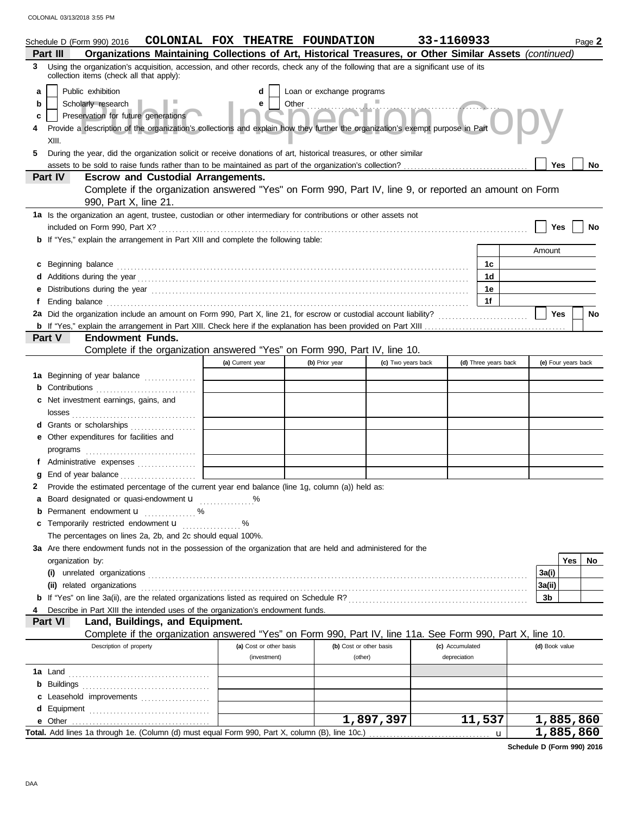|    | Schedule D (Form 990) 2016                                                                                                                                                   | COLONIAL FOX THEATRE FOUNDATION |                           |                    | 33-1160933           |                     | Page 2     |  |
|----|------------------------------------------------------------------------------------------------------------------------------------------------------------------------------|---------------------------------|---------------------------|--------------------|----------------------|---------------------|------------|--|
|    | Organizations Maintaining Collections of Art, Historical Treasures, or Other Similar Assets (continued)<br>Part III                                                          |                                 |                           |                    |                      |                     |            |  |
| 3. | Using the organization's acquisition, accession, and other records, check any of the following that are a significant use of its<br>collection items (check all that apply): |                                 |                           |                    |                      |                     |            |  |
| a  | Public exhibition                                                                                                                                                            | d                               | Loan or exchange programs |                    |                      |                     |            |  |
| b  | <b>Continnelled</b><br>Scholarly research<br>e                                                                                                                               |                                 |                           |                    |                      |                     |            |  |
| c  | Preservation for future generations                                                                                                                                          |                                 |                           |                    |                      |                     |            |  |
|    | Provide a description of the organization's collections and explain how they further the organization's exempt purpose in Part                                               |                                 |                           |                    |                      |                     |            |  |
|    | XIII.                                                                                                                                                                        |                                 |                           |                    |                      |                     |            |  |
| 5  | During the year, did the organization solicit or receive donations of art, historical treasures, or other similar                                                            |                                 |                           |                    |                      |                     |            |  |
|    |                                                                                                                                                                              |                                 |                           |                    |                      | <b>Yes</b>          | No         |  |
|    | <b>Escrow and Custodial Arrangements.</b><br>Part IV                                                                                                                         |                                 |                           |                    |                      |                     |            |  |
|    | Complete if the organization answered "Yes" on Form 990, Part IV, line 9, or reported an amount on Form                                                                      |                                 |                           |                    |                      |                     |            |  |
|    | 990, Part X, line 21.                                                                                                                                                        |                                 |                           |                    |                      |                     |            |  |
|    | 1a Is the organization an agent, trustee, custodian or other intermediary for contributions or other assets not                                                              |                                 |                           |                    |                      |                     |            |  |
|    |                                                                                                                                                                              |                                 |                           |                    |                      | Yes                 | No         |  |
|    | <b>b</b> If "Yes," explain the arrangement in Part XIII and complete the following table:                                                                                    |                                 |                           |                    |                      |                     |            |  |
|    |                                                                                                                                                                              |                                 |                           |                    |                      | Amount              |            |  |
| c  |                                                                                                                                                                              |                                 |                           |                    | 1c                   |                     |            |  |
|    |                                                                                                                                                                              |                                 |                           |                    | 1d                   |                     |            |  |
| е  |                                                                                                                                                                              |                                 |                           |                    | 1е                   |                     |            |  |
| f. |                                                                                                                                                                              |                                 |                           |                    | 1f                   |                     |            |  |
|    | 2a Did the organization include an amount on Form 990, Part X, line 21, for escrow or custodial account liability?                                                           |                                 |                           |                    |                      | Yes                 | <b>No</b>  |  |
|    |                                                                                                                                                                              |                                 |                           |                    |                      |                     |            |  |
|    | <b>Endowment Funds.</b><br><b>Part V</b>                                                                                                                                     |                                 |                           |                    |                      |                     |            |  |
|    | Complete if the organization answered "Yes" on Form 990, Part IV, line 10.                                                                                                   |                                 |                           |                    |                      |                     |            |  |
|    |                                                                                                                                                                              | (a) Current year                | (b) Prior year            | (c) Two years back | (d) Three years back | (e) Four years back |            |  |
|    | 1a Beginning of year balance                                                                                                                                                 |                                 |                           |                    |                      |                     |            |  |
|    | <b>b</b> Contributions                                                                                                                                                       |                                 |                           |                    |                      |                     |            |  |
|    | c Net investment earnings, gains, and                                                                                                                                        |                                 |                           |                    |                      |                     |            |  |
|    |                                                                                                                                                                              |                                 |                           |                    |                      |                     |            |  |
|    | d Grants or scholarships                                                                                                                                                     |                                 |                           |                    |                      |                     |            |  |
|    | e Other expenditures for facilities and                                                                                                                                      |                                 |                           |                    |                      |                     |            |  |
|    |                                                                                                                                                                              |                                 |                           |                    |                      |                     |            |  |
|    | f Administrative expenses                                                                                                                                                    |                                 |                           |                    |                      |                     |            |  |
|    |                                                                                                                                                                              |                                 |                           |                    |                      |                     |            |  |
|    | 2 Provide the estimated percentage of the current year end balance (line 1g, column (a)) held as:                                                                            |                                 |                           |                    |                      |                     |            |  |
|    | a Board designated or quasi-endowment <b>u</b>                                                                                                                               |                                 |                           |                    |                      |                     |            |  |
| b  | Permanent endowment <b>u</b> %                                                                                                                                               |                                 |                           |                    |                      |                     |            |  |
| c  | Temporarily restricted endowment <b>u</b>                                                                                                                                    | %                               |                           |                    |                      |                     |            |  |
|    | The percentages on lines 2a, 2b, and 2c should equal 100%.                                                                                                                   |                                 |                           |                    |                      |                     |            |  |
|    | 3a Are there endowment funds not in the possession of the organization that are held and administered for the                                                                |                                 |                           |                    |                      |                     |            |  |
|    | organization by:                                                                                                                                                             |                                 |                           |                    |                      |                     | Yes<br>No. |  |
|    |                                                                                                                                                                              |                                 |                           |                    |                      | 3a(i)               |            |  |
|    | (ii) related organizations                                                                                                                                                   |                                 |                           |                    |                      | 3a(ii)              |            |  |
|    |                                                                                                                                                                              |                                 |                           |                    |                      | 3b                  |            |  |
|    | Describe in Part XIII the intended uses of the organization's endowment funds.                                                                                               |                                 |                           |                    |                      |                     |            |  |
|    | Part VI<br>Land, Buildings, and Equipment.                                                                                                                                   |                                 |                           |                    |                      |                     |            |  |
|    | Complete if the organization answered "Yes" on Form 990, Part IV, line 11a. See Form 990, Part X, line 10.<br>Description of property                                        | (a) Cost or other basis         | (b) Cost or other basis   |                    | (c) Accumulated      | (d) Book value      |            |  |
|    |                                                                                                                                                                              | (investment)                    | (other)                   |                    | depreciation         |                     |            |  |
|    |                                                                                                                                                                              |                                 |                           |                    |                      |                     |            |  |
|    |                                                                                                                                                                              |                                 |                           |                    |                      |                     |            |  |
|    |                                                                                                                                                                              |                                 |                           |                    |                      |                     |            |  |
|    | c Leasehold improvements                                                                                                                                                     |                                 |                           |                    |                      |                     |            |  |
|    |                                                                                                                                                                              |                                 |                           | 1,897,397          | 11,537               |                     | 1,885,860  |  |
|    | Total. Add lines 1a through 1e. (Column (d) must equal Form 990, Part X, column (B), line 10c.)                                                                              |                                 |                           |                    |                      | u                   | 1,885,860  |  |
|    |                                                                                                                                                                              |                                 |                           |                    |                      |                     |            |  |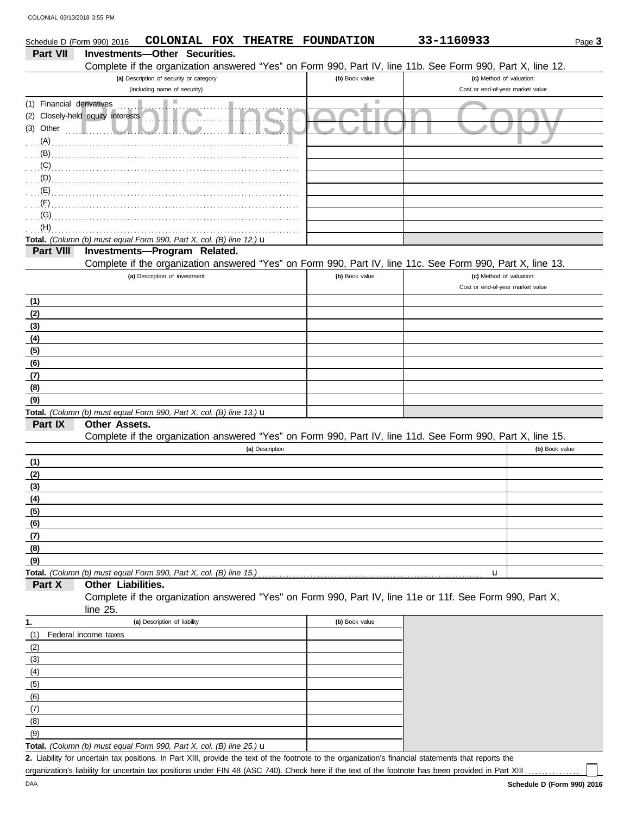|                           | COLONIAL FOX<br><b>THEATRE</b><br>Schedule D (Form 990) 2016                                               | <b>FOUNDATION</b> | 33-1160933                       | Page 3         |
|---------------------------|------------------------------------------------------------------------------------------------------------|-------------------|----------------------------------|----------------|
| Part VII                  | Investments-Other Securities.                                                                              |                   |                                  |                |
|                           | Complete if the organization answered "Yes" on Form 990, Part IV, line 11b. See Form 990, Part X, line 12. |                   |                                  |                |
|                           | (a) Description of security or category                                                                    | (b) Book value    | (c) Method of valuation:         |                |
|                           | (including name of security)                                                                               |                   | Cost or end-of-year market value |                |
| (1) Financial derivatives |                                                                                                            | ш                 |                                  |                |
|                           | (2) Closely-held equity interests                                                                          |                   |                                  |                |
| (3) Other                 |                                                                                                            |                   |                                  |                |
| (A)                       |                                                                                                            |                   |                                  |                |
| (B)                       |                                                                                                            |                   |                                  |                |
| (C)                       |                                                                                                            |                   |                                  |                |
| $\mathbf{D}$ (D)          |                                                                                                            |                   |                                  |                |
| (E)                       |                                                                                                            |                   |                                  |                |
| (F)                       |                                                                                                            |                   |                                  |                |
| (G)                       |                                                                                                            |                   |                                  |                |
| (H)                       | Total. (Column (b) must equal Form 990, Part X, col. (B) line 12.) u                                       |                   |                                  |                |
| Part VIII                 | Investments-Program Related.                                                                               |                   |                                  |                |
|                           | Complete if the organization answered "Yes" on Form 990, Part IV, line 11c. See Form 990, Part X, line 13. |                   |                                  |                |
|                           | (a) Description of investment                                                                              | (b) Book value    | (c) Method of valuation:         |                |
|                           |                                                                                                            |                   | Cost or end-of-year market value |                |
| (1)                       |                                                                                                            |                   |                                  |                |
| (2)                       |                                                                                                            |                   |                                  |                |
| (3)                       |                                                                                                            |                   |                                  |                |
| (4)                       |                                                                                                            |                   |                                  |                |
| (5)                       |                                                                                                            |                   |                                  |                |
| (6)                       |                                                                                                            |                   |                                  |                |
| (7)                       |                                                                                                            |                   |                                  |                |
| (8)                       |                                                                                                            |                   |                                  |                |
| (9)                       |                                                                                                            |                   |                                  |                |
|                           | Total. (Column (b) must equal Form 990, Part X, col. (B) line 13.) $\mathbf u$                             |                   |                                  |                |
| Part IX                   | <b>Other Assets.</b>                                                                                       |                   |                                  |                |
|                           | Complete if the organization answered "Yes" on Form 990, Part IV, line 11d. See Form 990, Part X, line 15. |                   |                                  |                |
|                           | (a) Description                                                                                            |                   |                                  | (b) Book value |
| (1)                       |                                                                                                            |                   |                                  |                |
| (2)                       |                                                                                                            |                   |                                  |                |
| (3)                       |                                                                                                            |                   |                                  |                |
| (4)                       |                                                                                                            |                   |                                  |                |
| (5)                       |                                                                                                            |                   |                                  |                |
| (6)                       |                                                                                                            |                   |                                  |                |
| (7)                       |                                                                                                            |                   |                                  |                |
| (8)<br>(9)                |                                                                                                            |                   |                                  |                |
|                           |                                                                                                            |                   | $\mathbf u$                      |                |
| Part X                    | Other Liabilities.                                                                                         |                   |                                  |                |
|                           | Complete if the organization answered "Yes" on Form 990, Part IV, line 11e or 11f. See Form 990, Part X,   |                   |                                  |                |
|                           | line 25.                                                                                                   |                   |                                  |                |
| 1.                        | (a) Description of liability                                                                               | (b) Book value    |                                  |                |
| (1)                       | Federal income taxes                                                                                       |                   |                                  |                |
| (2)                       |                                                                                                            |                   |                                  |                |
| (3)                       |                                                                                                            |                   |                                  |                |
| (4)                       |                                                                                                            |                   |                                  |                |
| (5)                       |                                                                                                            |                   |                                  |                |
| (6)                       |                                                                                                            |                   |                                  |                |

**Total.** *(Column (b) must equal Form 990, Part X, col. (B) line 25.)* u

Liability for uncertain tax positions. In Part XIII, provide the text of the footnote to the organization's financial statements that reports the **2.** organization's liability for uncertain tax positions under FIN 48 (ASC 740). Check here if the text of the footnote has been provided in Part XIII .

 $(9)$ (8) (7)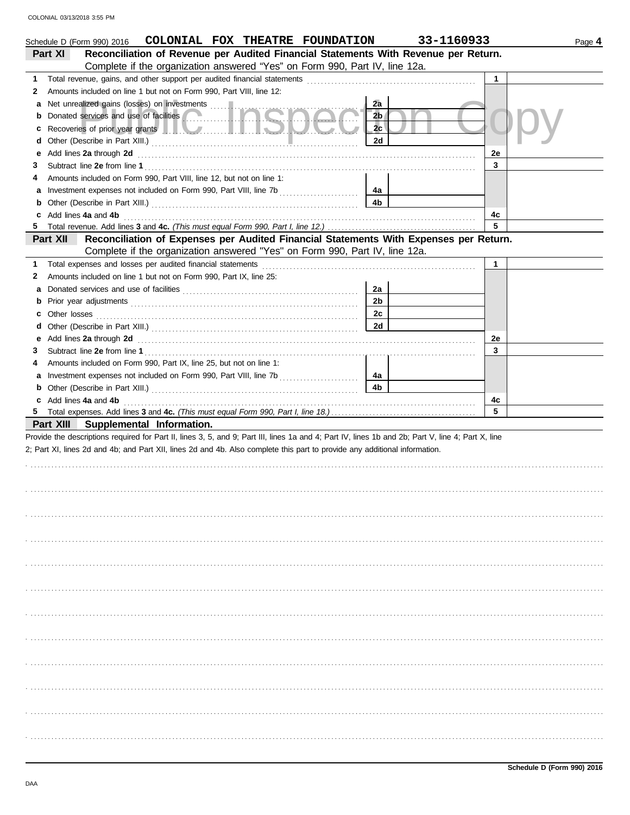| COLONIAL 03/13/2018 3:55 PM |  |  |
|-----------------------------|--|--|
|                             |  |  |

|              | COLONIAL FOX THEATRE FOUNDATION<br>Schedule D (Form 990) 2016                                                                                                                                                                                                                    |                | 33-1160933   | Page 4 |
|--------------|----------------------------------------------------------------------------------------------------------------------------------------------------------------------------------------------------------------------------------------------------------------------------------|----------------|--------------|--------|
|              | Reconciliation of Revenue per Audited Financial Statements With Revenue per Return.<br>Part XI<br>Complete if the organization answered "Yes" on Form 990, Part IV, line 12a.                                                                                                    |                |              |        |
|              |                                                                                                                                                                                                                                                                                  |                |              |        |
| 1            |                                                                                                                                                                                                                                                                                  |                | 1            |        |
| $\mathbf{2}$ | Amounts included on line 1 but not on Form 990, Part VIII, line 12:                                                                                                                                                                                                              |                |              |        |
| a            | Net unrealized gains (losses) on investments<br>Donated services and use of facilities                                                                                                                                                                                           | 2a             |              |        |
| b            |                                                                                                                                                                                                                                                                                  | 2 <sub>b</sub> |              |        |
| c            | Recoveries of prior year grants <b>All Constitution Recoveries</b> of prior year grants                                                                                                                                                                                          | 2c             |              |        |
| d            |                                                                                                                                                                                                                                                                                  | 2d             |              |        |
| е            | Add lines 2a through 2d <b>contained a contained a contained a contained a contained a contained a contained a contained a contained a contained a contained a contained a contained a contained a contained a contained a conta</b>                                             |                | 2e           |        |
| 3            |                                                                                                                                                                                                                                                                                  |                | 3            |        |
| 4            | Amounts included on Form 990, Part VIII, line 12, but not on line 1:                                                                                                                                                                                                             |                |              |        |
| a            |                                                                                                                                                                                                                                                                                  | 4a             |              |        |
| b            |                                                                                                                                                                                                                                                                                  | 4b             |              |        |
| c            | Add lines 4a and 4b                                                                                                                                                                                                                                                              |                | 4c<br>5      |        |
| 5            |                                                                                                                                                                                                                                                                                  |                |              |        |
|              | Reconciliation of Expenses per Audited Financial Statements With Expenses per Return.<br>Part XII<br>Complete if the organization answered "Yes" on Form 990, Part IV, line 12a.                                                                                                 |                |              |        |
| 1            |                                                                                                                                                                                                                                                                                  |                | $\mathbf{1}$ |        |
| 2            | Amounts included on line 1 but not on Form 990, Part IX, line 25:                                                                                                                                                                                                                |                |              |        |
| a            |                                                                                                                                                                                                                                                                                  | 2a             |              |        |
| b            |                                                                                                                                                                                                                                                                                  | 2 <sub>b</sub> |              |        |
| c            |                                                                                                                                                                                                                                                                                  | 2c             |              |        |
| d            |                                                                                                                                                                                                                                                                                  | 2d             |              |        |
| е            | Add lines 2a through 2d [11] Add [12] Add [12] Add lines 2a through 2d [12] Add lines 2a through 2d [12] Add [12] Add [12] Add [12] Add [12] Add [12] Add [12] Add [12] Add [12] Add [12] Add [12] Add [12] Add [12] Add [12]                                                    |                | 2e           |        |
| 3            |                                                                                                                                                                                                                                                                                  |                | 3            |        |
| 4            | Amounts included on Form 990, Part IX, line 25, but not on line 1:                                                                                                                                                                                                               |                |              |        |
| a            |                                                                                                                                                                                                                                                                                  | 4a             |              |        |
| b            |                                                                                                                                                                                                                                                                                  | 4b             |              |        |
| c            | Add lines 4a and 4b                                                                                                                                                                                                                                                              |                | 4c           |        |
| 5.           |                                                                                                                                                                                                                                                                                  |                |              |        |
|              | Part XIII Supplemental Information.                                                                                                                                                                                                                                              |                |              |        |
|              | Provide the descriptions required for Part II, lines 3, 5, and 9; Part III, lines 1a and 4; Part IV, lines 1b and 2b; Part V, line 4; Part X, line<br>2; Part XI, lines 2d and 4b; and Part XII, lines 2d and 4b. Also complete this part to provide any additional information. |                |              |        |
|              |                                                                                                                                                                                                                                                                                  |                |              |        |
|              |                                                                                                                                                                                                                                                                                  |                |              |        |
|              |                                                                                                                                                                                                                                                                                  |                |              |        |
|              |                                                                                                                                                                                                                                                                                  |                |              |        |
|              |                                                                                                                                                                                                                                                                                  |                |              |        |
|              |                                                                                                                                                                                                                                                                                  |                |              |        |
|              |                                                                                                                                                                                                                                                                                  |                |              |        |
|              |                                                                                                                                                                                                                                                                                  |                |              |        |
|              |                                                                                                                                                                                                                                                                                  |                |              |        |
|              |                                                                                                                                                                                                                                                                                  |                |              |        |
|              |                                                                                                                                                                                                                                                                                  |                |              |        |
|              |                                                                                                                                                                                                                                                                                  |                |              |        |
|              |                                                                                                                                                                                                                                                                                  |                |              |        |
|              |                                                                                                                                                                                                                                                                                  |                |              |        |
|              |                                                                                                                                                                                                                                                                                  |                |              |        |
|              |                                                                                                                                                                                                                                                                                  |                |              |        |
|              |                                                                                                                                                                                                                                                                                  |                |              |        |
|              |                                                                                                                                                                                                                                                                                  |                |              |        |
|              |                                                                                                                                                                                                                                                                                  |                |              |        |
|              |                                                                                                                                                                                                                                                                                  |                |              |        |
|              |                                                                                                                                                                                                                                                                                  |                |              |        |
|              |                                                                                                                                                                                                                                                                                  |                |              |        |
|              |                                                                                                                                                                                                                                                                                  |                |              |        |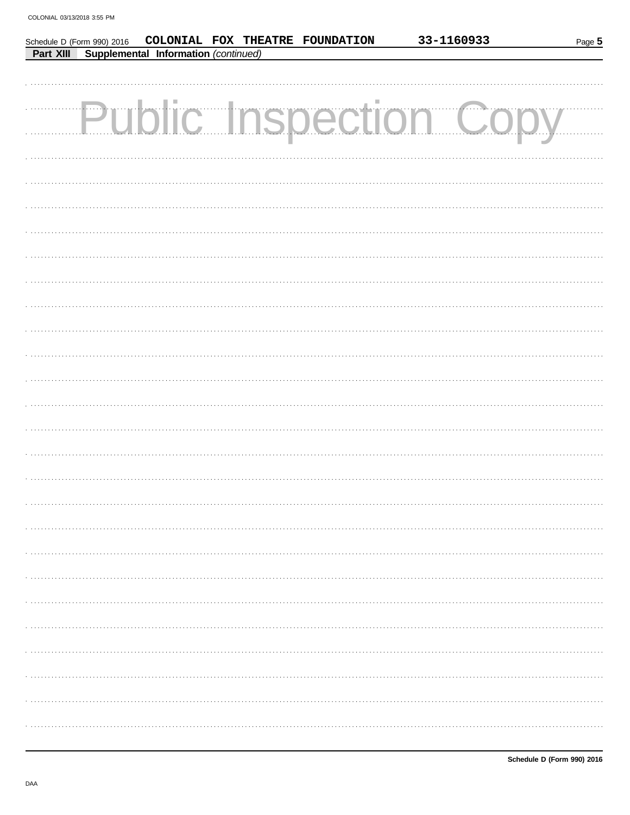|                  |                                      |  | Schedule D (Form 990) 2016 COLONIAL FOX THEATRE FOUNDATION | 33-1160933            | Page 5 |
|------------------|--------------------------------------|--|------------------------------------------------------------|-----------------------|--------|
| <b>Part XIII</b> | Supplemental Information (continued) |  |                                                            |                       |        |
|                  |                                      |  |                                                            |                       |        |
|                  |                                      |  |                                                            | Public Inspection Cor |        |
|                  |                                      |  |                                                            |                       |        |
|                  |                                      |  |                                                            |                       |        |
|                  |                                      |  |                                                            |                       |        |
|                  |                                      |  |                                                            |                       |        |
|                  |                                      |  |                                                            |                       |        |
|                  |                                      |  |                                                            |                       |        |
|                  |                                      |  |                                                            |                       |        |
|                  |                                      |  |                                                            |                       |        |
|                  |                                      |  |                                                            |                       |        |
|                  |                                      |  |                                                            |                       |        |
|                  |                                      |  |                                                            |                       |        |
|                  |                                      |  |                                                            |                       |        |
|                  |                                      |  |                                                            |                       |        |
|                  |                                      |  |                                                            |                       |        |
|                  |                                      |  |                                                            |                       |        |
|                  |                                      |  |                                                            |                       |        |
|                  |                                      |  |                                                            |                       |        |
|                  |                                      |  |                                                            |                       |        |
|                  |                                      |  |                                                            |                       |        |
|                  |                                      |  |                                                            |                       |        |
|                  |                                      |  |                                                            |                       |        |
|                  |                                      |  |                                                            |                       |        |
|                  |                                      |  |                                                            |                       |        |
|                  |                                      |  |                                                            |                       |        |
|                  |                                      |  |                                                            |                       |        |
|                  |                                      |  |                                                            |                       |        |
|                  |                                      |  |                                                            |                       |        |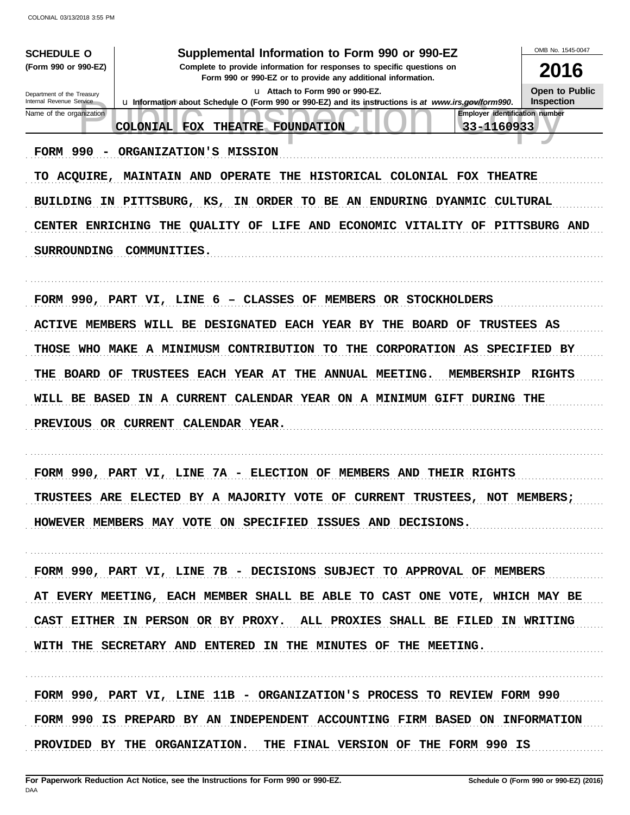| <b>SCHEDULE O</b>                                      | Supplemental Information to Form 990 or 990-EZ                                                                                           | OMB No. 1545-0047                          |
|--------------------------------------------------------|------------------------------------------------------------------------------------------------------------------------------------------|--------------------------------------------|
| (Form 990 or 990-EZ)                                   | Complete to provide information for responses to specific questions on<br>Form 990 or 990-EZ or to provide any additional information.   | 2016                                       |
| Department of the Treasury<br>Internal Revenue Service | Lu Attach to Form 990 or 990-EZ.<br>La Information about Schedule O (Form 990 or 990-EZ) and its instructions is at www.irs.gov/form990. | <b>Open to Public</b><br><b>Inspection</b> |
| Name of the organization                               | Employer identification number<br>33-1160933<br>THEATRE FOUNDATION<br><b>COLONIAL FOX</b>                                                |                                            |
| FORM 990                                               | ORGANIZATION'S MISSION                                                                                                                   |                                            |
| <b>ACQUIRE,</b><br>TO                                  | MAINTAIN AND OPERATE THE HISTORICAL COLONIAL FOX THEATRE                                                                                 |                                            |
|                                                        | BUILDING IN PITTSBURG, KS,<br>IN ORDER TO BE AN ENDURING DYANMIC                                                                         | <b>CULTURAL</b>                            |
|                                                        | CENTER ENRICHING THE QUALITY OF LIFE AND ECONOMIC VITALITY OF                                                                            | <b>PITTSBURG AND</b>                       |
| <b>SURROUNDING</b>                                     | COMMUNITIES.                                                                                                                             |                                            |
|                                                        |                                                                                                                                          |                                            |
|                                                        | CLASSES OF MEMBERS OR STOCKHOLDERS<br><b>FORM 990, PART VI, LINE 6</b><br>$\overline{\phantom{0}}$                                       |                                            |
| <b>ACTIVE MEMBERS</b>                                  | WILL BE DESIGNATED EACH YEAR BY<br>THE BOARD OF<br>TRUSTEES AS                                                                           |                                            |
|                                                        | THOSE WHO MAKE A MINIMUSM CONTRIBUTION<br><b>CORPORATION AS</b><br>TO.<br>THE                                                            | SPECIFIED BY                               |
| BOARD<br>THE                                           | <b>TRUSTEES EACH YEAR AT</b><br>THE ANNUAL MEETING.<br><b>MEMBERSHIP</b><br>OF                                                           | <b>RIGHTS</b>                              |
| WILL BE BASED                                          | IN A CURRENT<br>CALENDAR YEAR ON A MINIMUM GIFT DURING THE                                                                               |                                            |
|                                                        | PREVIOUS OR CURRENT CALENDAR YEAR.                                                                                                       |                                            |
|                                                        |                                                                                                                                          |                                            |
| FORM 990,                                              | ELECTION OF MEMBERS<br>LINE<br>7A<br>AND THEIR RIGHTS<br><b>PART</b><br>VI,<br>$\overline{\phantom{0}}$                                  |                                            |
|                                                        | TRUSTEES ARE ELECTED BY A MAJORITY VOTE<br><b>CURRENT</b><br>TRUSTEES,<br>OF<br><b>NOT</b>                                               | <b>MEMBERS :</b>                           |
|                                                        | HOWEVER MEMBERS MAY VOTE ON SPECIFIED ISSUES AND DECISIONS.                                                                              |                                            |
|                                                        |                                                                                                                                          |                                            |
|                                                        | FORM 990, PART VI, LINE 7B - DECISIONS SUBJECT TO APPROVAL OF MEMBERS                                                                    |                                            |
|                                                        | AT EVERY MEETING, EACH MEMBER SHALL BE ABLE TO CAST ONE VOTE, WHICH MAY BE                                                               |                                            |
|                                                        | CAST EITHER IN PERSON OR BY PROXY. ALL PROXIES SHALL BE FILED IN WRITING                                                                 |                                            |
|                                                        | WITH THE SECRETARY AND ENTERED IN THE MINUTES OF THE MEETING.                                                                            |                                            |
|                                                        |                                                                                                                                          |                                            |
|                                                        | FORM 990, PART VI, LINE 11B - ORGANIZATION'S PROCESS TO REVIEW FORM 990                                                                  |                                            |
|                                                        | FORM 990 IS PREPARD BY AN INDEPENDENT ACCOUNTING FIRM BASED ON INFORMATION                                                               |                                            |
|                                                        | PROVIDED BY THE ORGANIZATION. THE FINAL VERSION OF THE FORM 990 IS                                                                       |                                            |
|                                                        |                                                                                                                                          |                                            |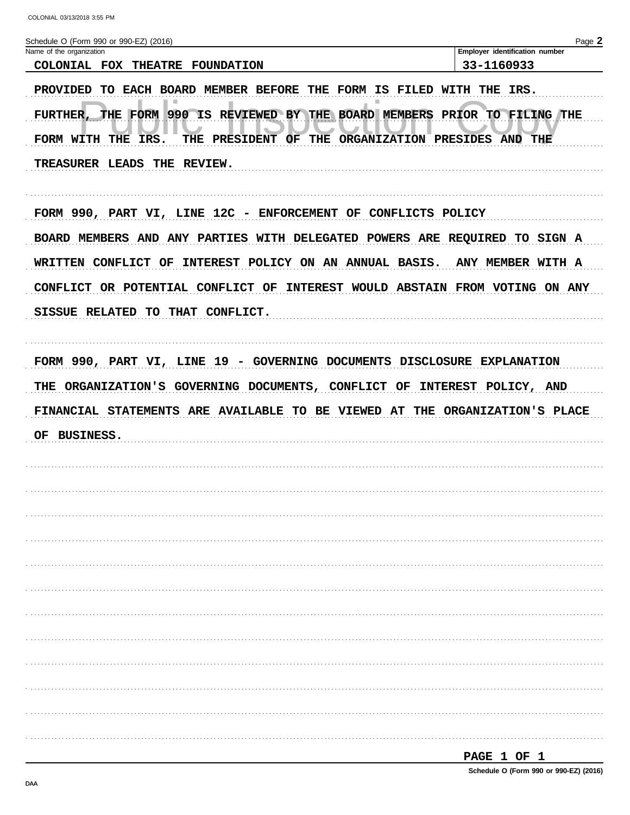| COLONIAL 03/13/2018 3:55 PM                                        |                                                                                                                                                     |                                                                             |
|--------------------------------------------------------------------|-----------------------------------------------------------------------------------------------------------------------------------------------------|-----------------------------------------------------------------------------|
| Schedule O (Form 990 or 990-EZ) (2016)<br>Name of the organization |                                                                                                                                                     | Page 2<br>Employer identification number                                    |
| COLONIAL FOX THEATRE FOUNDATION                                    |                                                                                                                                                     | 33-1160933                                                                  |
| FORM WITH THE IRS.                                                 | PROVIDED TO EACH BOARD MEMBER BEFORE THE FORM IS FILED WITH THE IRS.<br>THE PRESIDENT OF THE ORGANIZATION PRESIDES AND THE                          | FURTHER, THE FORM 990 IS REVIEWED BY THE BOARD MEMBERS PRIOR TO FILING THE  |
| TREASURER LEADS THE REVIEW.                                        |                                                                                                                                                     |                                                                             |
|                                                                    | FORM 990, PART VI, LINE 12C - ENFORCEMENT OF CONFLICTS POLICY                                                                                       |                                                                             |
|                                                                    |                                                                                                                                                     | BOARD MEMBERS AND ANY PARTIES WITH DELEGATED POWERS ARE REQUIRED TO SIGN A  |
|                                                                    |                                                                                                                                                     | WRITTEN CONFLICT OF INTEREST POLICY ON AN ANNUAL BASIS. ANY MEMBER WITH A   |
|                                                                    |                                                                                                                                                     |                                                                             |
|                                                                    | CONFLICT OR POTENTIAL CONFLICT OF INTEREST WOULD ABSTAIN FROM VOTING ON ANY                                                                         |                                                                             |
| SISSUE RELATED TO THAT CONFLICT.                                   | FORM 990, PART VI, LINE 19 - GOVERNING DOCUMENTS DISCLOSURE EXPLANATION<br>THE ORGANIZATION'S GOVERNING DOCUMENTS, CONFLICT OF INTEREST POLICY, AND |                                                                             |
|                                                                    |                                                                                                                                                     |                                                                             |
| <b>BUSINESS.</b>                                                   |                                                                                                                                                     |                                                                             |
|                                                                    |                                                                                                                                                     |                                                                             |
|                                                                    |                                                                                                                                                     |                                                                             |
|                                                                    |                                                                                                                                                     |                                                                             |
|                                                                    |                                                                                                                                                     |                                                                             |
|                                                                    |                                                                                                                                                     |                                                                             |
|                                                                    |                                                                                                                                                     |                                                                             |
|                                                                    |                                                                                                                                                     |                                                                             |
|                                                                    |                                                                                                                                                     |                                                                             |
|                                                                    |                                                                                                                                                     |                                                                             |
|                                                                    |                                                                                                                                                     | FINANCIAL STATEMENTS ARE AVAILABLE TO BE VIEWED AT THE ORGANIZATION'S PLACE |

| -<br>ובו בי |  |  |  |  |
|-------------|--|--|--|--|
|-------------|--|--|--|--|